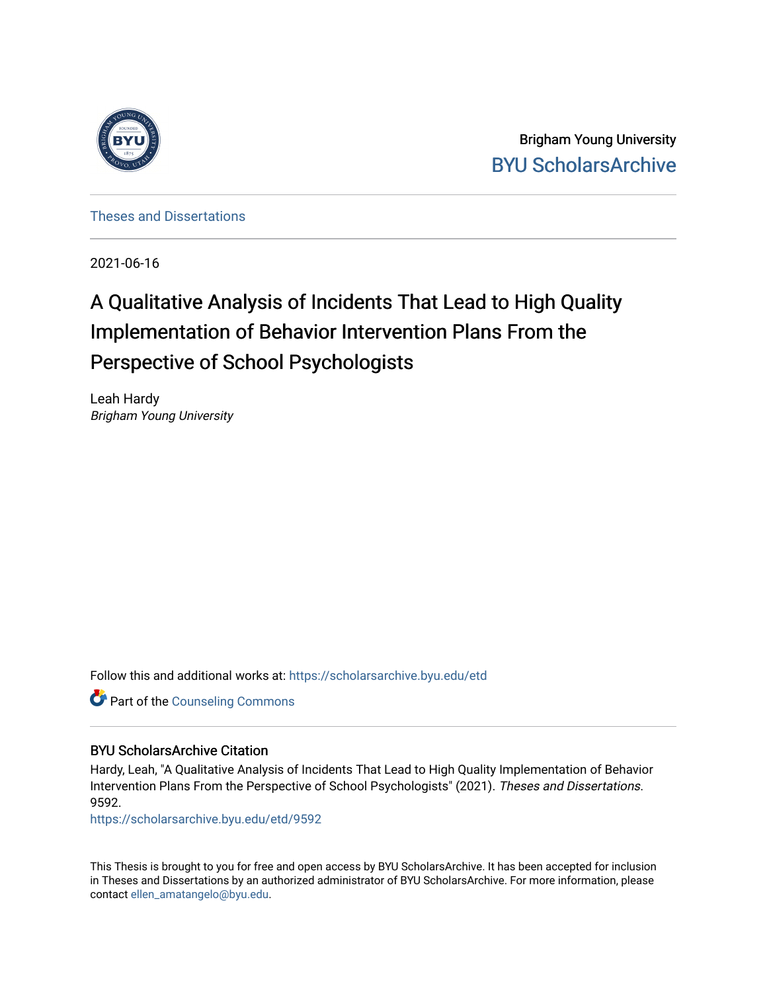

Brigham Young University [BYU ScholarsArchive](https://scholarsarchive.byu.edu/) 

[Theses and Dissertations](https://scholarsarchive.byu.edu/etd)

2021-06-16

# A Qualitative Analysis of Incidents That Lead to High Quality Implementation of Behavior Intervention Plans From the Perspective of School Psychologists

Leah Hardy Brigham Young University

Follow this and additional works at: [https://scholarsarchive.byu.edu/etd](https://scholarsarchive.byu.edu/etd?utm_source=scholarsarchive.byu.edu%2Fetd%2F9592&utm_medium=PDF&utm_campaign=PDFCoverPages)

**Part of the Counseling Commons** 

### BYU ScholarsArchive Citation

Hardy, Leah, "A Qualitative Analysis of Incidents That Lead to High Quality Implementation of Behavior Intervention Plans From the Perspective of School Psychologists" (2021). Theses and Dissertations. 9592.

[https://scholarsarchive.byu.edu/etd/9592](https://scholarsarchive.byu.edu/etd/9592?utm_source=scholarsarchive.byu.edu%2Fetd%2F9592&utm_medium=PDF&utm_campaign=PDFCoverPages) 

This Thesis is brought to you for free and open access by BYU ScholarsArchive. It has been accepted for inclusion in Theses and Dissertations by an authorized administrator of BYU ScholarsArchive. For more information, please contact [ellen\\_amatangelo@byu.edu.](mailto:ellen_amatangelo@byu.edu)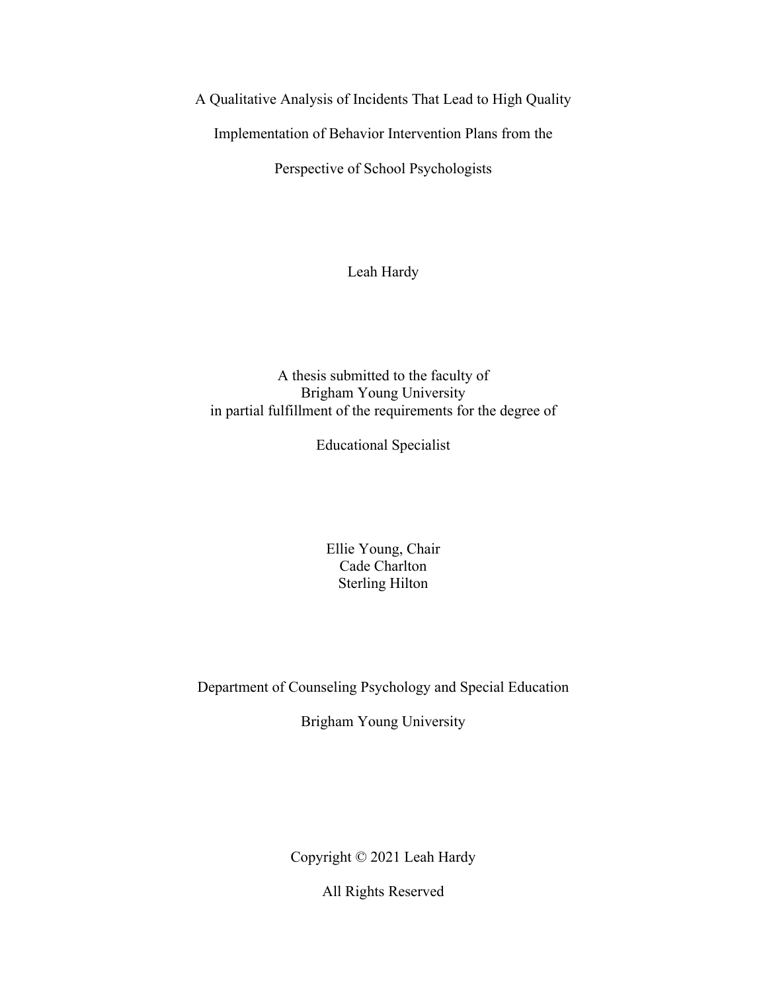<span id="page-1-0"></span>A Qualitative Analysis of Incidents That Lead to High Quality

Implementation of Behavior Intervention Plans from the

Perspective of School Psychologists

Leah Hardy

A thesis submitted to the faculty of Brigham Young University in partial fulfillment of the requirements for the degree of

Educational Specialist

Ellie Young, Chair Cade Charlton Sterling Hilton

Department of Counseling Psychology and Special Education

Brigham Young University

Copyright © 2021 Leah Hardy

All Rights Reserved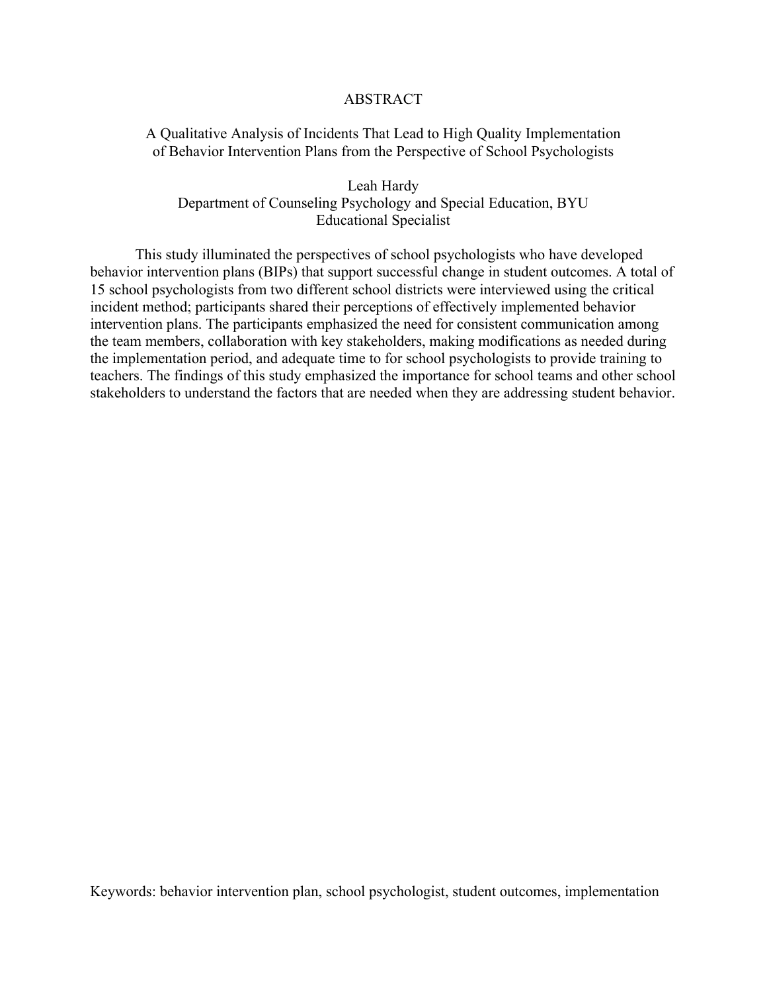### ABSTRACT

### <span id="page-2-0"></span>A Qualitative Analysis of Incidents That Lead to High Quality Implementation of Behavior Intervention Plans from the Perspective of School Psychologists

Leah Hardy Department of Counseling Psychology and Special Education, BYU Educational Specialist

This study illuminated the perspectives of school psychologists who have developed behavior intervention plans (BIPs) that support successful change in student outcomes. A total of 15 school psychologists from two different school districts were interviewed using the critical incident method; participants shared their perceptions of effectively implemented behavior intervention plans. The participants emphasized the need for consistent communication among the team members, collaboration with key stakeholders, making modifications as needed during the implementation period, and adequate time to for school psychologists to provide training to teachers. The findings of this study emphasized the importance for school teams and other school stakeholders to understand the factors that are needed when they are addressing student behavior.

Keywords: behavior intervention plan, school psychologist, student outcomes, implementation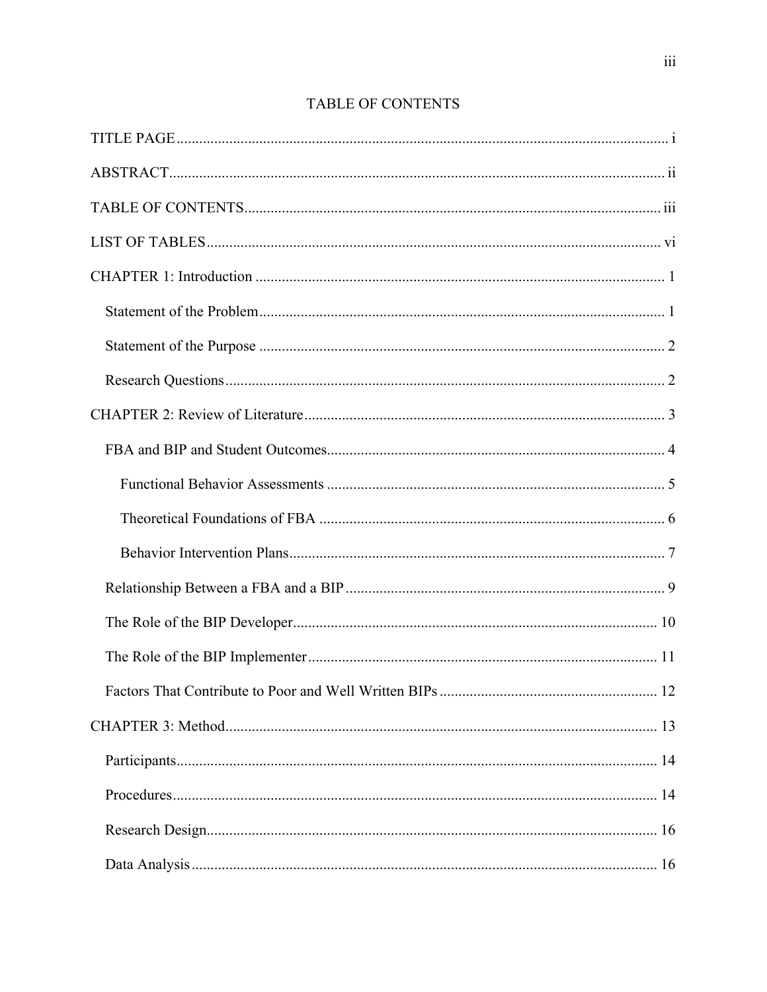<span id="page-3-0"></span>

# TABLE OF CONTENTS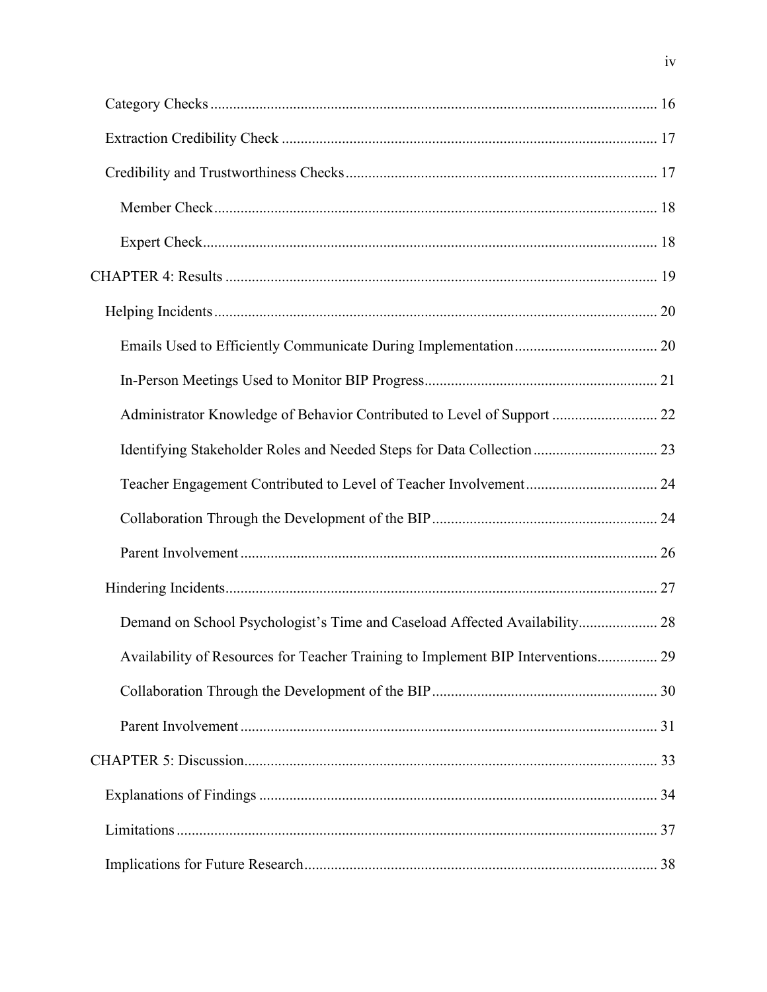| Administrator Knowledge of Behavior Contributed to Level of Support  22          |  |
|----------------------------------------------------------------------------------|--|
|                                                                                  |  |
|                                                                                  |  |
|                                                                                  |  |
|                                                                                  |  |
|                                                                                  |  |
| Demand on School Psychologist's Time and Caseload Affected Availability 28       |  |
| Availability of Resources for Teacher Training to Implement BIP Interventions 29 |  |
|                                                                                  |  |
|                                                                                  |  |
|                                                                                  |  |
|                                                                                  |  |
|                                                                                  |  |
|                                                                                  |  |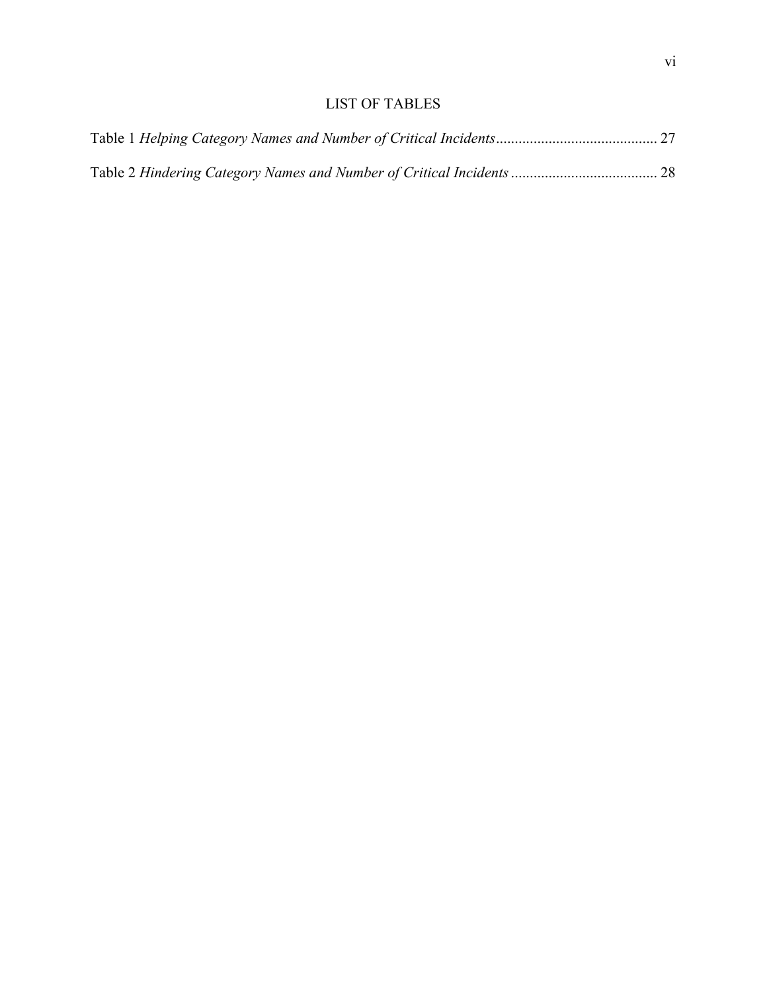# LIST OF TABLES

<span id="page-6-0"></span>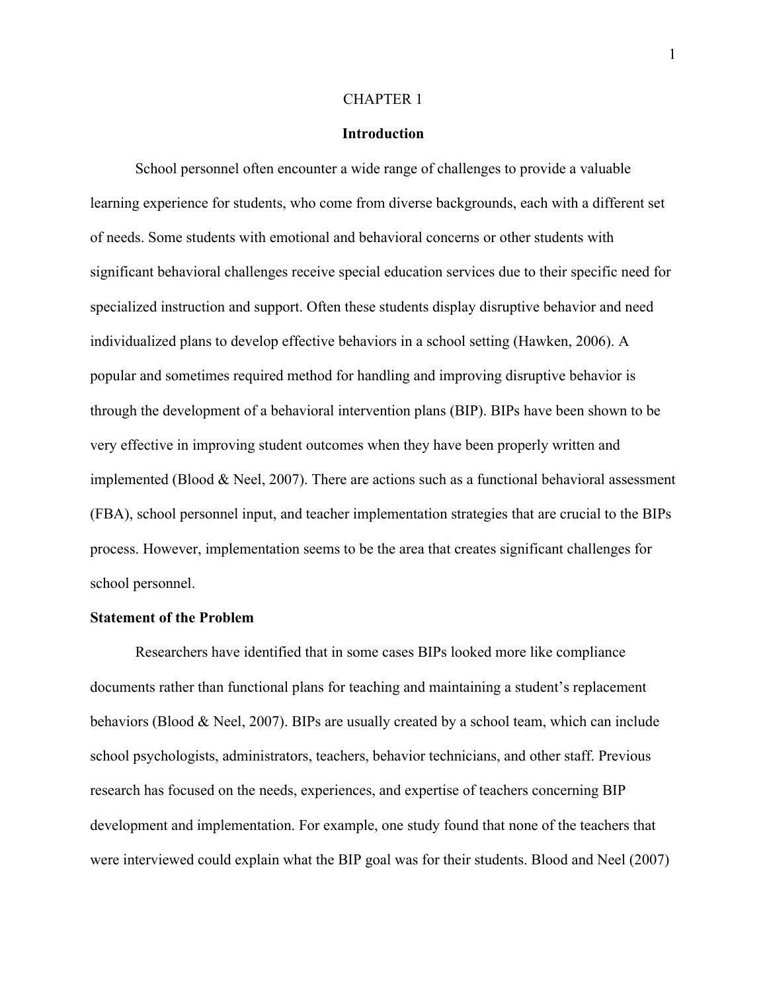#### CHAPTER 1

### **Introduction**

<span id="page-7-0"></span>School personnel often encounter a wide range of challenges to provide a valuable learning experience for students, who come from diverse backgrounds, each with a different set of needs. Some students with emotional and behavioral concerns or other students with significant behavioral challenges receive special education services due to their specific need for specialized instruction and support. Often these students display disruptive behavior and need individualized plans to develop effective behaviors in a school setting (Hawken, 2006). A popular and sometimes required method for handling and improving disruptive behavior is through the development of a behavioral intervention plans (BIP). BIPs have been shown to be very effective in improving student outcomes when they have been properly written and implemented (Blood  $&$  Neel, 2007). There are actions such as a functional behavioral assessment (FBA), school personnel input, and teacher implementation strategies that are crucial to the BIPs process. However, implementation seems to be the area that creates significant challenges for school personnel.

### <span id="page-7-1"></span>**Statement of the Problem**

Researchers have identified that in some cases BIPs looked more like compliance documents rather than functional plans for teaching and maintaining a student's replacement behaviors (Blood & Neel, 2007). BIPs are usually created by a school team, which can include school psychologists, administrators, teachers, behavior technicians, and other staff. Previous research has focused on the needs, experiences, and expertise of teachers concerning BIP development and implementation. For example, one study found that none of the teachers that were interviewed could explain what the BIP goal was for their students. Blood and Neel (2007)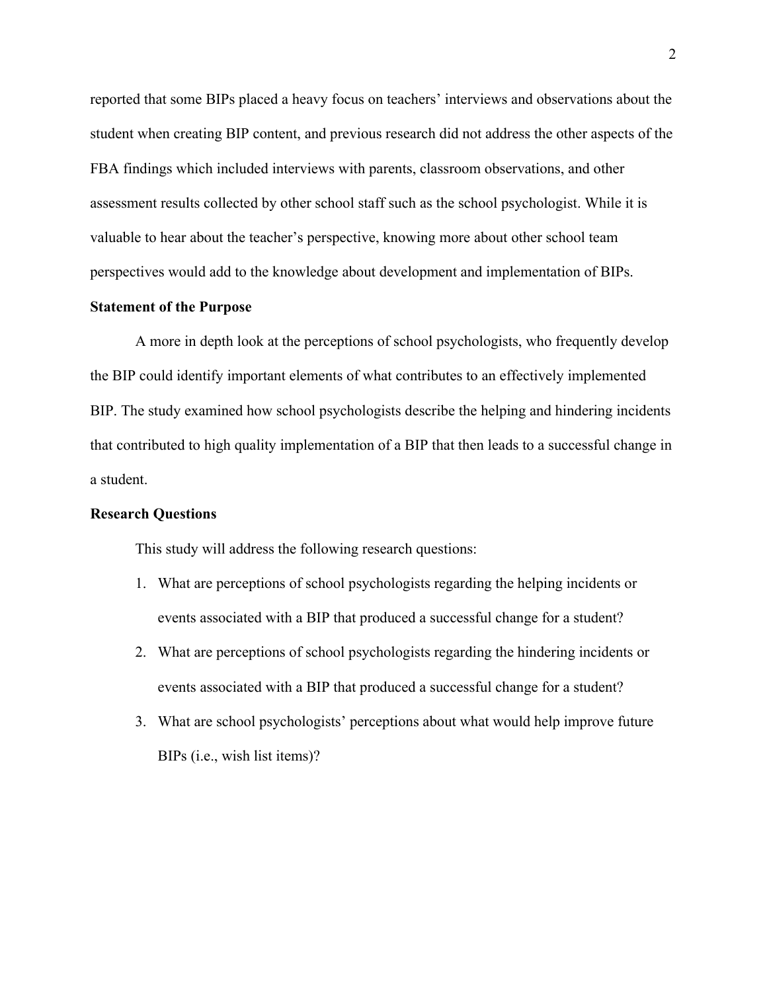reported that some BIPs placed a heavy focus on teachers' interviews and observations about the student when creating BIP content, and previous research did not address the other aspects of the FBA findings which included interviews with parents, classroom observations, and other assessment results collected by other school staff such as the school psychologist. While it is valuable to hear about the teacher's perspective, knowing more about other school team perspectives would add to the knowledge about development and implementation of BIPs.

### <span id="page-8-0"></span>**Statement of the Purpose**

A more in depth look at the perceptions of school psychologists, who frequently develop the BIP could identify important elements of what contributes to an effectively implemented BIP. The study examined how school psychologists describe the helping and hindering incidents that contributed to high quality implementation of a BIP that then leads to a successful change in a student.

### <span id="page-8-1"></span>**Research Questions**

This study will address the following research questions:

- 1. What are perceptions of school psychologists regarding the helping incidents or events associated with a BIP that produced a successful change for a student?
- 2. What are perceptions of school psychologists regarding the hindering incidents or events associated with a BIP that produced a successful change for a student?
- 3. What are school psychologists' perceptions about what would help improve future BIPs (i.e., wish list items)?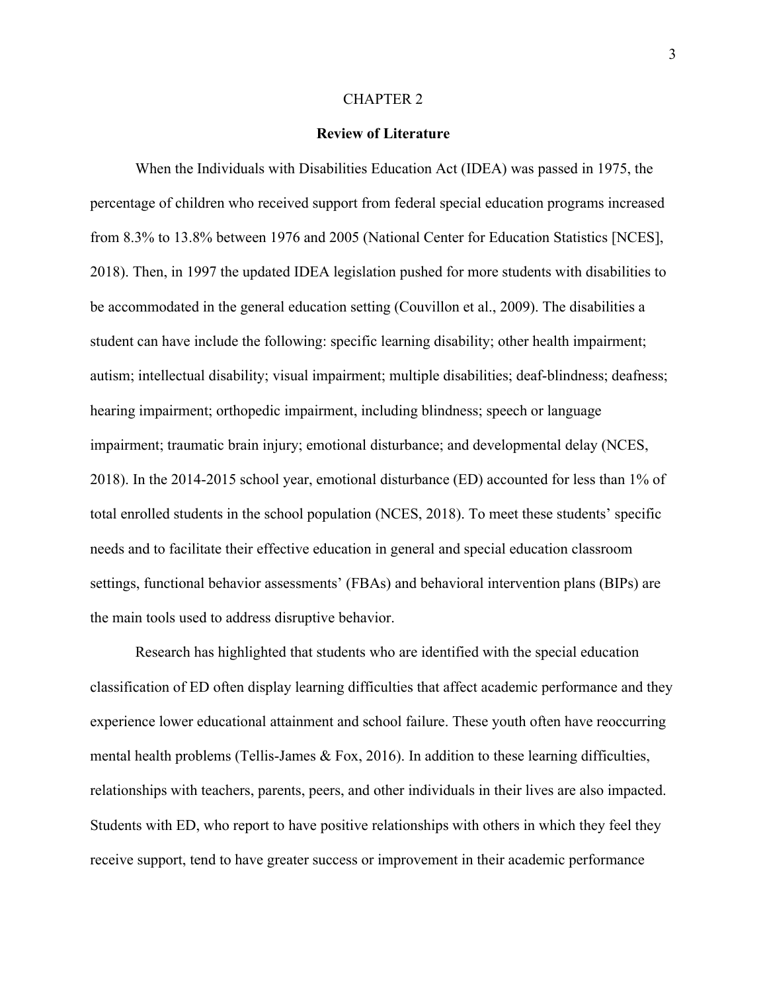#### CHAPTER 2

### **Review of Literature**

<span id="page-9-0"></span>When the Individuals with Disabilities Education Act (IDEA) was passed in 1975, the percentage of children who received support from federal special education programs increased from 8.3% to 13.8% between 1976 and 2005 (National Center for Education Statistics [NCES], 2018). Then, in 1997 the updated IDEA legislation pushed for more students with disabilities to be accommodated in the general education setting (Couvillon et al., 2009). The disabilities a student can have include the following: specific learning disability; other health impairment; autism; intellectual disability; visual impairment; multiple disabilities; deaf-blindness; deafness; hearing impairment; orthopedic impairment, including blindness; speech or language impairment; traumatic brain injury; emotional disturbance; and developmental delay (NCES, 2018). In the 2014-2015 school year, emotional disturbance (ED) accounted for less than 1% of total enrolled students in the school population (NCES, 2018). To meet these students' specific needs and to facilitate their effective education in general and special education classroom settings, functional behavior assessments' (FBAs) and behavioral intervention plans (BIPs) are the main tools used to address disruptive behavior.

Research has highlighted that students who are identified with the special education classification of ED often display learning difficulties that affect academic performance and they experience lower educational attainment and school failure. These youth often have reoccurring mental health problems (Tellis-James & Fox, 2016). In addition to these learning difficulties, relationships with teachers, parents, peers, and other individuals in their lives are also impacted. Students with ED, who report to have positive relationships with others in which they feel they receive support, tend to have greater success or improvement in their academic performance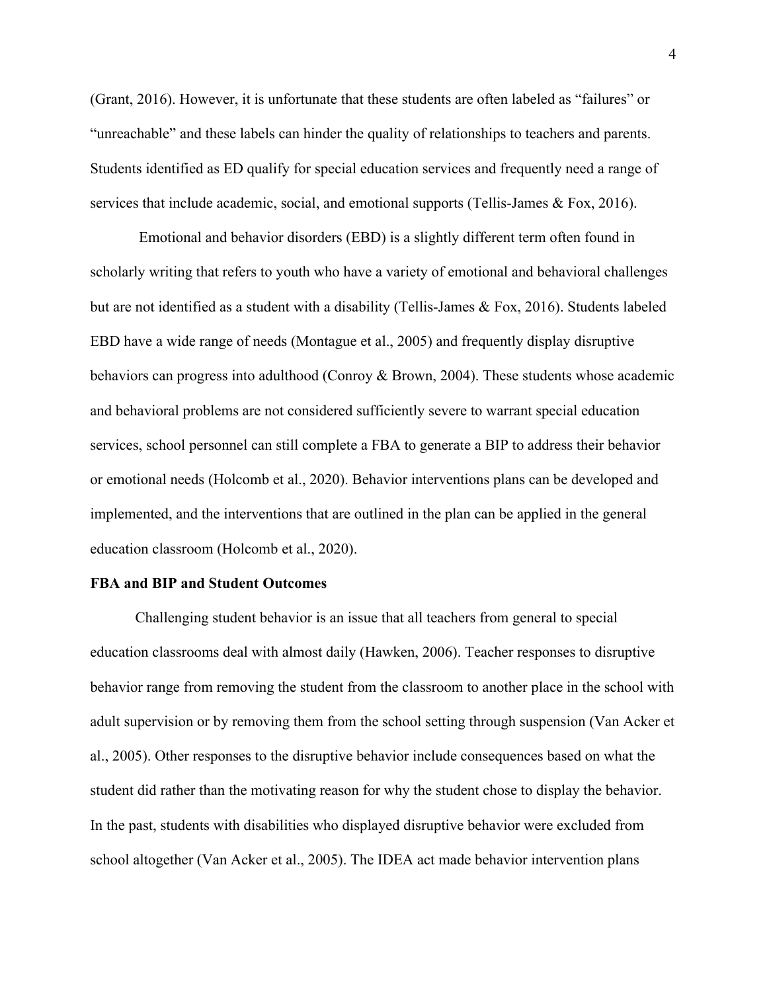(Grant, 2016). However, it is unfortunate that these students are often labeled as "failures" or "unreachable" and these labels can hinder the quality of relationships to teachers and parents. Students identified as ED qualify for special education services and frequently need a range of services that include academic, social, and emotional supports (Tellis-James & Fox, 2016).

Emotional and behavior disorders (EBD) is a slightly different term often found in scholarly writing that refers to youth who have a variety of emotional and behavioral challenges but are not identified as a student with a disability (Tellis-James & Fox, 2016). Students labeled EBD have a wide range of needs (Montague et al., 2005) and frequently display disruptive behaviors can progress into adulthood (Conroy & Brown, 2004). These students whose academic and behavioral problems are not considered sufficiently severe to warrant special education services, school personnel can still complete a FBA to generate a BIP to address their behavior or emotional needs (Holcomb et al., 2020). Behavior interventions plans can be developed and implemented, and the interventions that are outlined in the plan can be applied in the general education classroom (Holcomb et al., 2020).

### <span id="page-10-0"></span>**FBA and BIP and Student Outcomes**

Challenging student behavior is an issue that all teachers from general to special education classrooms deal with almost daily (Hawken, 2006). Teacher responses to disruptive behavior range from removing the student from the classroom to another place in the school with adult supervision or by removing them from the school setting through suspension (Van Acker et al., 2005). Other responses to the disruptive behavior include consequences based on what the student did rather than the motivating reason for why the student chose to display the behavior. In the past, students with disabilities who displayed disruptive behavior were excluded from school altogether (Van Acker et al., 2005). The IDEA act made behavior intervention plans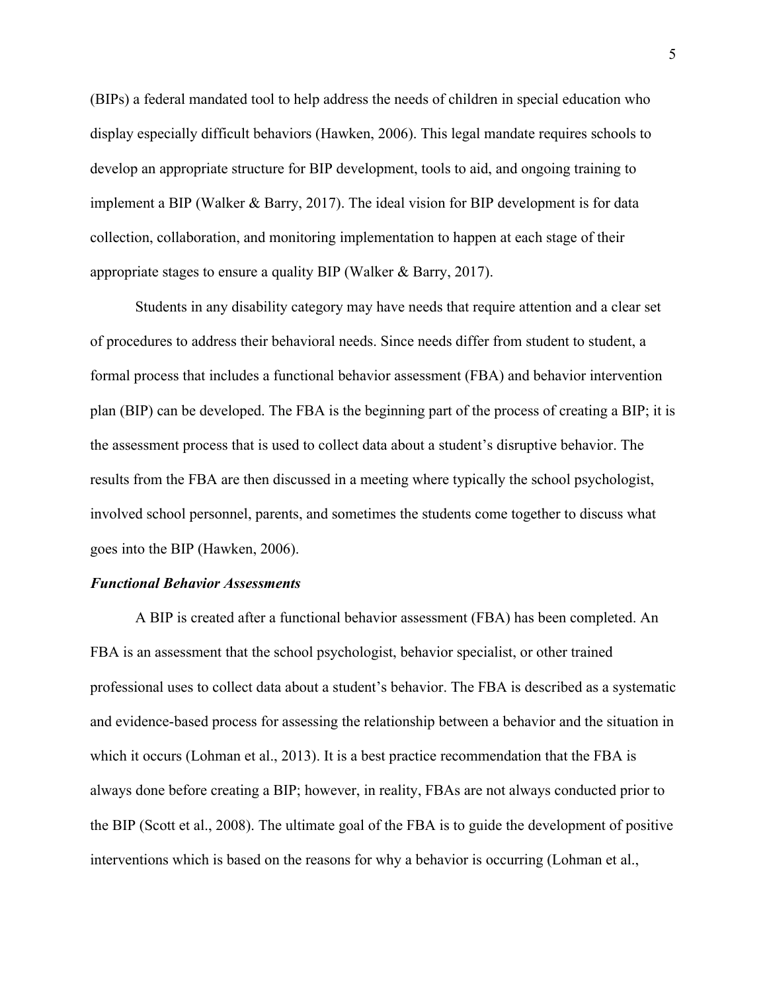(BIPs) a federal mandated tool to help address the needs of children in special education who display especially difficult behaviors (Hawken, 2006). This legal mandate requires schools to develop an appropriate structure for BIP development, tools to aid, and ongoing training to implement a BIP (Walker & Barry, 2017). The ideal vision for BIP development is for data collection, collaboration, and monitoring implementation to happen at each stage of their appropriate stages to ensure a quality BIP (Walker & Barry, 2017).

Students in any disability category may have needs that require attention and a clear set of procedures to address their behavioral needs. Since needs differ from student to student, a formal process that includes a functional behavior assessment (FBA) and behavior intervention plan (BIP) can be developed. The FBA is the beginning part of the process of creating a BIP; it is the assessment process that is used to collect data about a student's disruptive behavior. The results from the FBA are then discussed in a meeting where typically the school psychologist, involved school personnel, parents, and sometimes the students come together to discuss what goes into the BIP (Hawken, 2006).

#### <span id="page-11-0"></span>*Functional Behavior Assessments*

A BIP is created after a functional behavior assessment (FBA) has been completed. An FBA is an assessment that the school psychologist, behavior specialist, or other trained professional uses to collect data about a student's behavior. The FBA is described as a systematic and evidence-based process for assessing the relationship between a behavior and the situation in which it occurs (Lohman et al., 2013). It is a best practice recommendation that the FBA is always done before creating a BIP; however, in reality, FBAs are not always conducted prior to the BIP (Scott et al., 2008). The ultimate goal of the FBA is to guide the development of positive interventions which is based on the reasons for why a behavior is occurring (Lohman et al.,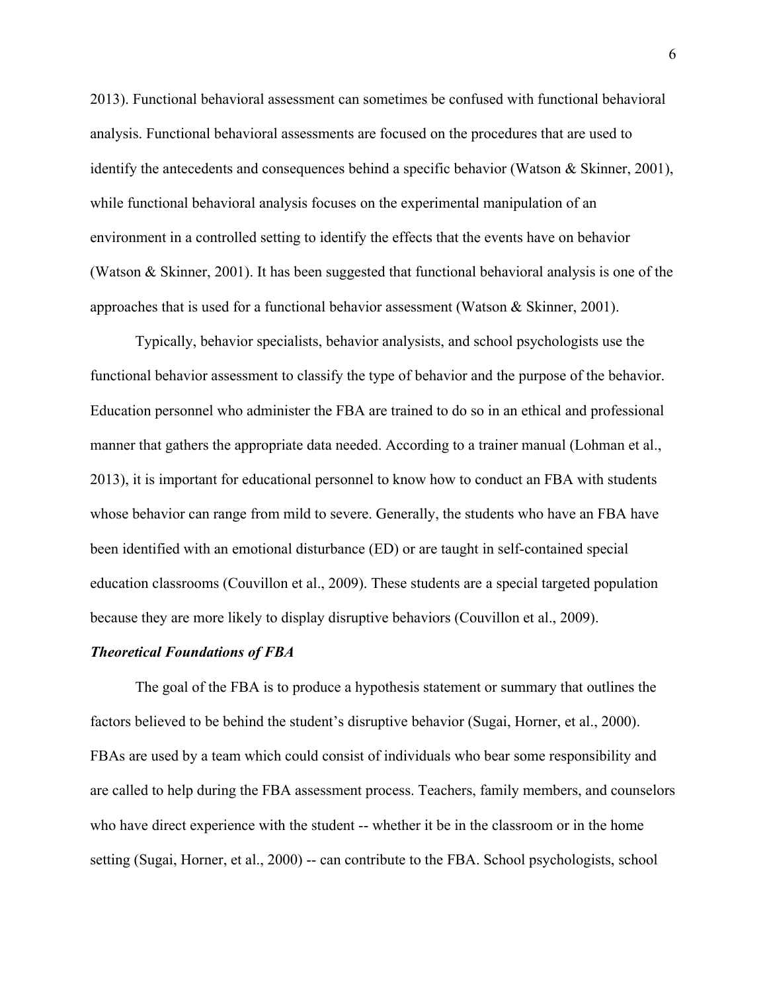2013). Functional behavioral assessment can sometimes be confused with functional behavioral analysis. Functional behavioral assessments are focused on the procedures that are used to identify the antecedents and consequences behind a specific behavior (Watson & Skinner, 2001), while functional behavioral analysis focuses on the experimental manipulation of an environment in a controlled setting to identify the effects that the events have on behavior (Watson & Skinner, 2001). It has been suggested that functional behavioral analysis is one of the approaches that is used for a functional behavior assessment (Watson & Skinner, 2001).

Typically, behavior specialists, behavior analysists, and school psychologists use the functional behavior assessment to classify the type of behavior and the purpose of the behavior. Education personnel who administer the FBA are trained to do so in an ethical and professional manner that gathers the appropriate data needed. According to a trainer manual (Lohman et al., 2013), it is important for educational personnel to know how to conduct an FBA with students whose behavior can range from mild to severe. Generally, the students who have an FBA have been identified with an emotional disturbance (ED) or are taught in self-contained special education classrooms (Couvillon et al., 2009). These students are a special targeted population because they are more likely to display disruptive behaviors (Couvillon et al., 2009).

### <span id="page-12-0"></span>*Theoretical Foundations of FBA*

The goal of the FBA is to produce a hypothesis statement or summary that outlines the factors believed to be behind the student's disruptive behavior (Sugai, Horner, et al., 2000). FBAs are used by a team which could consist of individuals who bear some responsibility and are called to help during the FBA assessment process. Teachers, family members, and counselors who have direct experience with the student -- whether it be in the classroom or in the home setting (Sugai, Horner, et al., 2000) -- can contribute to the FBA. School psychologists, school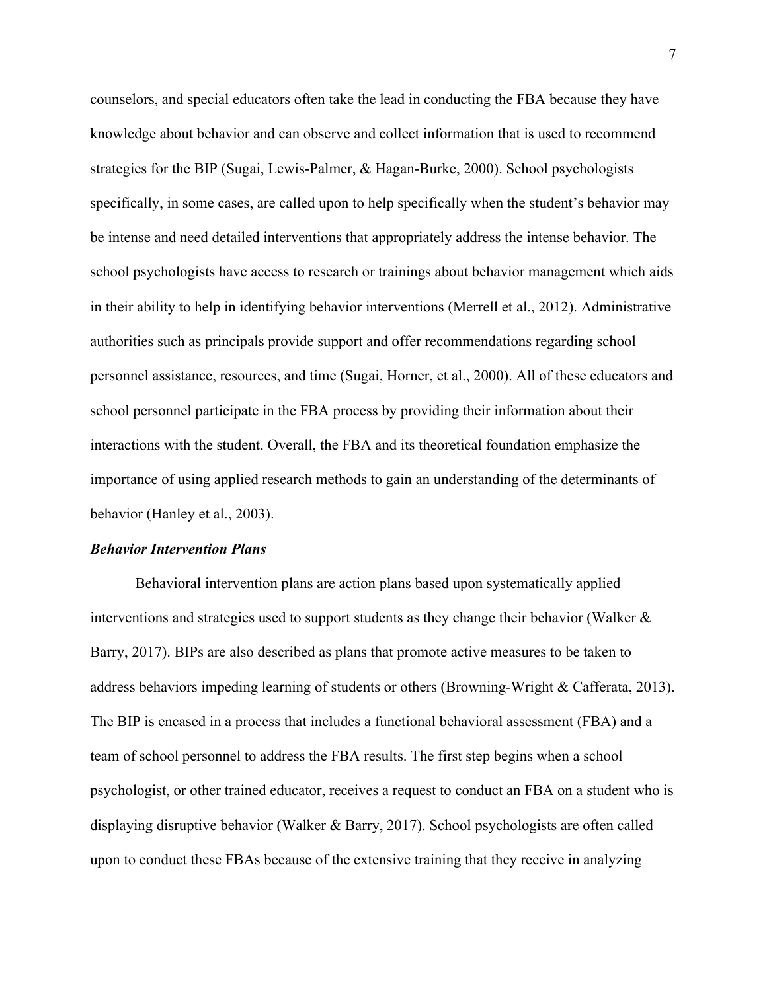counselors, and special educators often take the lead in conducting the FBA because they have knowledge about behavior and can observe and collect information that is used to recommend strategies for the BIP (Sugai, Lewis-Palmer, & Hagan-Burke, 2000). School psychologists specifically, in some cases, are called upon to help specifically when the student's behavior may be intense and need detailed interventions that appropriately address the intense behavior. The school psychologists have access to research or trainings about behavior management which aids in their ability to help in identifying behavior interventions (Merrell et al., 2012). Administrative authorities such as principals provide support and offer recommendations regarding school personnel assistance, resources, and time (Sugai, Horner, et al., 2000). All of these educators and school personnel participate in the FBA process by providing their information about their interactions with the student. Overall, the FBA and its theoretical foundation emphasize the importance of using applied research methods to gain an understanding of the determinants of behavior (Hanley et al., 2003).

#### <span id="page-13-0"></span>*Behavior Intervention Plans*

Behavioral intervention plans are action plans based upon systematically applied interventions and strategies used to support students as they change their behavior (Walker  $\&$ Barry, 2017). BIPs are also described as plans that promote active measures to be taken to address behaviors impeding learning of students or others (Browning-Wright & Cafferata, 2013). The BIP is encased in a process that includes a functional behavioral assessment (FBA) and a team of school personnel to address the FBA results. The first step begins when a school psychologist, or other trained educator, receives a request to conduct an FBA on a student who is displaying disruptive behavior (Walker & Barry, 2017). School psychologists are often called upon to conduct these FBAs because of the extensive training that they receive in analyzing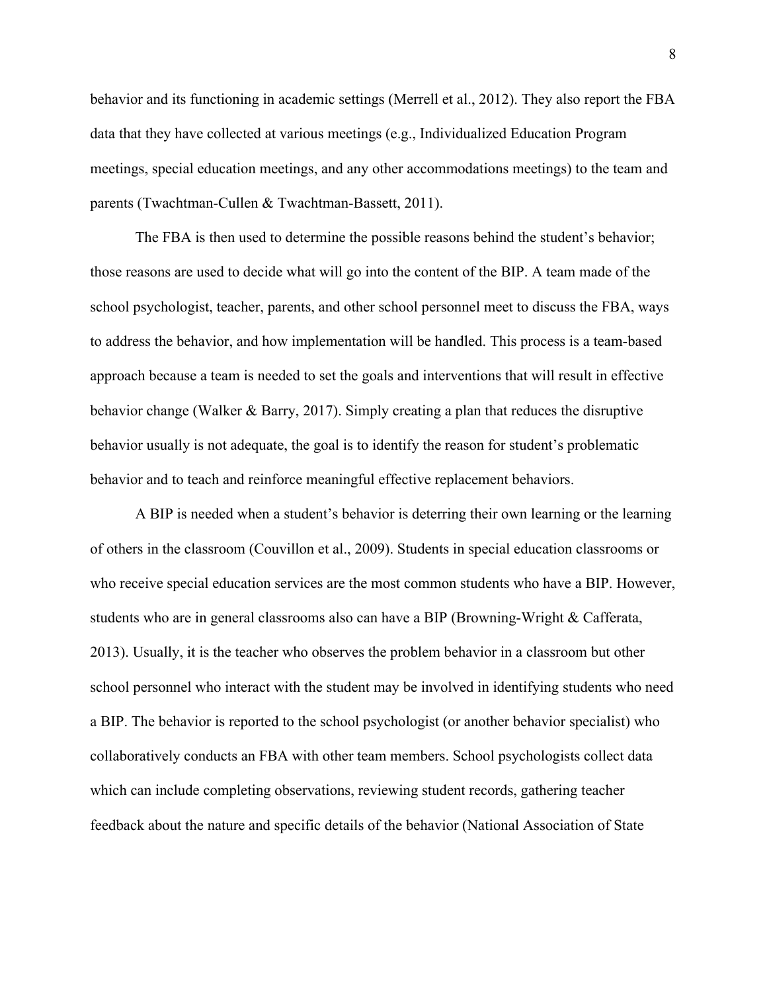behavior and its functioning in academic settings (Merrell et al., 2012). They also report the FBA data that they have collected at various meetings (e.g., Individualized Education Program meetings, special education meetings, and any other accommodations meetings) to the team and parents (Twachtman-Cullen & Twachtman-Bassett, 2011).

The FBA is then used to determine the possible reasons behind the student's behavior; those reasons are used to decide what will go into the content of the BIP. A team made of the school psychologist, teacher, parents, and other school personnel meet to discuss the FBA, ways to address the behavior, and how implementation will be handled. This process is a team-based approach because a team is needed to set the goals and interventions that will result in effective behavior change (Walker & Barry, 2017). Simply creating a plan that reduces the disruptive behavior usually is not adequate, the goal is to identify the reason for student's problematic behavior and to teach and reinforce meaningful effective replacement behaviors.

A BIP is needed when a student's behavior is deterring their own learning or the learning of others in the classroom (Couvillon et al., 2009). Students in special education classrooms or who receive special education services are the most common students who have a BIP. However, students who are in general classrooms also can have a BIP (Browning-Wright & Cafferata, 2013). Usually, it is the teacher who observes the problem behavior in a classroom but other school personnel who interact with the student may be involved in identifying students who need a BIP. The behavior is reported to the school psychologist (or another behavior specialist) who collaboratively conducts an FBA with other team members. School psychologists collect data which can include completing observations, reviewing student records, gathering teacher feedback about the nature and specific details of the behavior (National Association of State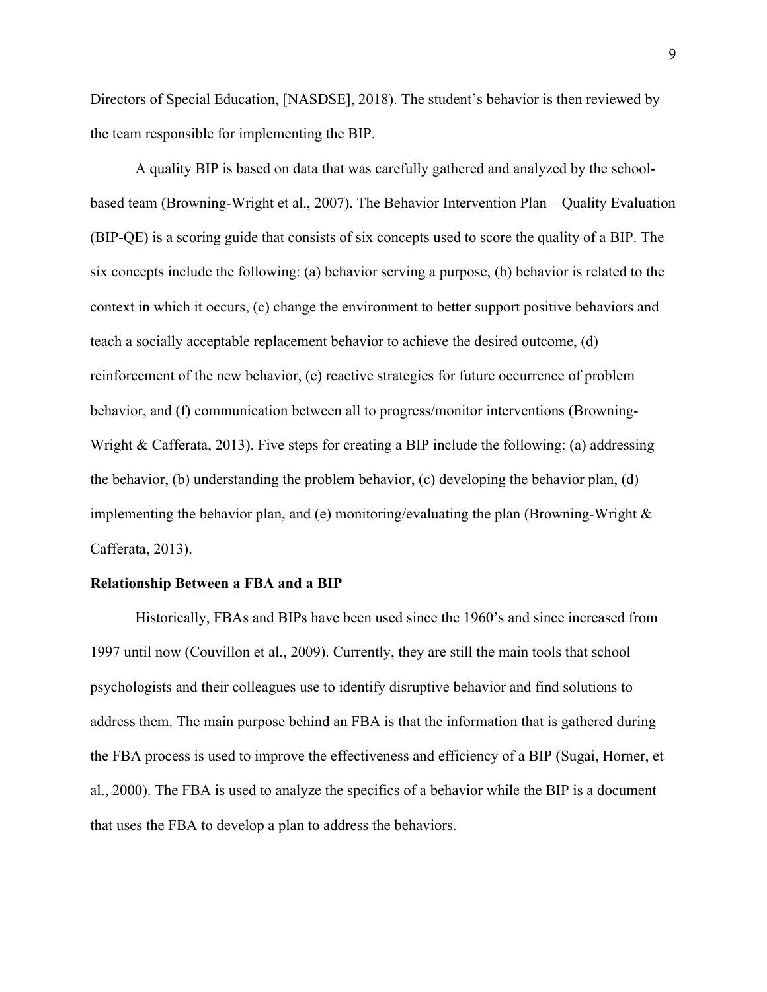Directors of Special Education, [NASDSE], 2018). The student's behavior is then reviewed by the team responsible for implementing the BIP.

A quality BIP is based on data that was carefully gathered and analyzed by the schoolbased team (Browning-Wright et al., 2007). The Behavior Intervention Plan – Quality Evaluation (BIP-QE) is a scoring guide that consists of six concepts used to score the quality of a BIP. The six concepts include the following: (a) behavior serving a purpose, (b) behavior is related to the context in which it occurs, (c) change the environment to better support positive behaviors and teach a socially acceptable replacement behavior to achieve the desired outcome, (d) reinforcement of the new behavior, (e) reactive strategies for future occurrence of problem behavior, and (f) communication between all to progress/monitor interventions (Browning-Wright & Cafferata, 2013). Five steps for creating a BIP include the following: (a) addressing the behavior, (b) understanding the problem behavior, (c) developing the behavior plan, (d) implementing the behavior plan, and (e) monitoring/evaluating the plan (Browning-Wright  $\&$ Cafferata, 2013).

#### <span id="page-15-0"></span>**Relationship Between a FBA and a BIP**

Historically, FBAs and BIPs have been used since the 1960's and since increased from 1997 until now (Couvillon et al., 2009). Currently, they are still the main tools that school psychologists and their colleagues use to identify disruptive behavior and find solutions to address them. The main purpose behind an FBA is that the information that is gathered during the FBA process is used to improve the effectiveness and efficiency of a BIP (Sugai, Horner, et al., 2000). The FBA is used to analyze the specifics of a behavior while the BIP is a document that uses the FBA to develop a plan to address the behaviors.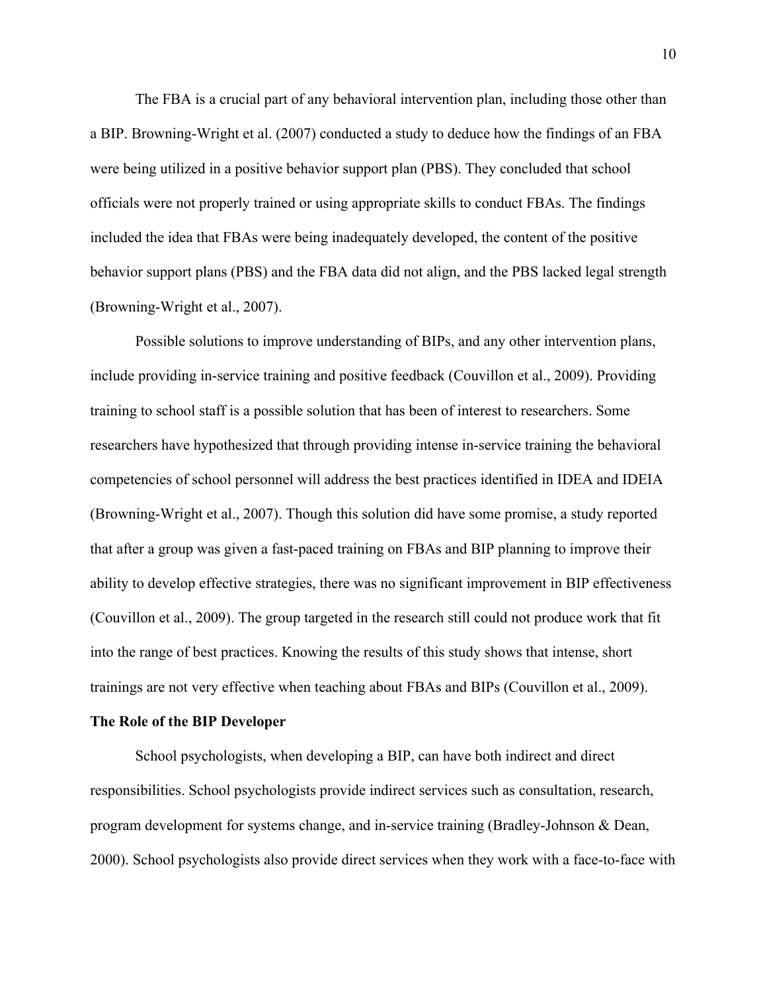The FBA is a crucial part of any behavioral intervention plan, including those other than a BIP. Browning-Wright et al. (2007) conducted a study to deduce how the findings of an FBA were being utilized in a positive behavior support plan (PBS). They concluded that school officials were not properly trained or using appropriate skills to conduct FBAs. The findings included the idea that FBAs were being inadequately developed, the content of the positive behavior support plans (PBS) and the FBA data did not align, and the PBS lacked legal strength (Browning-Wright et al., 2007).

Possible solutions to improve understanding of BIPs, and any other intervention plans, include providing in-service training and positive feedback (Couvillon et al., 2009). Providing training to school staff is a possible solution that has been of interest to researchers. Some researchers have hypothesized that through providing intense in-service training the behavioral competencies of school personnel will address the best practices identified in IDEA and IDEIA (Browning-Wright et al., 2007). Though this solution did have some promise, a study reported that after a group was given a fast-paced training on FBAs and BIP planning to improve their ability to develop effective strategies, there was no significant improvement in BIP effectiveness (Couvillon et al., 2009). The group targeted in the research still could not produce work that fit into the range of best practices. Knowing the results of this study shows that intense, short trainings are not very effective when teaching about FBAs and BIPs (Couvillon et al., 2009).

#### <span id="page-16-0"></span>**The Role of the BIP Developer**

School psychologists, when developing a BIP, can have both indirect and direct responsibilities. School psychologists provide indirect services such as consultation, research, program development for systems change, and in-service training (Bradley-Johnson & Dean, 2000). School psychologists also provide direct services when they work with a face-to-face with

10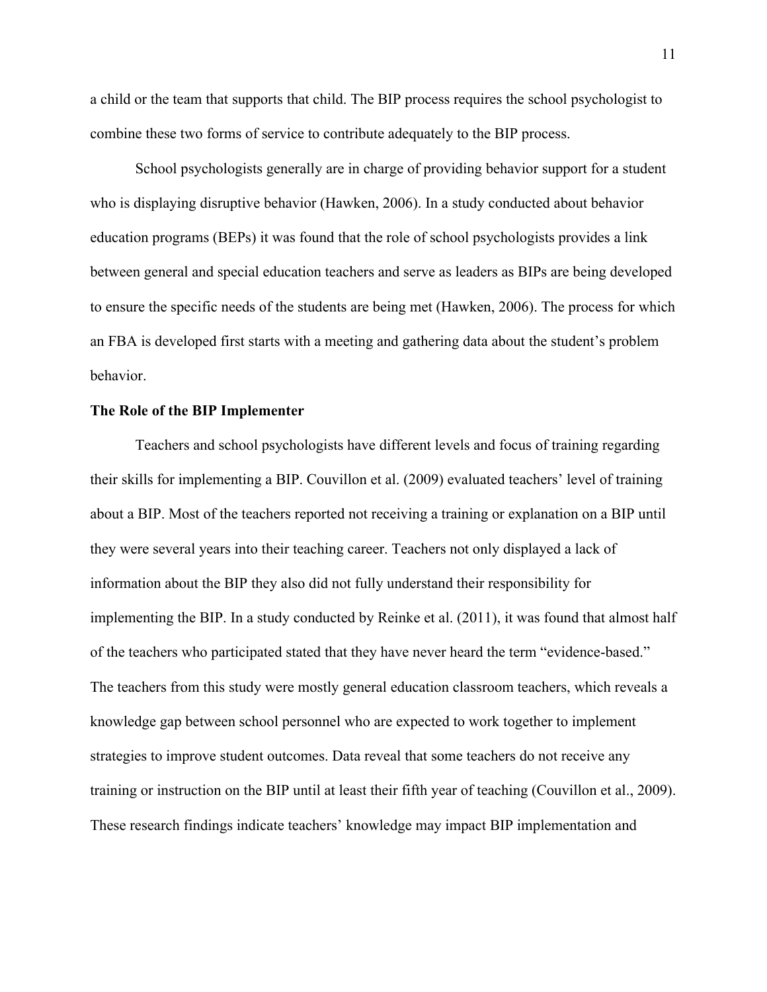a child or the team that supports that child. The BIP process requires the school psychologist to combine these two forms of service to contribute adequately to the BIP process.

School psychologists generally are in charge of providing behavior support for a student who is displaying disruptive behavior (Hawken, 2006). In a study conducted about behavior education programs (BEPs) it was found that the role of school psychologists provides a link between general and special education teachers and serve as leaders as BIPs are being developed to ensure the specific needs of the students are being met (Hawken, 2006). The process for which an FBA is developed first starts with a meeting and gathering data about the student's problem behavior.

#### <span id="page-17-0"></span>**The Role of the BIP Implementer**

Teachers and school psychologists have different levels and focus of training regarding their skills for implementing a BIP. Couvillon et al. (2009) evaluated teachers' level of training about a BIP. Most of the teachers reported not receiving a training or explanation on a BIP until they were several years into their teaching career. Teachers not only displayed a lack of information about the BIP they also did not fully understand their responsibility for implementing the BIP. In a study conducted by Reinke et al. (2011), it was found that almost half of the teachers who participated stated that they have never heard the term "evidence-based." The teachers from this study were mostly general education classroom teachers, which reveals a knowledge gap between school personnel who are expected to work together to implement strategies to improve student outcomes. Data reveal that some teachers do not receive any training or instruction on the BIP until at least their fifth year of teaching (Couvillon et al., 2009). These research findings indicate teachers' knowledge may impact BIP implementation and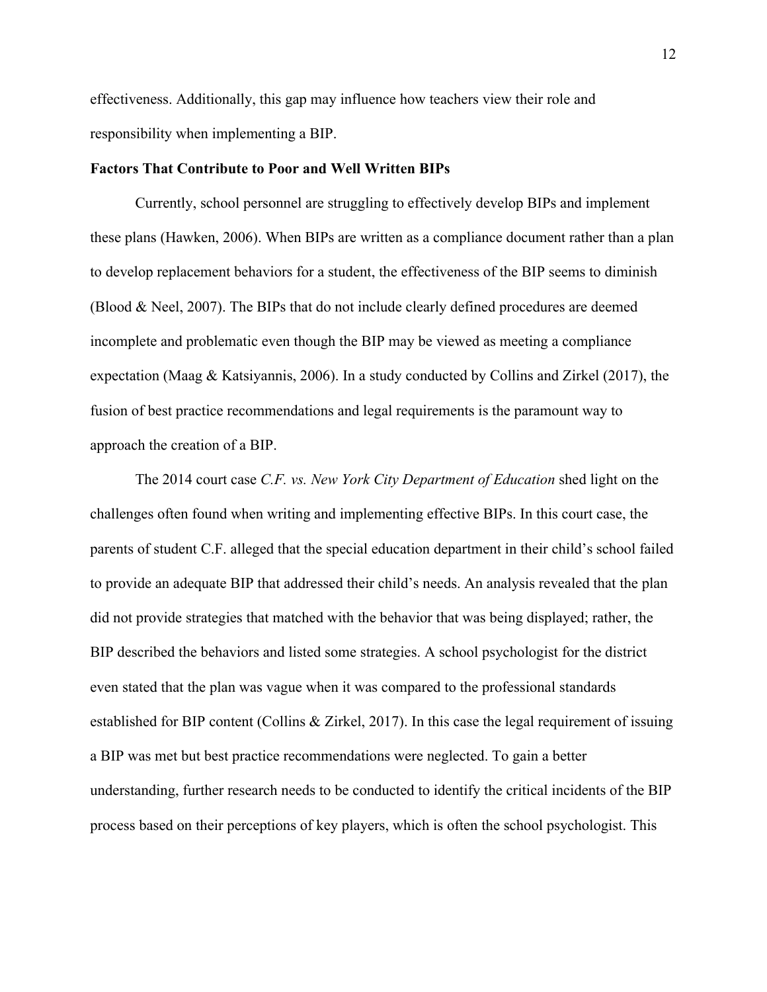effectiveness. Additionally, this gap may influence how teachers view their role and responsibility when implementing a BIP.

#### <span id="page-18-0"></span>**Factors That Contribute to Poor and Well Written BIPs**

Currently, school personnel are struggling to effectively develop BIPs and implement these plans (Hawken, 2006). When BIPs are written as a compliance document rather than a plan to develop replacement behaviors for a student, the effectiveness of the BIP seems to diminish (Blood & Neel, 2007). The BIPs that do not include clearly defined procedures are deemed incomplete and problematic even though the BIP may be viewed as meeting a compliance expectation (Maag & Katsiyannis, 2006). In a study conducted by Collins and Zirkel (2017), the fusion of best practice recommendations and legal requirements is the paramount way to approach the creation of a BIP.

The 2014 court case *C.F. vs. New York City Department of Education* shed light on the challenges often found when writing and implementing effective BIPs. In this court case, the parents of student C.F. alleged that the special education department in their child's school failed to provide an adequate BIP that addressed their child's needs. An analysis revealed that the plan did not provide strategies that matched with the behavior that was being displayed; rather, the BIP described the behaviors and listed some strategies. A school psychologist for the district even stated that the plan was vague when it was compared to the professional standards established for BIP content (Collins & Zirkel, 2017). In this case the legal requirement of issuing a BIP was met but best practice recommendations were neglected. To gain a better understanding, further research needs to be conducted to identify the critical incidents of the BIP process based on their perceptions of key players, which is often the school psychologist. This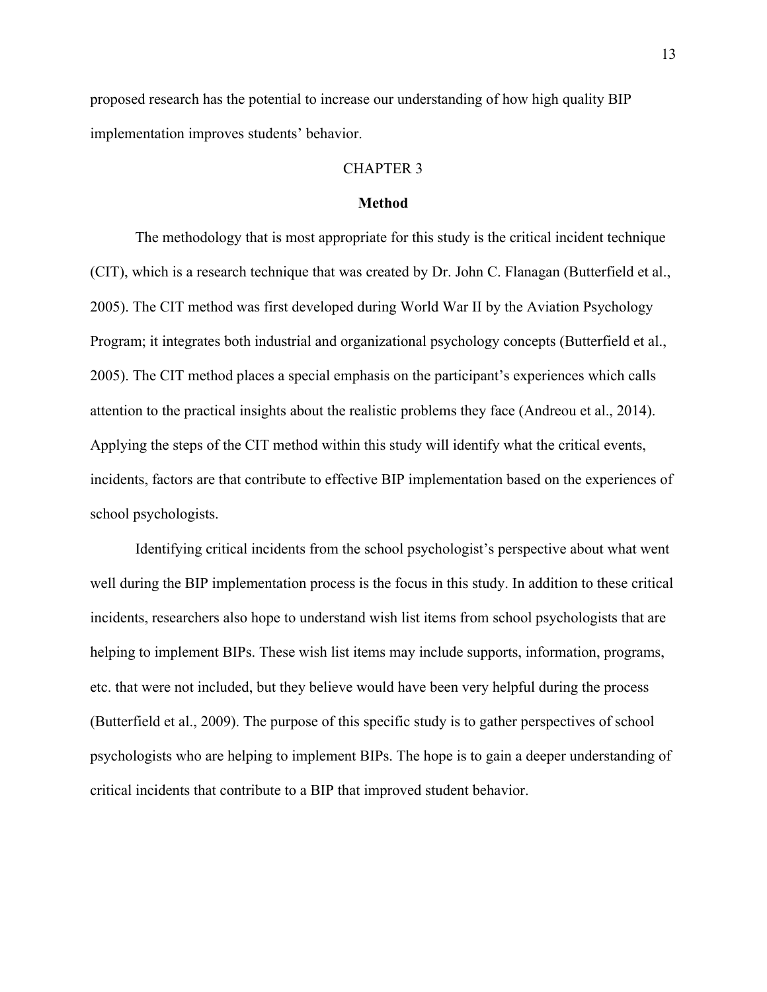<span id="page-19-0"></span>proposed research has the potential to increase our understanding of how high quality BIP implementation improves students' behavior.

### CHAPTER 3

### **Method**

The methodology that is most appropriate for this study is the critical incident technique (CIT), which is a research technique that was created by Dr. John C. Flanagan (Butterfield et al., 2005). The CIT method was first developed during World War II by the Aviation Psychology Program; it integrates both industrial and organizational psychology concepts (Butterfield et al., 2005). The CIT method places a special emphasis on the participant's experiences which calls attention to the practical insights about the realistic problems they face (Andreou et al., 2014). Applying the steps of the CIT method within this study will identify what the critical events, incidents, factors are that contribute to effective BIP implementation based on the experiences of school psychologists.

Identifying critical incidents from the school psychologist's perspective about what went well during the BIP implementation process is the focus in this study. In addition to these critical incidents, researchers also hope to understand wish list items from school psychologists that are helping to implement BIPs. These wish list items may include supports, information, programs, etc. that were not included, but they believe would have been very helpful during the process (Butterfield et al., 2009). The purpose of this specific study is to gather perspectives of school psychologists who are helping to implement BIPs. The hope is to gain a deeper understanding of critical incidents that contribute to a BIP that improved student behavior.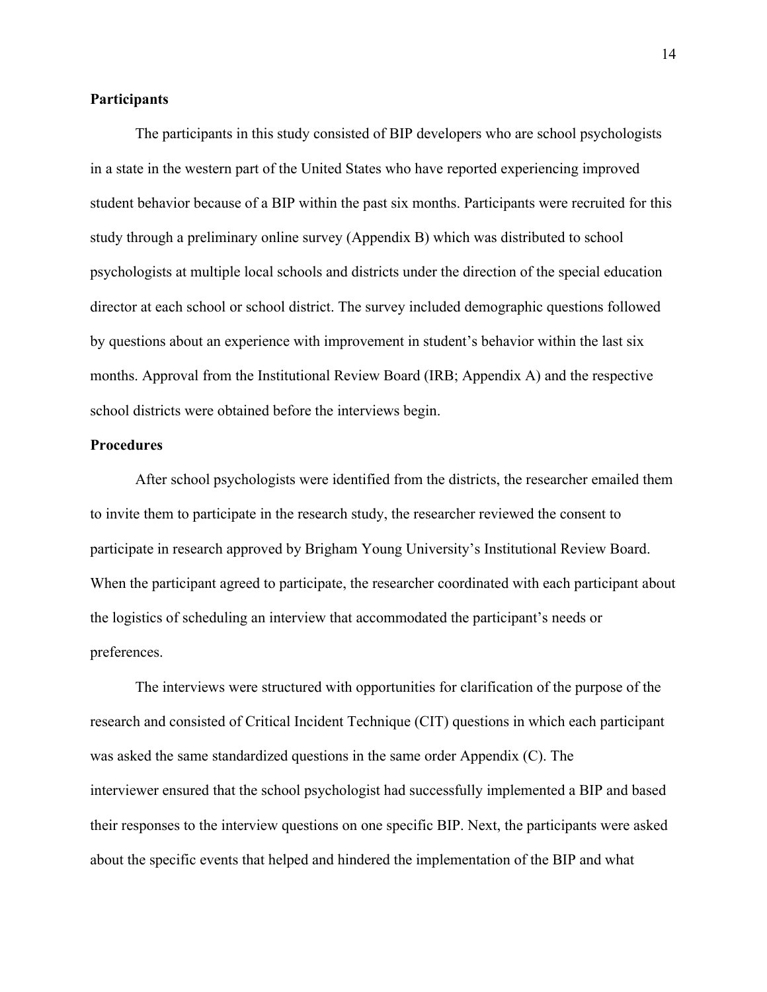### <span id="page-20-0"></span>**Participants**

The participants in this study consisted of BIP developers who are school psychologists in a state in the western part of the United States who have reported experiencing improved student behavior because of a BIP within the past six months. Participants were recruited for this study through a preliminary online survey (Appendix B) which was distributed to school psychologists at multiple local schools and districts under the direction of the special education director at each school or school district. The survey included demographic questions followed by questions about an experience with improvement in student's behavior within the last six months. Approval from the Institutional Review Board (IRB; Appendix A) and the respective school districts were obtained before the interviews begin.

### <span id="page-20-1"></span>**Procedures**

After school psychologists were identified from the districts, the researcher emailed them to invite them to participate in the research study, the researcher reviewed the consent to participate in research approved by Brigham Young University's Institutional Review Board. When the participant agreed to participate, the researcher coordinated with each participant about the logistics of scheduling an interview that accommodated the participant's needs or preferences.

The interviews were structured with opportunities for clarification of the purpose of the research and consisted of Critical Incident Technique (CIT) questions in which each participant was asked the same standardized questions in the same order Appendix (C). The interviewer ensured that the school psychologist had successfully implemented a BIP and based their responses to the interview questions on one specific BIP. Next, the participants were asked about the specific events that helped and hindered the implementation of the BIP and what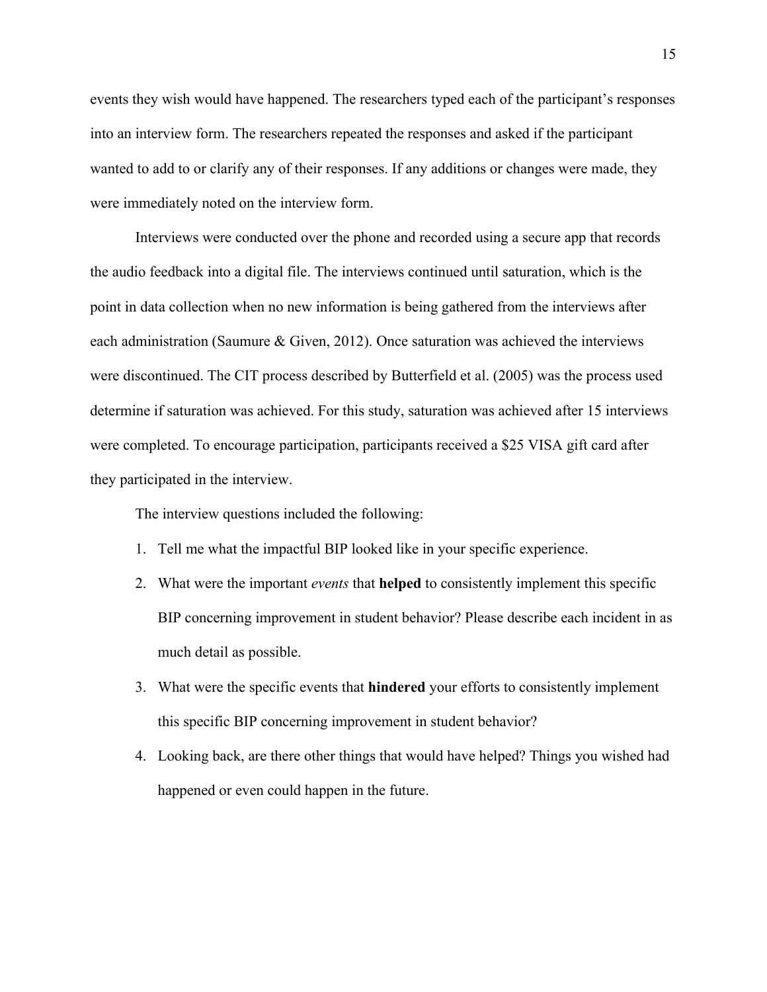events they wish would have happened. The researchers typed each of the participant's responses into an interview form. The researchers repeated the responses and asked if the participant wanted to add to or clarify any of their responses. If any additions or changes were made, they were immediately noted on the interview form.

Interviews were conducted over the phone and recorded using a secure app that records the audio feedback into a digital file. The interviews continued until saturation, which is the point in data collection when no new information is being gathered from the interviews after each administration (Saumure & Given, 2012). Once saturation was achieved the interviews were discontinued. The CIT process described by Butterfield et al. (2005) was the process used determine if saturation was achieved. For this study, saturation was achieved after 15 interviews were completed. To encourage participation, participants received a \$25 VISA gift card after they participated in the interview.

The interview questions included the following:

- 1. Tell me what the impactful BIP looked like in your specific experience.
- 2. What were the important *events* that **helped** to consistently implement this specific BIP concerning improvement in student behavior? Please describe each incident in as much detail as possible.
- 3. What were the specific events that **hindered** your efforts to consistently implement this specific BIP concerning improvement in student behavior?
- 4. Looking back, are there other things that would have helped? Things you wished had happened or even could happen in the future.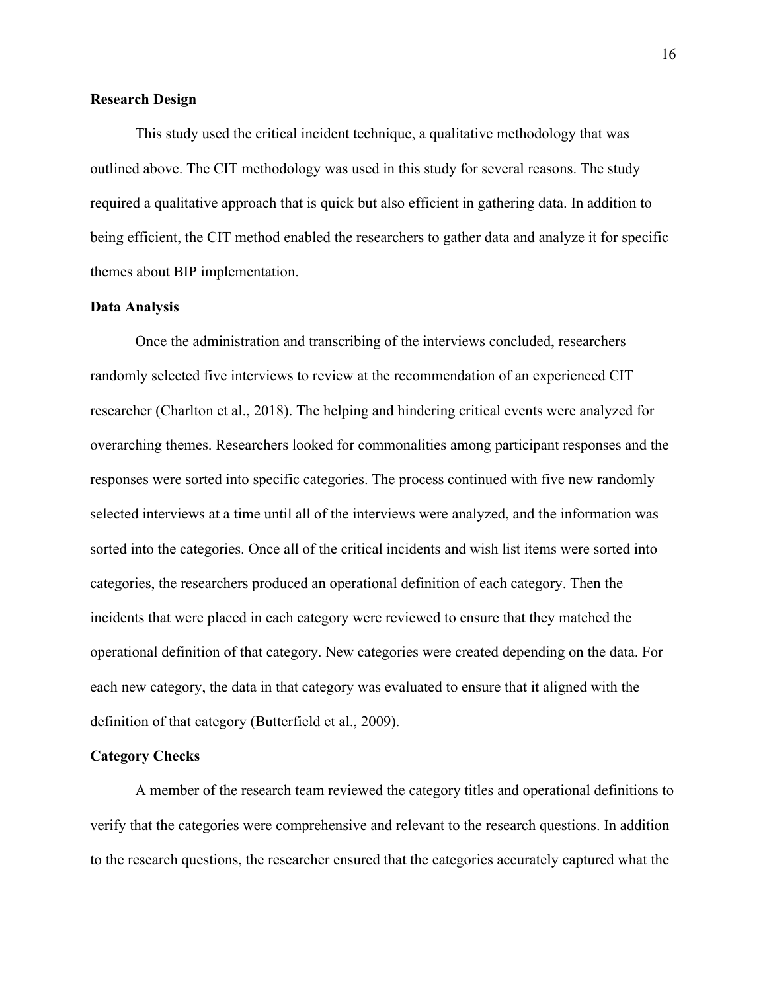### <span id="page-22-0"></span>**Research Design**

This study used the critical incident technique, a qualitative methodology that was outlined above. The CIT methodology was used in this study for several reasons. The study required a qualitative approach that is quick but also efficient in gathering data. In addition to being efficient, the CIT method enabled the researchers to gather data and analyze it for specific themes about BIP implementation.

### <span id="page-22-1"></span>**Data Analysis**

Once the administration and transcribing of the interviews concluded, researchers randomly selected five interviews to review at the recommendation of an experienced CIT researcher (Charlton et al., 2018). The helping and hindering critical events were analyzed for overarching themes. Researchers looked for commonalities among participant responses and the responses were sorted into specific categories. The process continued with five new randomly selected interviews at a time until all of the interviews were analyzed, and the information was sorted into the categories. Once all of the critical incidents and wish list items were sorted into categories, the researchers produced an operational definition of each category. Then the incidents that were placed in each category were reviewed to ensure that they matched the operational definition of that category. New categories were created depending on the data. For each new category, the data in that category was evaluated to ensure that it aligned with the definition of that category (Butterfield et al., 2009).

#### <span id="page-22-2"></span>**Category Checks**

A member of the research team reviewed the category titles and operational definitions to verify that the categories were comprehensive and relevant to the research questions. In addition to the research questions, the researcher ensured that the categories accurately captured what the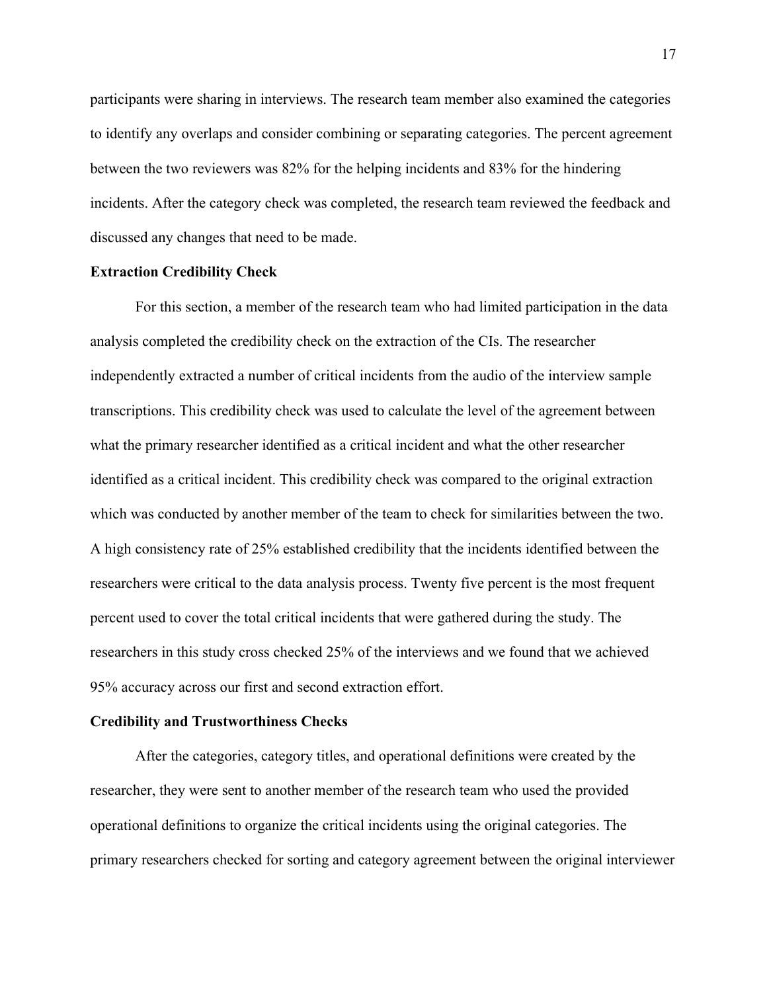participants were sharing in interviews. The research team member also examined the categories to identify any overlaps and consider combining or separating categories. The percent agreement between the two reviewers was 82% for the helping incidents and 83% for the hindering incidents. After the category check was completed, the research team reviewed the feedback and discussed any changes that need to be made.

### <span id="page-23-0"></span>**Extraction Credibility Check**

For this section, a member of the research team who had limited participation in the data analysis completed the credibility check on the extraction of the CIs. The researcher independently extracted a number of critical incidents from the audio of the interview sample transcriptions. This credibility check was used to calculate the level of the agreement between what the primary researcher identified as a critical incident and what the other researcher identified as a critical incident. This credibility check was compared to the original extraction which was conducted by another member of the team to check for similarities between the two. A high consistency rate of 25% established credibility that the incidents identified between the researchers were critical to the data analysis process. Twenty five percent is the most frequent percent used to cover the total critical incidents that were gathered during the study. The researchers in this study cross checked 25% of the interviews and we found that we achieved 95% accuracy across our first and second extraction effort.

#### <span id="page-23-1"></span>**Credibility and Trustworthiness Checks**

After the categories, category titles, and operational definitions were created by the researcher, they were sent to another member of the research team who used the provided operational definitions to organize the critical incidents using the original categories. The primary researchers checked for sorting and category agreement between the original interviewer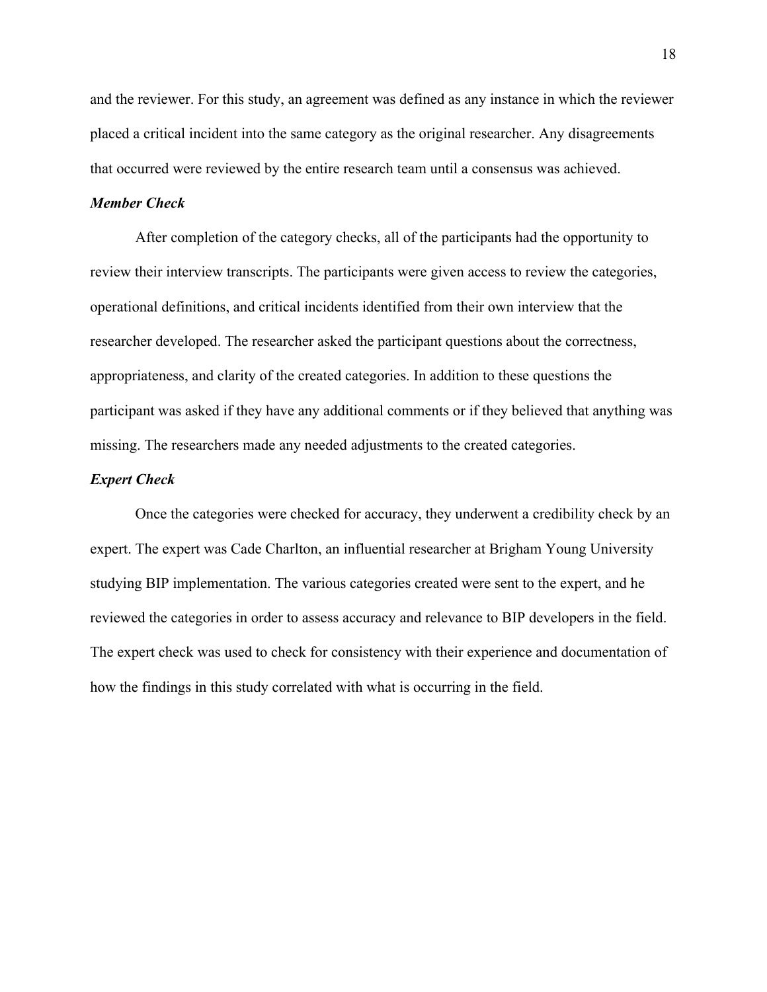and the reviewer. For this study, an agreement was defined as any instance in which the reviewer placed a critical incident into the same category as the original researcher. Any disagreements that occurred were reviewed by the entire research team until a consensus was achieved.

### <span id="page-24-0"></span>*Member Check*

After completion of the category checks, all of the participants had the opportunity to review their interview transcripts. The participants were given access to review the categories, operational definitions, and critical incidents identified from their own interview that the researcher developed. The researcher asked the participant questions about the correctness, appropriateness, and clarity of the created categories. In addition to these questions the participant was asked if they have any additional comments or if they believed that anything was missing. The researchers made any needed adjustments to the created categories.

### <span id="page-24-1"></span>*Expert Check*

Once the categories were checked for accuracy, they underwent a credibility check by an expert. The expert was Cade Charlton, an influential researcher at Brigham Young University studying BIP implementation. The various categories created were sent to the expert, and he reviewed the categories in order to assess accuracy and relevance to BIP developers in the field. The expert check was used to check for consistency with their experience and documentation of how the findings in this study correlated with what is occurring in the field.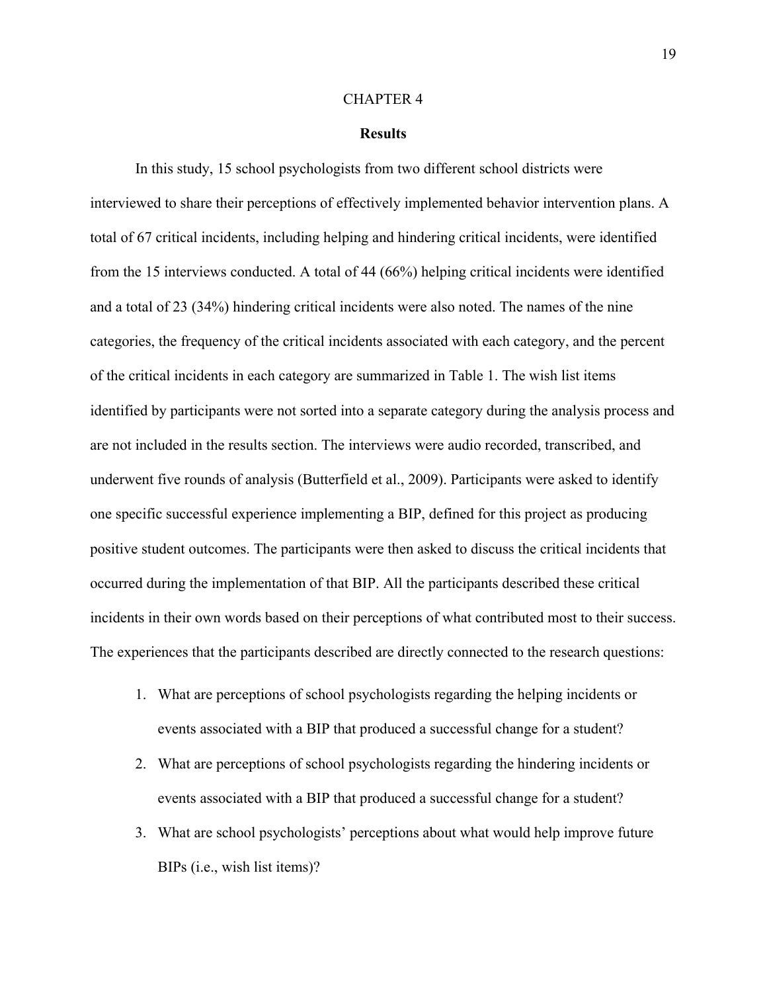#### CHAPTER 4

#### **Results**

<span id="page-25-0"></span>In this study, 15 school psychologists from two different school districts were interviewed to share their perceptions of effectively implemented behavior intervention plans. A total of 67 critical incidents, including helping and hindering critical incidents, were identified from the 15 interviews conducted. A total of 44 (66%) helping critical incidents were identified and a total of 23 (34%) hindering critical incidents were also noted. The names of the nine categories, the frequency of the critical incidents associated with each category, and the percent of the critical incidents in each category are summarized in Table 1. The wish list items identified by participants were not sorted into a separate category during the analysis process and are not included in the results section. The interviews were audio recorded, transcribed, and underwent five rounds of analysis (Butterfield et al., 2009). Participants were asked to identify one specific successful experience implementing a BIP, defined for this project as producing positive student outcomes. The participants were then asked to discuss the critical incidents that occurred during the implementation of that BIP. All the participants described these critical incidents in their own words based on their perceptions of what contributed most to their success. The experiences that the participants described are directly connected to the research questions:

- 1. What are perceptions of school psychologists regarding the helping incidents or events associated with a BIP that produced a successful change for a student?
- 2. What are perceptions of school psychologists regarding the hindering incidents or events associated with a BIP that produced a successful change for a student?
- 3. What are school psychologists' perceptions about what would help improve future BIPs (i.e., wish list items)?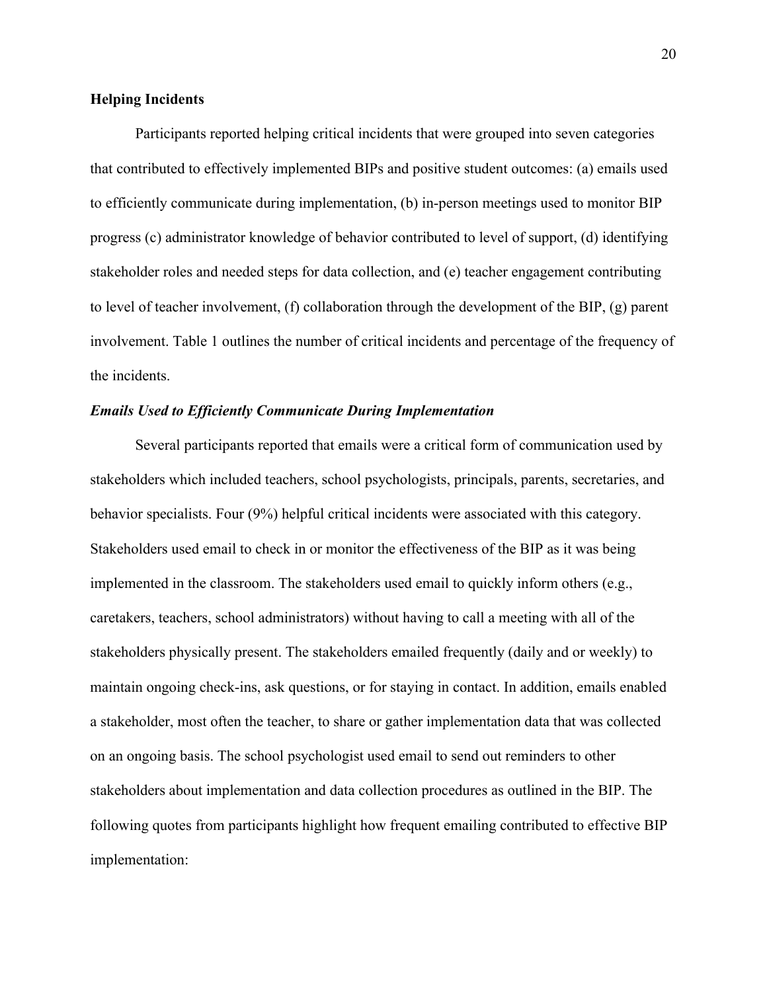### <span id="page-26-0"></span>**Helping Incidents**

Participants reported helping critical incidents that were grouped into seven categories that contributed to effectively implemented BIPs and positive student outcomes: (a) emails used to efficiently communicate during implementation, (b) in-person meetings used to monitor BIP progress (c) administrator knowledge of behavior contributed to level of support, (d) identifying stakeholder roles and needed steps for data collection, and (e) teacher engagement contributing to level of teacher involvement, (f) collaboration through the development of the BIP, (g) parent involvement. Table 1 outlines the number of critical incidents and percentage of the frequency of the incidents.

#### <span id="page-26-1"></span>*Emails Used to Efficiently Communicate During Implementation*

Several participants reported that emails were a critical form of communication used by stakeholders which included teachers, school psychologists, principals, parents, secretaries, and behavior specialists. Four (9%) helpful critical incidents were associated with this category. Stakeholders used email to check in or monitor the effectiveness of the BIP as it was being implemented in the classroom. The stakeholders used email to quickly inform others (e.g., caretakers, teachers, school administrators) without having to call a meeting with all of the stakeholders physically present. The stakeholders emailed frequently (daily and or weekly) to maintain ongoing check-ins, ask questions, or for staying in contact. In addition, emails enabled a stakeholder, most often the teacher, to share or gather implementation data that was collected on an ongoing basis. The school psychologist used email to send out reminders to other stakeholders about implementation and data collection procedures as outlined in the BIP. The following quotes from participants highlight how frequent emailing contributed to effective BIP implementation: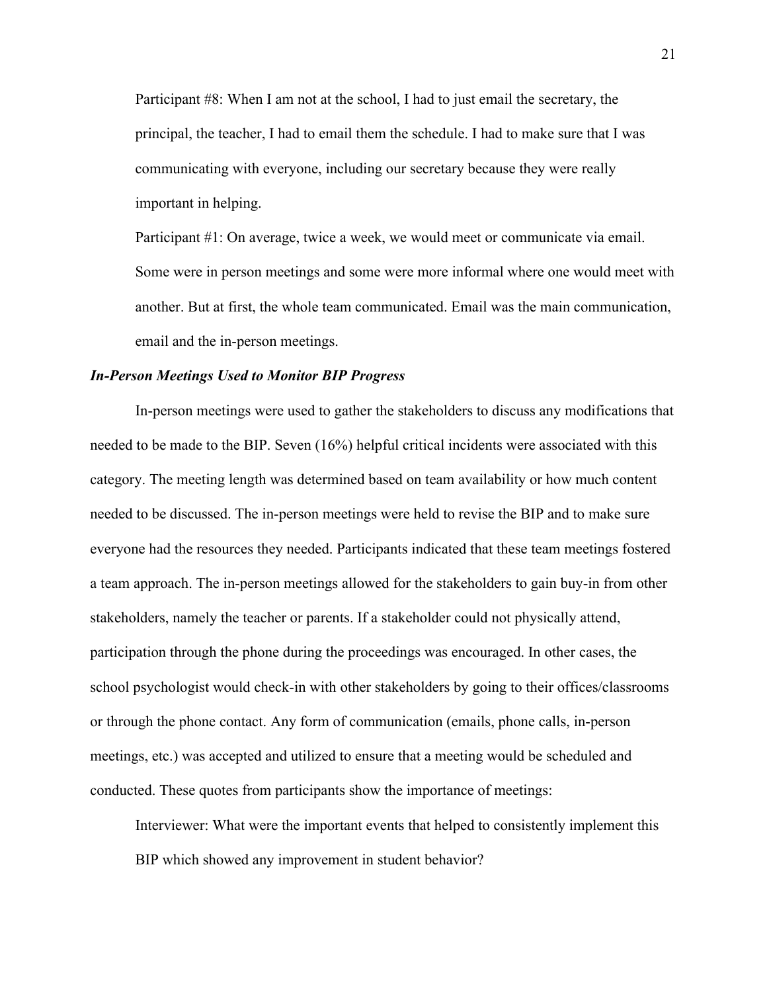Participant #8: When I am not at the school, I had to just email the secretary, the principal, the teacher, I had to email them the schedule. I had to make sure that I was communicating with everyone, including our secretary because they were really important in helping.

Participant #1: On average, twice a week, we would meet or communicate via email. Some were in person meetings and some were more informal where one would meet with another. But at first, the whole team communicated. Email was the main communication, email and the in-person meetings.

### <span id="page-27-0"></span>*In-Person Meetings Used to Monitor BIP Progress*

In-person meetings were used to gather the stakeholders to discuss any modifications that needed to be made to the BIP. Seven (16%) helpful critical incidents were associated with this category. The meeting length was determined based on team availability or how much content needed to be discussed. The in-person meetings were held to revise the BIP and to make sure everyone had the resources they needed. Participants indicated that these team meetings fostered a team approach. The in-person meetings allowed for the stakeholders to gain buy-in from other stakeholders, namely the teacher or parents. If a stakeholder could not physically attend, participation through the phone during the proceedings was encouraged. In other cases, the school psychologist would check-in with other stakeholders by going to their offices/classrooms or through the phone contact. Any form of communication (emails, phone calls, in-person meetings, etc.) was accepted and utilized to ensure that a meeting would be scheduled and conducted. These quotes from participants show the importance of meetings:

Interviewer: What were the important events that helped to consistently implement this BIP which showed any improvement in student behavior?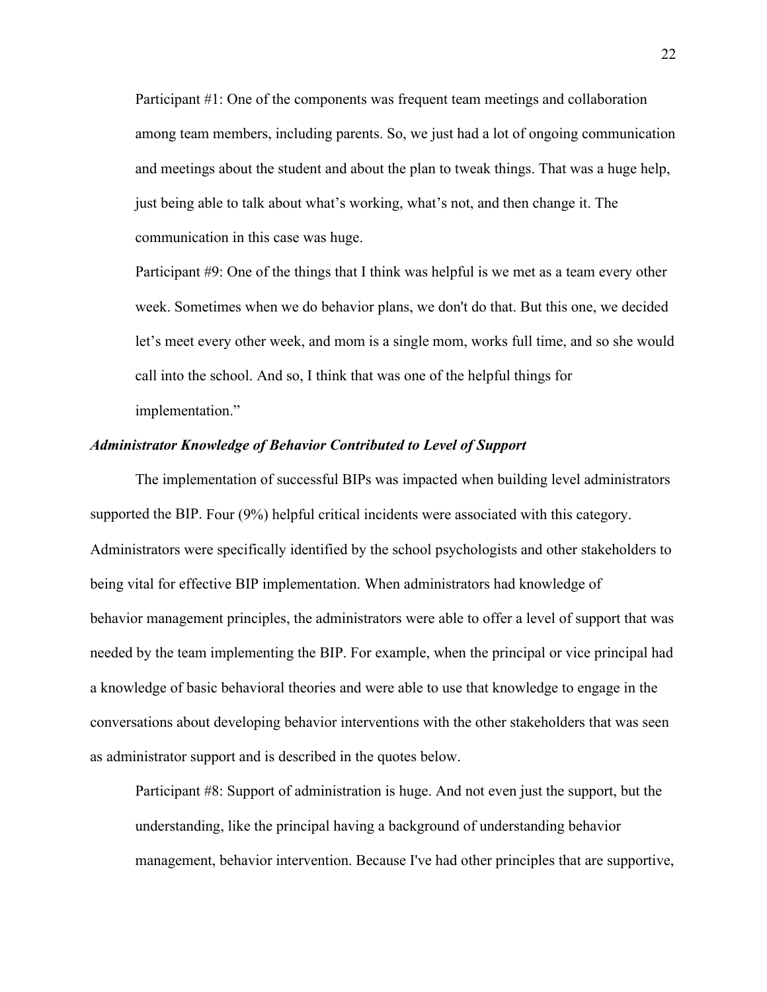Participant #1: One of the components was frequent team meetings and collaboration among team members, including parents. So, we just had a lot of ongoing communication and meetings about the student and about the plan to tweak things. That was a huge help, just being able to talk about what's working, what's not, and then change it. The communication in this case was huge.

Participant #9: One of the things that I think was helpful is we met as a team every other week. Sometimes when we do behavior plans, we don't do that. But this one, we decided let's meet every other week, and mom is a single mom, works full time, and so she would call into the school. And so, I think that was one of the helpful things for implementation."

### <span id="page-28-0"></span>*Administrator Knowledge of Behavior Contributed to Level of Support*

The implementation of successful BIPs was impacted when building level administrators supported the BIP. Four (9%) helpful critical incidents were associated with this category. Administrators were specifically identified by the school psychologists and other stakeholders to being vital for effective BIP implementation. When administrators had knowledge of behavior management principles, the administrators were able to offer a level of support that was needed by the team implementing the BIP. For example, when the principal or vice principal had a knowledge of basic behavioral theories and were able to use that knowledge to engage in the conversations about developing behavior interventions with the other stakeholders that was seen as administrator support and is described in the quotes below.

Participant #8: Support of administration is huge. And not even just the support, but the understanding, like the principal having a background of understanding behavior management, behavior intervention. Because I've had other principles that are supportive,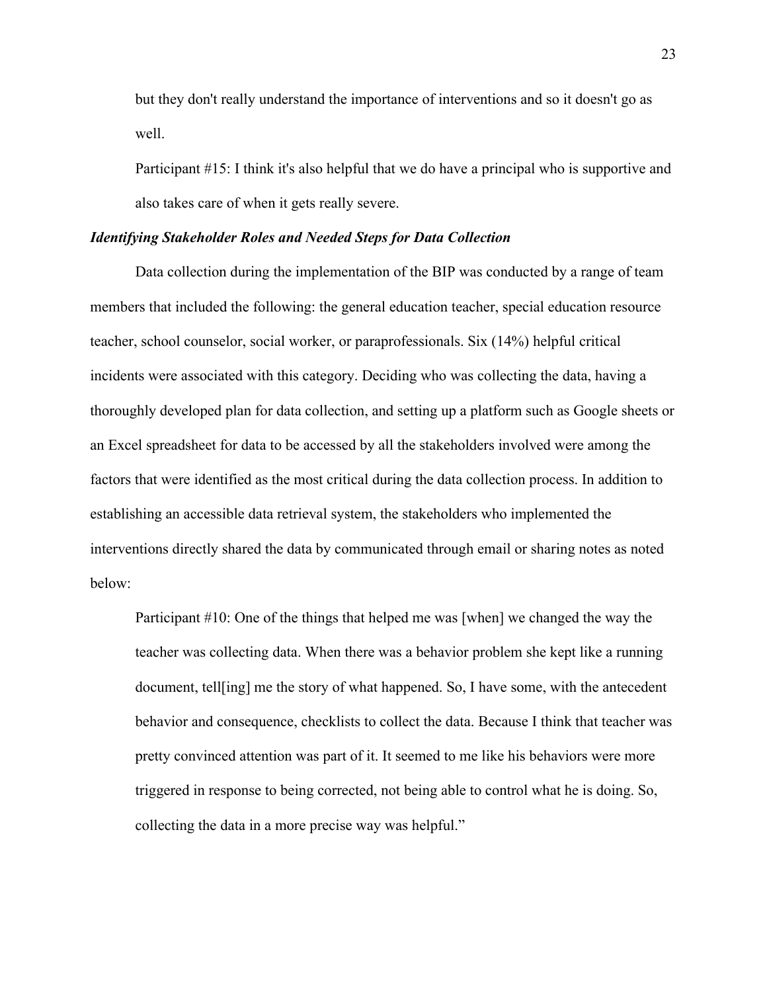but they don't really understand the importance of interventions and so it doesn't go as well.

Participant #15: I think it's also helpful that we do have a principal who is supportive and also takes care of when it gets really severe.

#### <span id="page-29-0"></span>*Identifying Stakeholder Roles and Needed Steps for Data Collection*

Data collection during the implementation of the BIP was conducted by a range of team members that included the following: the general education teacher, special education resource teacher, school counselor, social worker, or paraprofessionals. Six (14%) helpful critical incidents were associated with this category. Deciding who was collecting the data, having a thoroughly developed plan for data collection, and setting up a platform such as Google sheets or an Excel spreadsheet for data to be accessed by all the stakeholders involved were among the factors that were identified as the most critical during the data collection process. In addition to establishing an accessible data retrieval system, the stakeholders who implemented the interventions directly shared the data by communicated through email or sharing notes as noted below:

Participant #10: One of the things that helped me was [when] we changed the way the teacher was collecting data. When there was a behavior problem she kept like a running document, tell[ing] me the story of what happened. So, I have some, with the antecedent behavior and consequence, checklists to collect the data. Because I think that teacher was pretty convinced attention was part of it. It seemed to me like his behaviors were more triggered in response to being corrected, not being able to control what he is doing. So, collecting the data in a more precise way was helpful."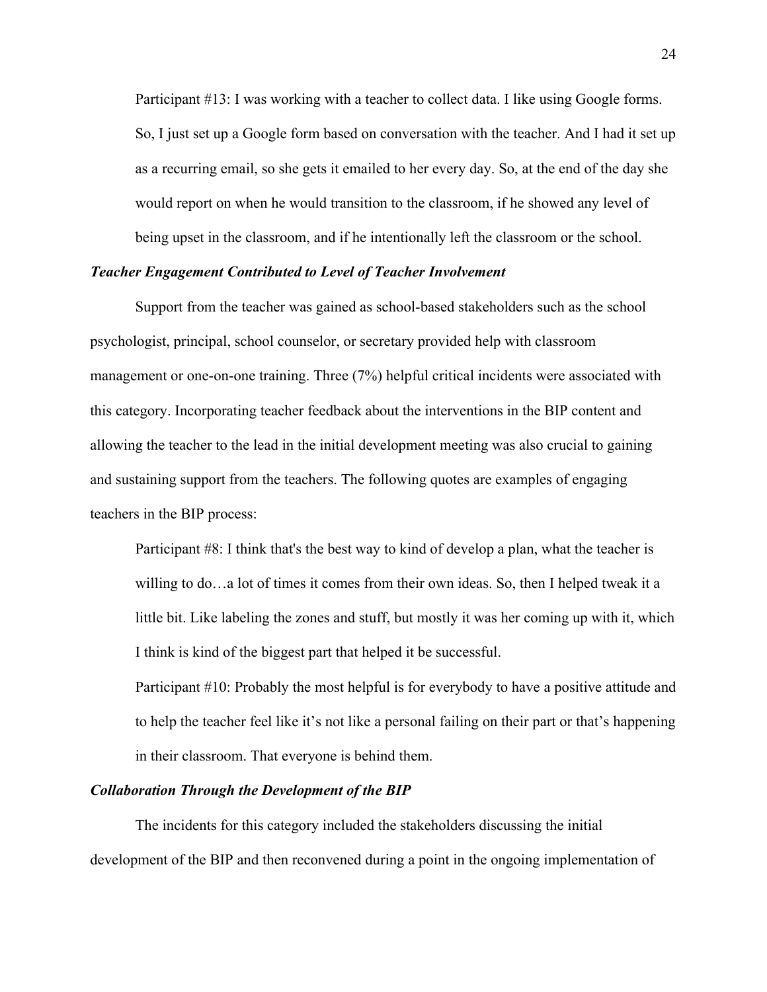Participant #13: I was working with a teacher to collect data. I like using Google forms. So, I just set up a Google form based on conversation with the teacher. And I had it set up as a recurring email, so she gets it emailed to her every day. So, at the end of the day she would report on when he would transition to the classroom, if he showed any level of being upset in the classroom, and if he intentionally left the classroom or the school.

### <span id="page-30-0"></span>*Teacher Engagement Contributed to Level of Teacher Involvement*

Support from the teacher was gained as school-based stakeholders such as the school psychologist, principal, school counselor, or secretary provided help with classroom management or one-on-one training. Three (7%) helpful critical incidents were associated with this category. Incorporating teacher feedback about the interventions in the BIP content and allowing the teacher to the lead in the initial development meeting was also crucial to gaining and sustaining support from the teachers. The following quotes are examples of engaging teachers in the BIP process:

Participant #8: I think that's the best way to kind of develop a plan, what the teacher is willing to do…a lot of times it comes from their own ideas. So, then I helped tweak it a little bit. Like labeling the zones and stuff, but mostly it was her coming up with it, which I think is kind of the biggest part that helped it be successful.

Participant #10: Probably the most helpful is for everybody to have a positive attitude and to help the teacher feel like it's not like a personal failing on their part or that's happening in their classroom. That everyone is behind them.

### <span id="page-30-1"></span>*Collaboration Through the Development of the BIP*

The incidents for this category included the stakeholders discussing the initial development of the BIP and then reconvened during a point in the ongoing implementation of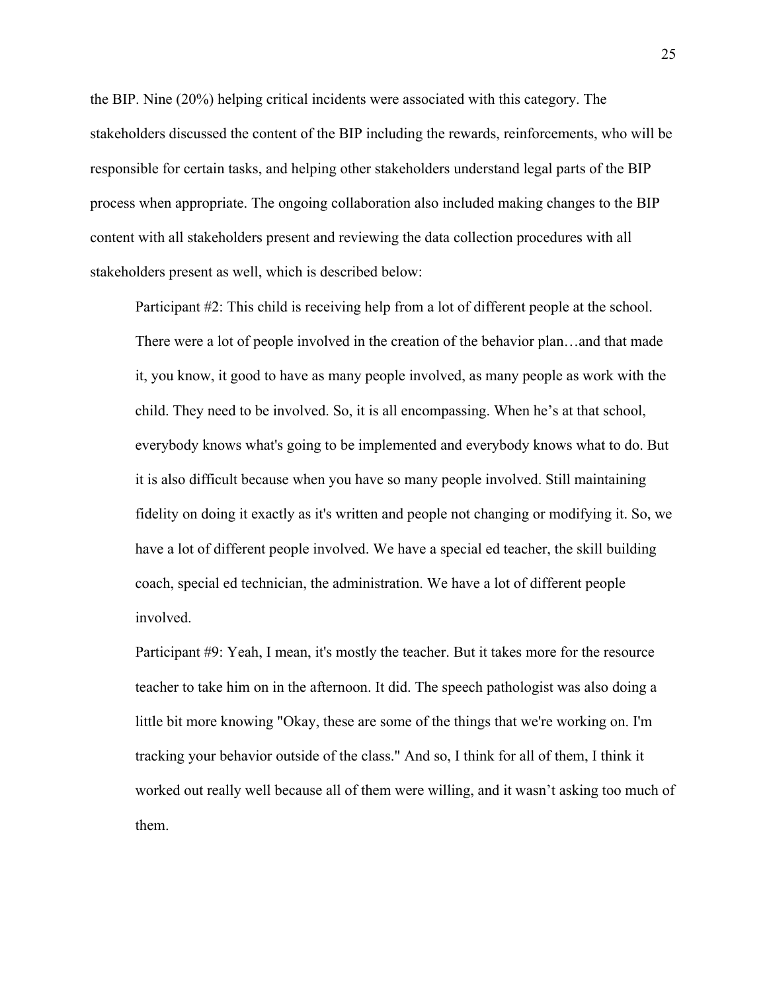the BIP. Nine (20%) helping critical incidents were associated with this category. The stakeholders discussed the content of the BIP including the rewards, reinforcements, who will be responsible for certain tasks, and helping other stakeholders understand legal parts of the BIP process when appropriate. The ongoing collaboration also included making changes to the BIP content with all stakeholders present and reviewing the data collection procedures with all stakeholders present as well, which is described below:

Participant #2: This child is receiving help from a lot of different people at the school. There were a lot of people involved in the creation of the behavior plan…and that made it, you know, it good to have as many people involved, as many people as work with the child. They need to be involved. So, it is all encompassing. When he's at that school, everybody knows what's going to be implemented and everybody knows what to do. But it is also difficult because when you have so many people involved. Still maintaining fidelity on doing it exactly as it's written and people not changing or modifying it. So, we have a lot of different people involved. We have a special ed teacher, the skill building coach, special ed technician, the administration. We have a lot of different people involved.

Participant #9: Yeah, I mean, it's mostly the teacher. But it takes more for the resource teacher to take him on in the afternoon. It did. The speech pathologist was also doing a little bit more knowing "Okay, these are some of the things that we're working on. I'm tracking your behavior outside of the class." And so, I think for all of them, I think it worked out really well because all of them were willing, and it wasn't asking too much of them.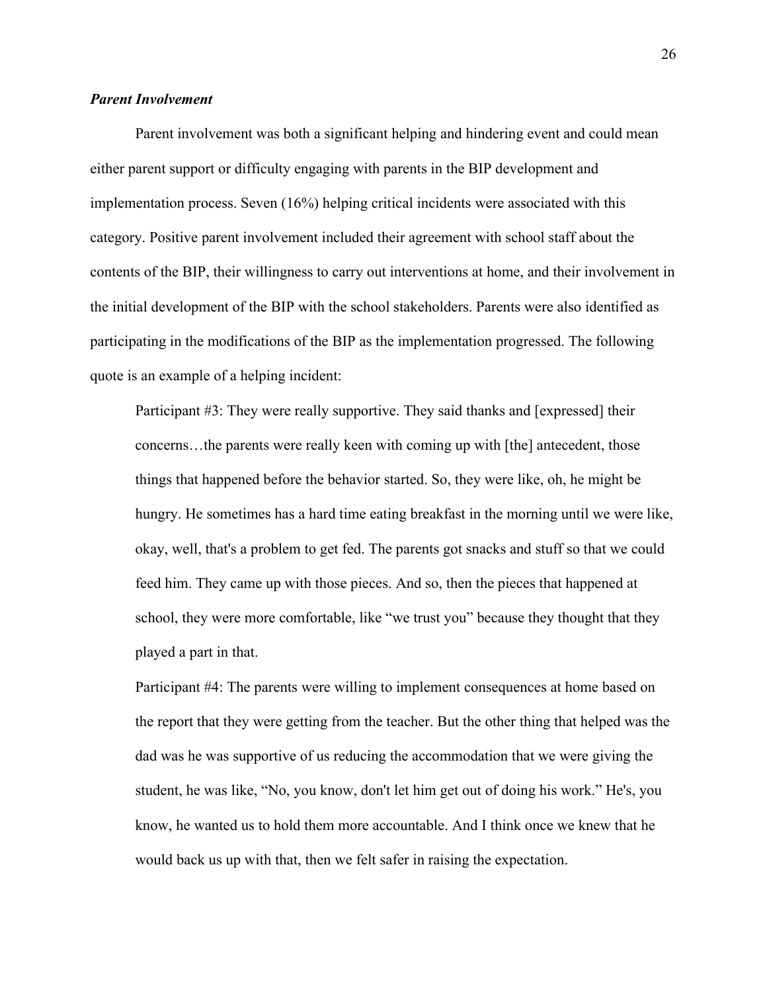### <span id="page-32-0"></span>*Parent Involvement*

Parent involvement was both a significant helping and hindering event and could mean either parent support or difficulty engaging with parents in the BIP development and implementation process. Seven (16%) helping critical incidents were associated with this category. Positive parent involvement included their agreement with school staff about the contents of the BIP, their willingness to carry out interventions at home, and their involvement in the initial development of the BIP with the school stakeholders. Parents were also identified as participating in the modifications of the BIP as the implementation progressed. The following quote is an example of a helping incident:

Participant #3: They were really supportive. They said thanks and [expressed] their concerns…the parents were really keen with coming up with [the] antecedent, those things that happened before the behavior started. So, they were like, oh, he might be hungry. He sometimes has a hard time eating breakfast in the morning until we were like, okay, well, that's a problem to get fed. The parents got snacks and stuff so that we could feed him. They came up with those pieces. And so, then the pieces that happened at school, they were more comfortable, like "we trust you" because they thought that they played a part in that.

Participant #4: The parents were willing to implement consequences at home based on the report that they were getting from the teacher. But the other thing that helped was the dad was he was supportive of us reducing the accommodation that we were giving the student, he was like, "No, you know, don't let him get out of doing his work." He's, you know, he wanted us to hold them more accountable. And I think once we knew that he would back us up with that, then we felt safer in raising the expectation.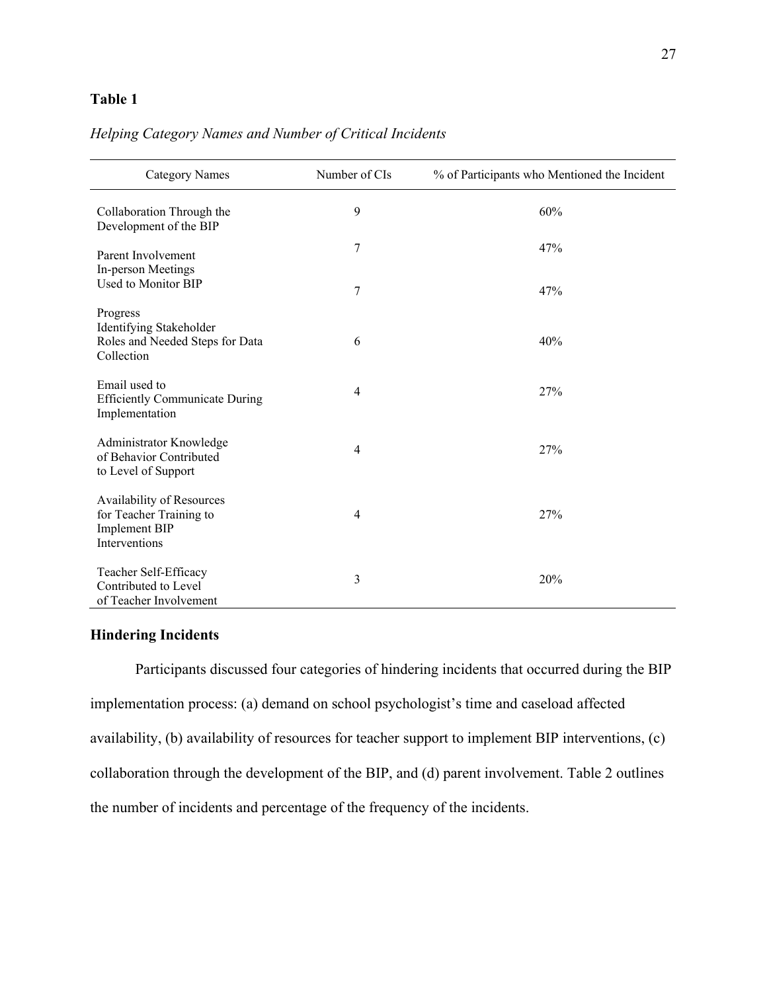### <span id="page-33-1"></span>**Table 1**

### Category Names Number of CIs % of Participants who Mentioned the Incident Collaboration Through the Development of the BIP 9 60% Parent Involvement 2008 and 2008 7 47% In-person Meetings Used to Monitor BIP Progress  $7 \frac{47}{%}$ Identifying Stakeholder Roles and Needed Steps for Data Collection 6  $40%$ Email used to Efficiently Communicate During Implementation 4 27% Administrator Knowledge of Behavior Contributed to Level of Support 4 27% Availability of Resources for Teacher Training to Implement BIP Interventions 4 27% Teacher Self-Efficacy Contributed to Level of Teacher Involvement  $3 \t 20\%$

### *Helping Category Names and Number of Critical Incidents*

### <span id="page-33-0"></span>**Hindering Incidents**

Participants discussed four categories of hindering incidents that occurred during the BIP implementation process: (a) demand on school psychologist's time and caseload affected availability, (b) availability of resources for teacher support to implement BIP interventions, (c) collaboration through the development of the BIP, and (d) parent involvement. Table 2 outlines the number of incidents and percentage of the frequency of the incidents.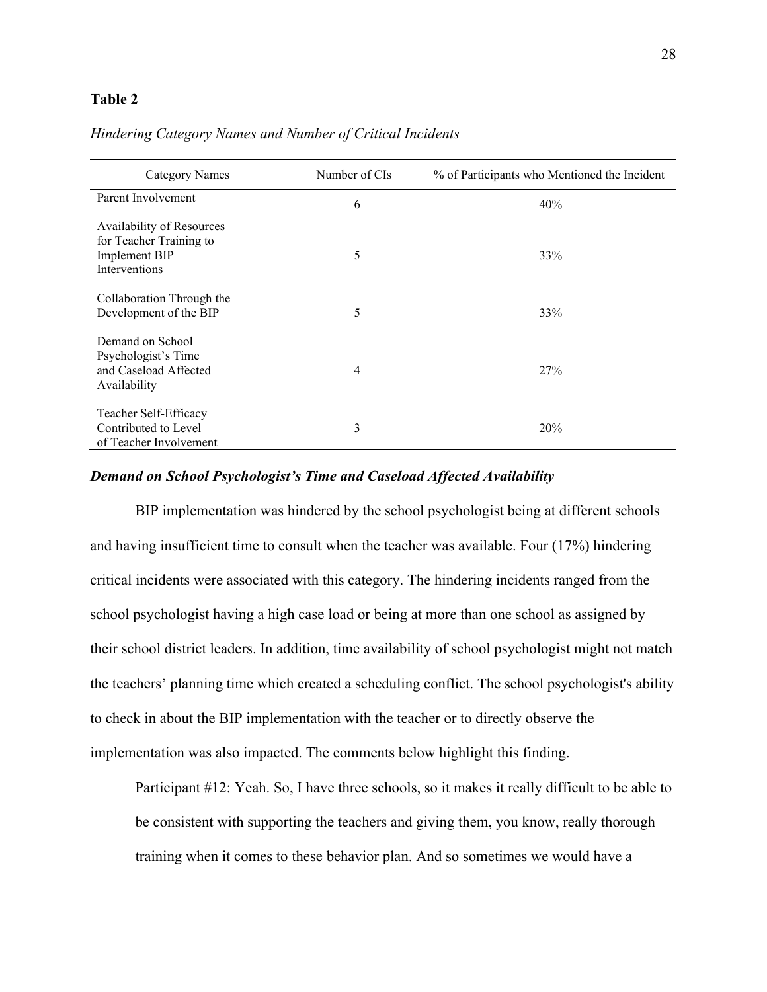### <span id="page-34-1"></span>**Table 2**

| Category Names                                                                         | Number of CIs  | % of Participants who Mentioned the Incident |
|----------------------------------------------------------------------------------------|----------------|----------------------------------------------|
| Parent Involvement                                                                     | 6              | 40%                                          |
| Availability of Resources<br>for Teacher Training to<br>Implement BIP<br>Interventions | 5              | 33%                                          |
| Collaboration Through the<br>Development of the BIP                                    | 5              | 33%                                          |
| Demand on School<br>Psychologist's Time<br>and Caseload Affected<br>Availability       | $\overline{4}$ | 27%                                          |
| Teacher Self-Efficacy<br>Contributed to Level<br>of Teacher Involvement                | 3              | 20%                                          |

### *Hindering Category Names and Number of Critical Incidents*

### <span id="page-34-0"></span>*Demand on School Psychologist's Time and Caseload Affected Availability*

BIP implementation was hindered by the school psychologist being at different schools and having insufficient time to consult when the teacher was available. Four (17%) hindering critical incidents were associated with this category. The hindering incidents ranged from the school psychologist having a high case load or being at more than one school as assigned by their school district leaders. In addition, time availability of school psychologist might not match the teachers' planning time which created a scheduling conflict. The school psychologist's ability to check in about the BIP implementation with the teacher or to directly observe the implementation was also impacted. The comments below highlight this finding.

Participant #12: Yeah. So, I have three schools, so it makes it really difficult to be able to be consistent with supporting the teachers and giving them, you know, really thorough training when it comes to these behavior plan. And so sometimes we would have a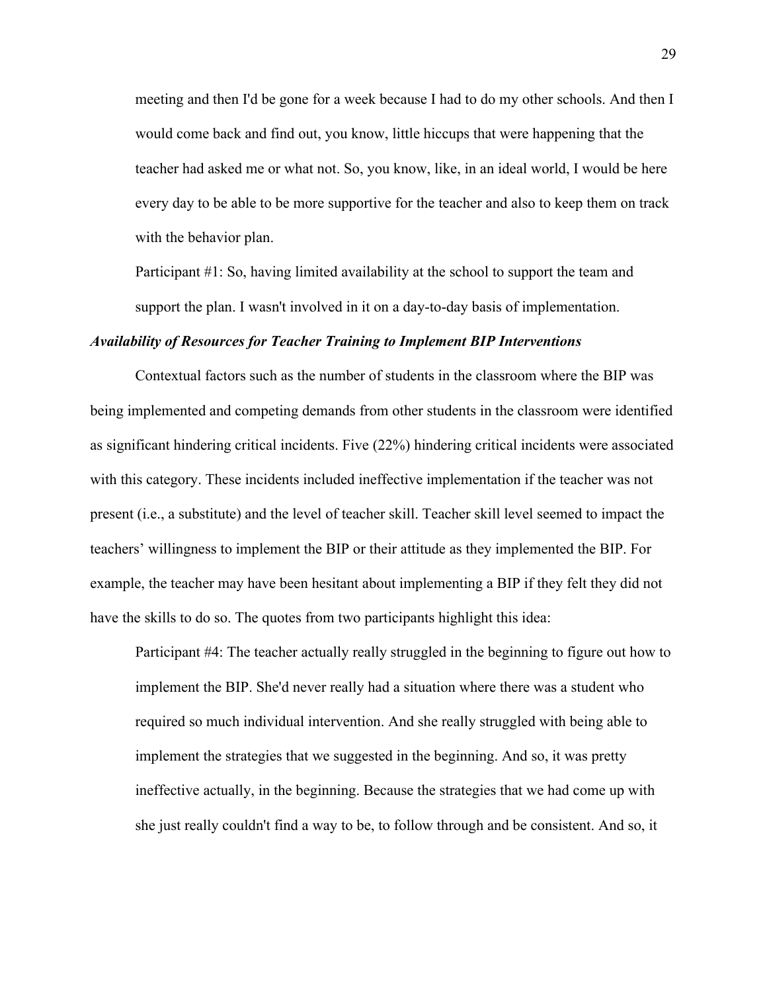meeting and then I'd be gone for a week because I had to do my other schools. And then I would come back and find out, you know, little hiccups that were happening that the teacher had asked me or what not. So, you know, like, in an ideal world, I would be here every day to be able to be more supportive for the teacher and also to keep them on track with the behavior plan.

Participant #1: So, having limited availability at the school to support the team and support the plan. I wasn't involved in it on a day-to-day basis of implementation.

### <span id="page-35-0"></span>*Availability of Resources for Teacher Training to Implement BIP Interventions*

Contextual factors such as the number of students in the classroom where the BIP was being implemented and competing demands from other students in the classroom were identified as significant hindering critical incidents. Five (22%) hindering critical incidents were associated with this category. These incidents included ineffective implementation if the teacher was not present (i.e., a substitute) and the level of teacher skill. Teacher skill level seemed to impact the teachers' willingness to implement the BIP or their attitude as they implemented the BIP. For example, the teacher may have been hesitant about implementing a BIP if they felt they did not have the skills to do so. The quotes from two participants highlight this idea:

Participant #4: The teacher actually really struggled in the beginning to figure out how to implement the BIP. She'd never really had a situation where there was a student who required so much individual intervention. And she really struggled with being able to implement the strategies that we suggested in the beginning. And so, it was pretty ineffective actually, in the beginning. Because the strategies that we had come up with she just really couldn't find a way to be, to follow through and be consistent. And so, it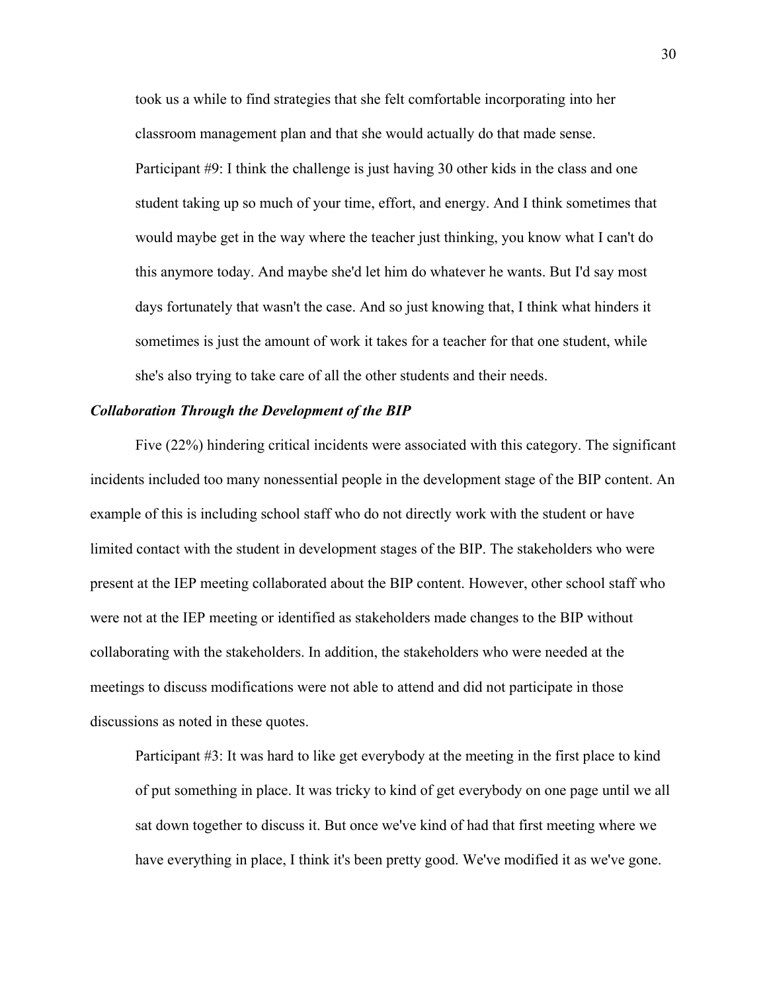took us a while to find strategies that she felt comfortable incorporating into her classroom management plan and that she would actually do that made sense. Participant #9: I think the challenge is just having 30 other kids in the class and one student taking up so much of your time, effort, and energy. And I think sometimes that would maybe get in the way where the teacher just thinking, you know what I can't do this anymore today. And maybe she'd let him do whatever he wants. But I'd say most days fortunately that wasn't the case. And so just knowing that, I think what hinders it sometimes is just the amount of work it takes for a teacher for that one student, while she's also trying to take care of all the other students and their needs.

### <span id="page-36-0"></span>*Collaboration Through the Development of the BIP*

Five (22%) hindering critical incidents were associated with this category. The significant incidents included too many nonessential people in the development stage of the BIP content. An example of this is including school staff who do not directly work with the student or have limited contact with the student in development stages of the BIP. The stakeholders who were present at the IEP meeting collaborated about the BIP content. However, other school staff who were not at the IEP meeting or identified as stakeholders made changes to the BIP without collaborating with the stakeholders. In addition, the stakeholders who were needed at the meetings to discuss modifications were not able to attend and did not participate in those discussions as noted in these quotes.

Participant #3: It was hard to like get everybody at the meeting in the first place to kind of put something in place. It was tricky to kind of get everybody on one page until we all sat down together to discuss it. But once we've kind of had that first meeting where we have everything in place, I think it's been pretty good. We've modified it as we've gone.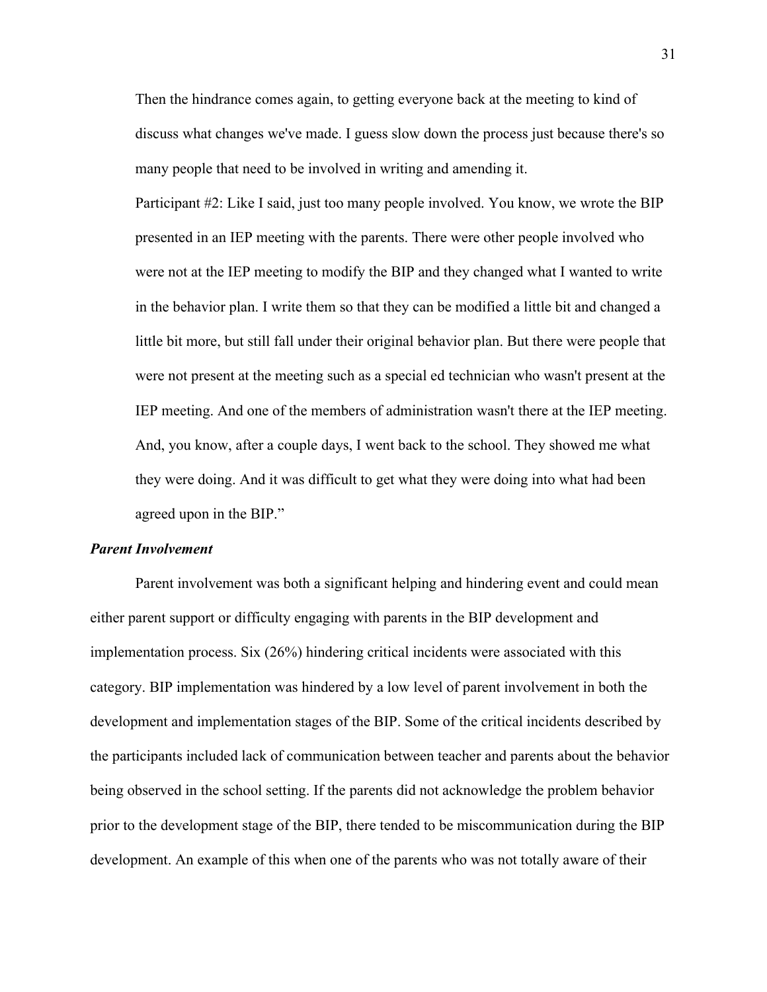Then the hindrance comes again, to getting everyone back at the meeting to kind of discuss what changes we've made. I guess slow down the process just because there's so many people that need to be involved in writing and amending it.

Participant #2: Like I said, just too many people involved. You know, we wrote the BIP presented in an IEP meeting with the parents. There were other people involved who were not at the IEP meeting to modify the BIP and they changed what I wanted to write in the behavior plan. I write them so that they can be modified a little bit and changed a little bit more, but still fall under their original behavior plan. But there were people that were not present at the meeting such as a special ed technician who wasn't present at the IEP meeting. And one of the members of administration wasn't there at the IEP meeting. And, you know, after a couple days, I went back to the school. They showed me what they were doing. And it was difficult to get what they were doing into what had been agreed upon in the BIP."

#### <span id="page-37-0"></span>*Parent Involvement*

Parent involvement was both a significant helping and hindering event and could mean either parent support or difficulty engaging with parents in the BIP development and implementation process. Six (26%) hindering critical incidents were associated with this category. BIP implementation was hindered by a low level of parent involvement in both the development and implementation stages of the BIP. Some of the critical incidents described by the participants included lack of communication between teacher and parents about the behavior being observed in the school setting. If the parents did not acknowledge the problem behavior prior to the development stage of the BIP, there tended to be miscommunication during the BIP development. An example of this when one of the parents who was not totally aware of their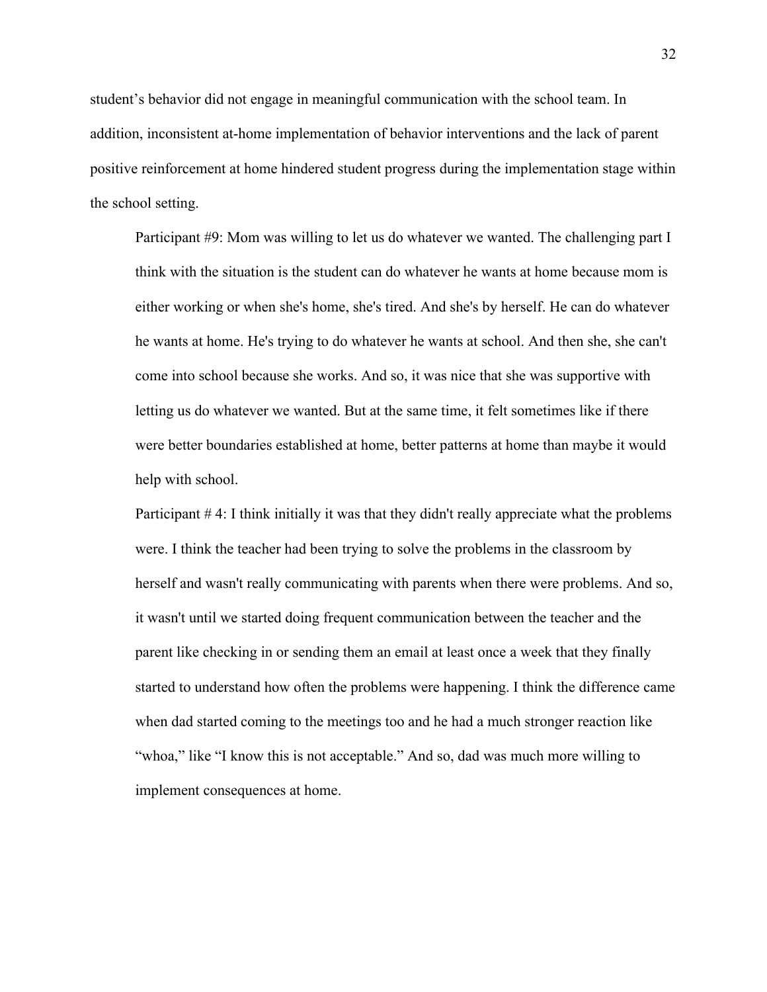student's behavior did not engage in meaningful communication with the school team. In addition, inconsistent at-home implementation of behavior interventions and the lack of parent positive reinforcement at home hindered student progress during the implementation stage within the school setting.

Participant #9: Mom was willing to let us do whatever we wanted. The challenging part I think with the situation is the student can do whatever he wants at home because mom is either working or when she's home, she's tired. And she's by herself. He can do whatever he wants at home. He's trying to do whatever he wants at school. And then she, she can't come into school because she works. And so, it was nice that she was supportive with letting us do whatever we wanted. But at the same time, it felt sometimes like if there were better boundaries established at home, better patterns at home than maybe it would help with school.

Participant # 4: I think initially it was that they didn't really appreciate what the problems were. I think the teacher had been trying to solve the problems in the classroom by herself and wasn't really communicating with parents when there were problems. And so, it wasn't until we started doing frequent communication between the teacher and the parent like checking in or sending them an email at least once a week that they finally started to understand how often the problems were happening. I think the difference came when dad started coming to the meetings too and he had a much stronger reaction like "whoa," like "I know this is not acceptable." And so, dad was much more willing to implement consequences at home.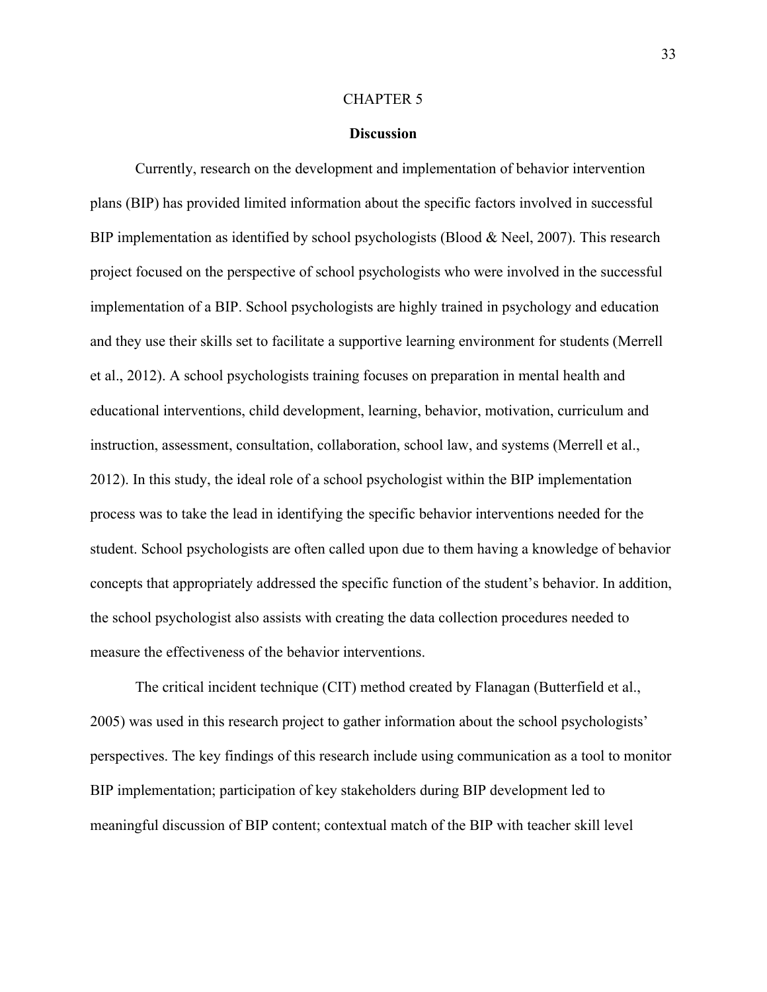#### CHAPTER 5

#### **Discussion**

<span id="page-39-0"></span>Currently, research on the development and implementation of behavior intervention plans (BIP) has provided limited information about the specific factors involved in successful BIP implementation as identified by school psychologists (Blood & Neel, 2007). This research project focused on the perspective of school psychologists who were involved in the successful implementation of a BIP. School psychologists are highly trained in psychology and education and they use their skills set to facilitate a supportive learning environment for students (Merrell et al., 2012). A school psychologists training focuses on preparation in mental health and educational interventions, child development, learning, behavior, motivation, curriculum and instruction, assessment, consultation, collaboration, school law, and systems (Merrell et al., 2012). In this study, the ideal role of a school psychologist within the BIP implementation process was to take the lead in identifying the specific behavior interventions needed for the student. School psychologists are often called upon due to them having a knowledge of behavior concepts that appropriately addressed the specific function of the student's behavior. In addition, the school psychologist also assists with creating the data collection procedures needed to measure the effectiveness of the behavior interventions.

The critical incident technique (CIT) method created by Flanagan (Butterfield et al., 2005) was used in this research project to gather information about the school psychologists' perspectives. The key findings of this research include using communication as a tool to monitor BIP implementation; participation of key stakeholders during BIP development led to meaningful discussion of BIP content; contextual match of the BIP with teacher skill level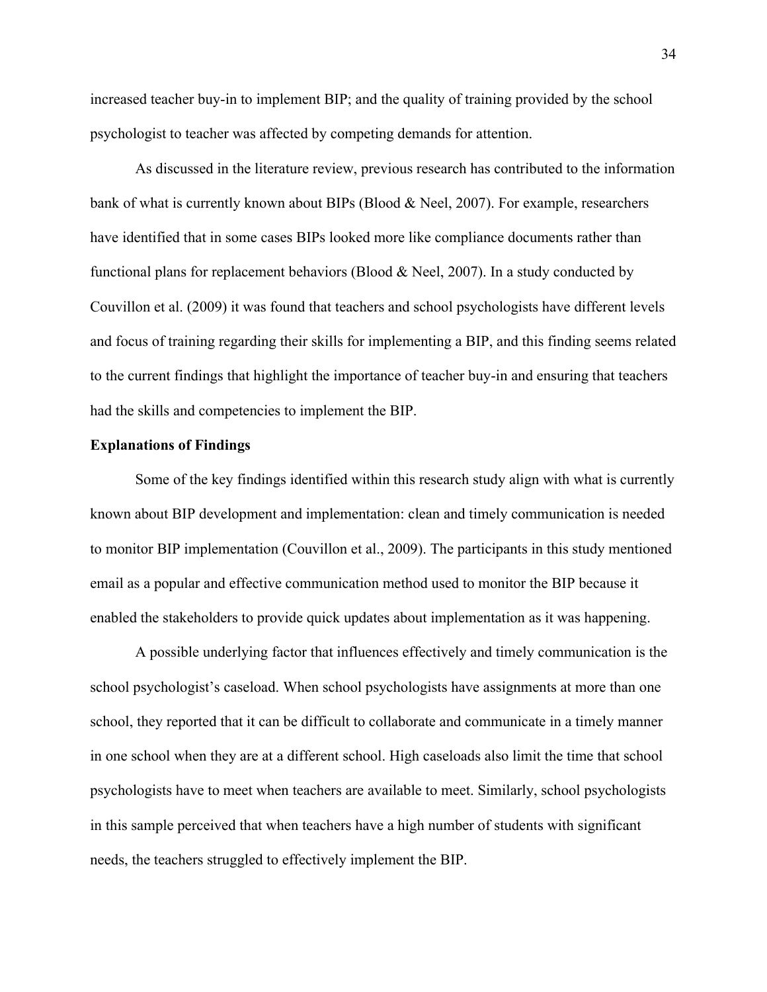increased teacher buy-in to implement BIP; and the quality of training provided by the school psychologist to teacher was affected by competing demands for attention.

As discussed in the literature review, previous research has contributed to the information bank of what is currently known about BIPs (Blood & Neel, 2007). For example, researchers have identified that in some cases BIPs looked more like compliance documents rather than functional plans for replacement behaviors (Blood & Neel, 2007). In a study conducted by Couvillon et al. (2009) it was found that teachers and school psychologists have different levels and focus of training regarding their skills for implementing a BIP, and this finding seems related to the current findings that highlight the importance of teacher buy-in and ensuring that teachers had the skills and competencies to implement the BIP.

### <span id="page-40-0"></span>**Explanations of Findings**

Some of the key findings identified within this research study align with what is currently known about BIP development and implementation: clean and timely communication is needed to monitor BIP implementation (Couvillon et al., 2009). The participants in this study mentioned email as a popular and effective communication method used to monitor the BIP because it enabled the stakeholders to provide quick updates about implementation as it was happening.

A possible underlying factor that influences effectively and timely communication is the school psychologist's caseload. When school psychologists have assignments at more than one school, they reported that it can be difficult to collaborate and communicate in a timely manner in one school when they are at a different school. High caseloads also limit the time that school psychologists have to meet when teachers are available to meet. Similarly, school psychologists in this sample perceived that when teachers have a high number of students with significant needs, the teachers struggled to effectively implement the BIP.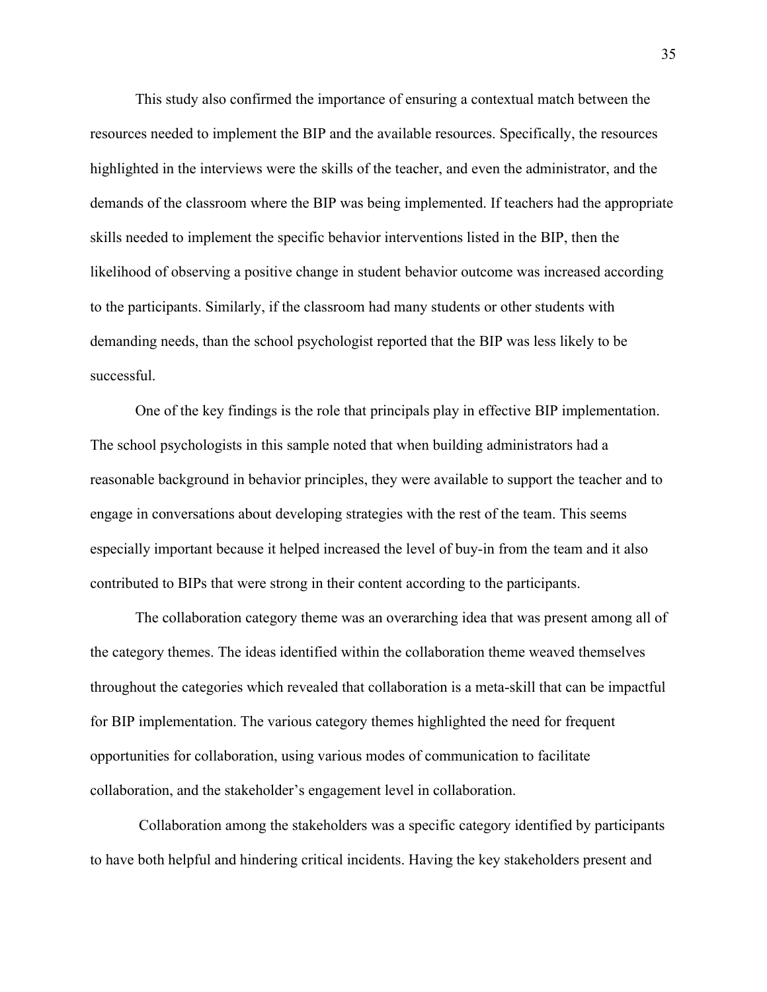This study also confirmed the importance of ensuring a contextual match between the resources needed to implement the BIP and the available resources. Specifically, the resources highlighted in the interviews were the skills of the teacher, and even the administrator, and the demands of the classroom where the BIP was being implemented. If teachers had the appropriate skills needed to implement the specific behavior interventions listed in the BIP, then the likelihood of observing a positive change in student behavior outcome was increased according to the participants. Similarly, if the classroom had many students or other students with demanding needs, than the school psychologist reported that the BIP was less likely to be successful.

One of the key findings is the role that principals play in effective BIP implementation. The school psychologists in this sample noted that when building administrators had a reasonable background in behavior principles, they were available to support the teacher and to engage in conversations about developing strategies with the rest of the team. This seems especially important because it helped increased the level of buy-in from the team and it also contributed to BIPs that were strong in their content according to the participants.

The collaboration category theme was an overarching idea that was present among all of the category themes. The ideas identified within the collaboration theme weaved themselves throughout the categories which revealed that collaboration is a meta-skill that can be impactful for BIP implementation. The various category themes highlighted the need for frequent opportunities for collaboration, using various modes of communication to facilitate collaboration, and the stakeholder's engagement level in collaboration.

Collaboration among the stakeholders was a specific category identified by participants to have both helpful and hindering critical incidents. Having the key stakeholders present and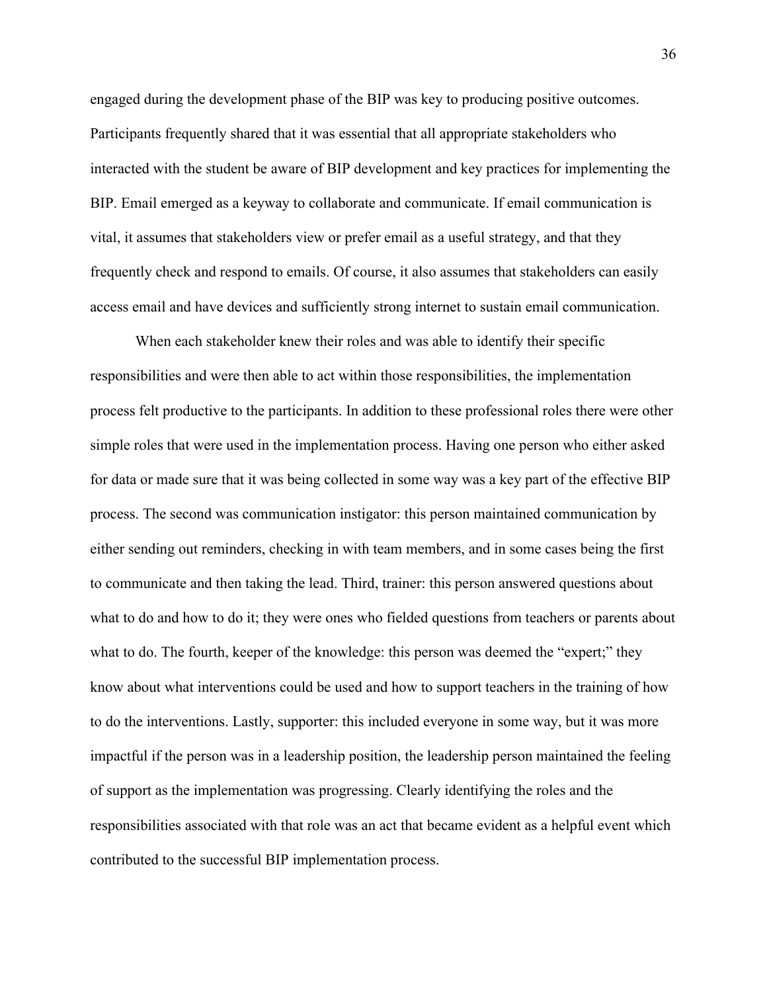engaged during the development phase of the BIP was key to producing positive outcomes. Participants frequently shared that it was essential that all appropriate stakeholders who interacted with the student be aware of BIP development and key practices for implementing the BIP. Email emerged as a keyway to collaborate and communicate. If email communication is vital, it assumes that stakeholders view or prefer email as a useful strategy, and that they frequently check and respond to emails. Of course, it also assumes that stakeholders can easily access email and have devices and sufficiently strong internet to sustain email communication.

When each stakeholder knew their roles and was able to identify their specific responsibilities and were then able to act within those responsibilities, the implementation process felt productive to the participants. In addition to these professional roles there were other simple roles that were used in the implementation process. Having one person who either asked for data or made sure that it was being collected in some way was a key part of the effective BIP process. The second was communication instigator: this person maintained communication by either sending out reminders, checking in with team members, and in some cases being the first to communicate and then taking the lead. Third, trainer: this person answered questions about what to do and how to do it; they were ones who fielded questions from teachers or parents about what to do. The fourth, keeper of the knowledge: this person was deemed the "expert;" they know about what interventions could be used and how to support teachers in the training of how to do the interventions. Lastly, supporter: this included everyone in some way, but it was more impactful if the person was in a leadership position, the leadership person maintained the feeling of support as the implementation was progressing. Clearly identifying the roles and the responsibilities associated with that role was an act that became evident as a helpful event which contributed to the successful BIP implementation process.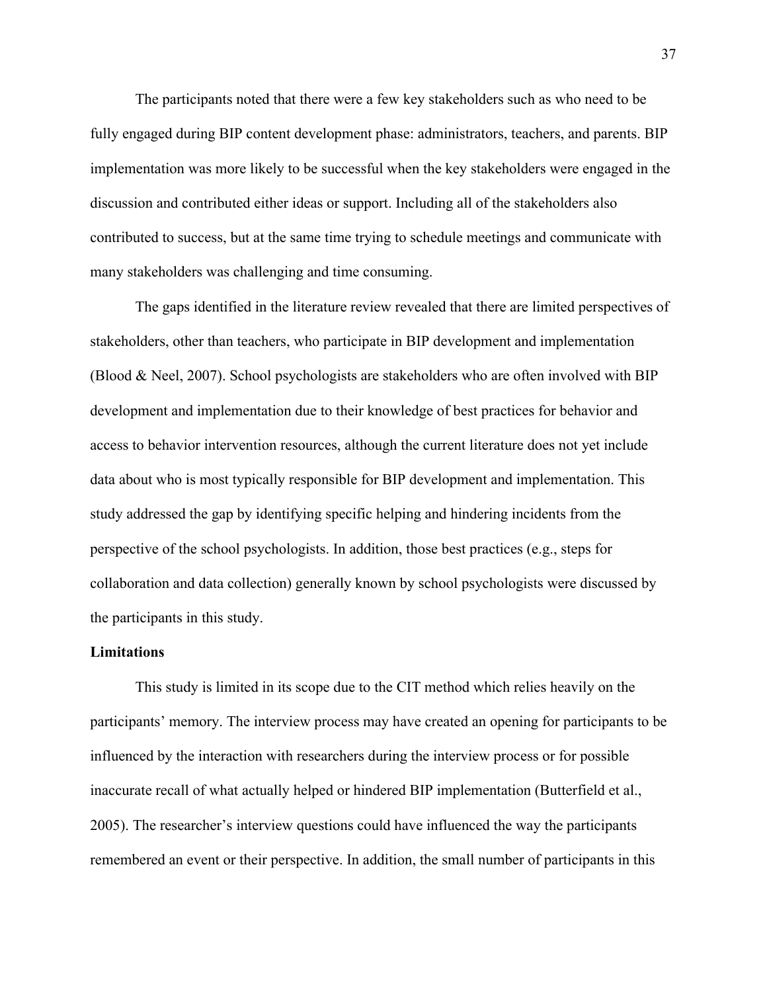The participants noted that there were a few key stakeholders such as who need to be fully engaged during BIP content development phase: administrators, teachers, and parents. BIP implementation was more likely to be successful when the key stakeholders were engaged in the discussion and contributed either ideas or support. Including all of the stakeholders also contributed to success, but at the same time trying to schedule meetings and communicate with many stakeholders was challenging and time consuming.

The gaps identified in the literature review revealed that there are limited perspectives of stakeholders, other than teachers, who participate in BIP development and implementation (Blood & Neel, 2007). School psychologists are stakeholders who are often involved with BIP development and implementation due to their knowledge of best practices for behavior and access to behavior intervention resources, although the current literature does not yet include data about who is most typically responsible for BIP development and implementation. This study addressed the gap by identifying specific helping and hindering incidents from the perspective of the school psychologists. In addition, those best practices (e.g., steps for collaboration and data collection) generally known by school psychologists were discussed by the participants in this study.

### <span id="page-43-0"></span>**Limitations**

This study is limited in its scope due to the CIT method which relies heavily on the participants' memory. The interview process may have created an opening for participants to be influenced by the interaction with researchers during the interview process or for possible inaccurate recall of what actually helped or hindered BIP implementation (Butterfield et al., 2005). The researcher's interview questions could have influenced the way the participants remembered an event or their perspective. In addition, the small number of participants in this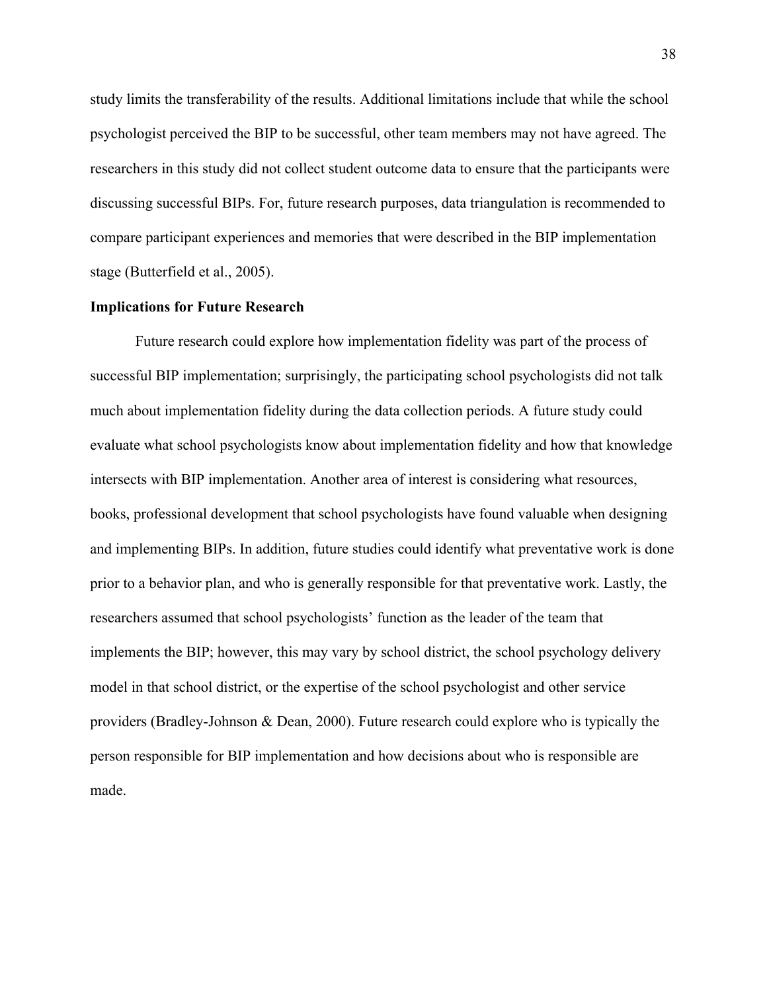study limits the transferability of the results. Additional limitations include that while the school psychologist perceived the BIP to be successful, other team members may not have agreed. The researchers in this study did not collect student outcome data to ensure that the participants were discussing successful BIPs. For, future research purposes, data triangulation is recommended to compare participant experiences and memories that were described in the BIP implementation stage (Butterfield et al., 2005).

### <span id="page-44-0"></span>**Implications for Future Research**

Future research could explore how implementation fidelity was part of the process of successful BIP implementation; surprisingly, the participating school psychologists did not talk much about implementation fidelity during the data collection periods. A future study could evaluate what school psychologists know about implementation fidelity and how that knowledge intersects with BIP implementation. Another area of interest is considering what resources, books, professional development that school psychologists have found valuable when designing and implementing BIPs. In addition, future studies could identify what preventative work is done prior to a behavior plan, and who is generally responsible for that preventative work. Lastly, the researchers assumed that school psychologists' function as the leader of the team that implements the BIP; however, this may vary by school district, the school psychology delivery model in that school district, or the expertise of the school psychologist and other service providers (Bradley-Johnson & Dean, 2000). Future research could explore who is typically the person responsible for BIP implementation and how decisions about who is responsible are made.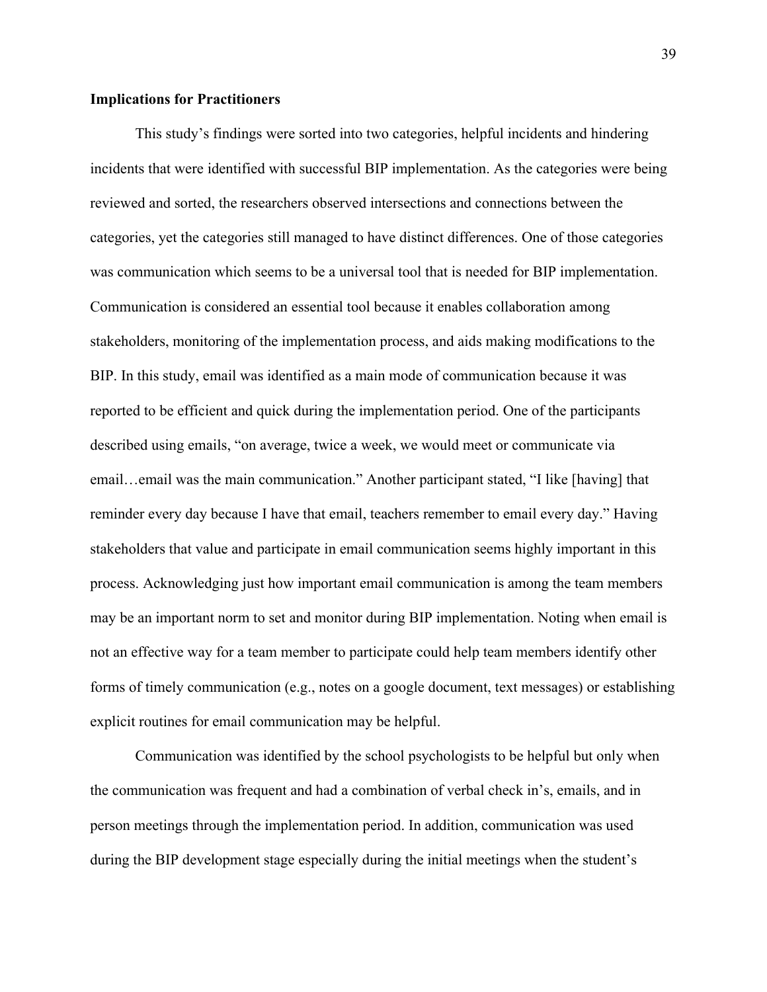#### <span id="page-45-0"></span>**Implications for Practitioners**

This study's findings were sorted into two categories, helpful incidents and hindering incidents that were identified with successful BIP implementation. As the categories were being reviewed and sorted, the researchers observed intersections and connections between the categories, yet the categories still managed to have distinct differences. One of those categories was communication which seems to be a universal tool that is needed for BIP implementation. Communication is considered an essential tool because it enables collaboration among stakeholders, monitoring of the implementation process, and aids making modifications to the BIP. In this study, email was identified as a main mode of communication because it was reported to be efficient and quick during the implementation period. One of the participants described using emails, "on average, twice a week, we would meet or communicate via email…email was the main communication." Another participant stated, "I like [having] that reminder every day because I have that email, teachers remember to email every day." Having stakeholders that value and participate in email communication seems highly important in this process. Acknowledging just how important email communication is among the team members may be an important norm to set and monitor during BIP implementation. Noting when email is not an effective way for a team member to participate could help team members identify other forms of timely communication (e.g., notes on a google document, text messages) or establishing explicit routines for email communication may be helpful.

Communication was identified by the school psychologists to be helpful but only when the communication was frequent and had a combination of verbal check in's, emails, and in person meetings through the implementation period. In addition, communication was used during the BIP development stage especially during the initial meetings when the student's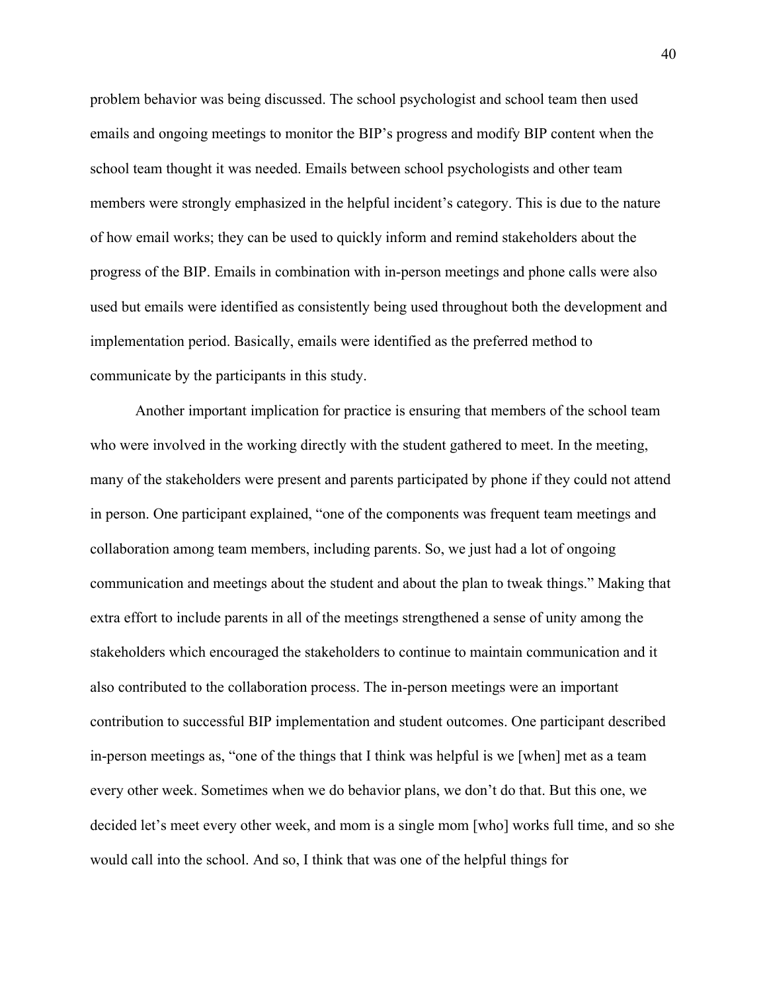problem behavior was being discussed. The school psychologist and school team then used emails and ongoing meetings to monitor the BIP's progress and modify BIP content when the school team thought it was needed. Emails between school psychologists and other team members were strongly emphasized in the helpful incident's category. This is due to the nature of how email works; they can be used to quickly inform and remind stakeholders about the progress of the BIP. Emails in combination with in-person meetings and phone calls were also used but emails were identified as consistently being used throughout both the development and implementation period. Basically, emails were identified as the preferred method to communicate by the participants in this study.

Another important implication for practice is ensuring that members of the school team who were involved in the working directly with the student gathered to meet. In the meeting, many of the stakeholders were present and parents participated by phone if they could not attend in person. One participant explained, "one of the components was frequent team meetings and collaboration among team members, including parents. So, we just had a lot of ongoing communication and meetings about the student and about the plan to tweak things." Making that extra effort to include parents in all of the meetings strengthened a sense of unity among the stakeholders which encouraged the stakeholders to continue to maintain communication and it also contributed to the collaboration process. The in-person meetings were an important contribution to successful BIP implementation and student outcomes. One participant described in-person meetings as, "one of the things that I think was helpful is we [when] met as a team every other week. Sometimes when we do behavior plans, we don't do that. But this one, we decided let's meet every other week, and mom is a single mom [who] works full time, and so she would call into the school. And so, I think that was one of the helpful things for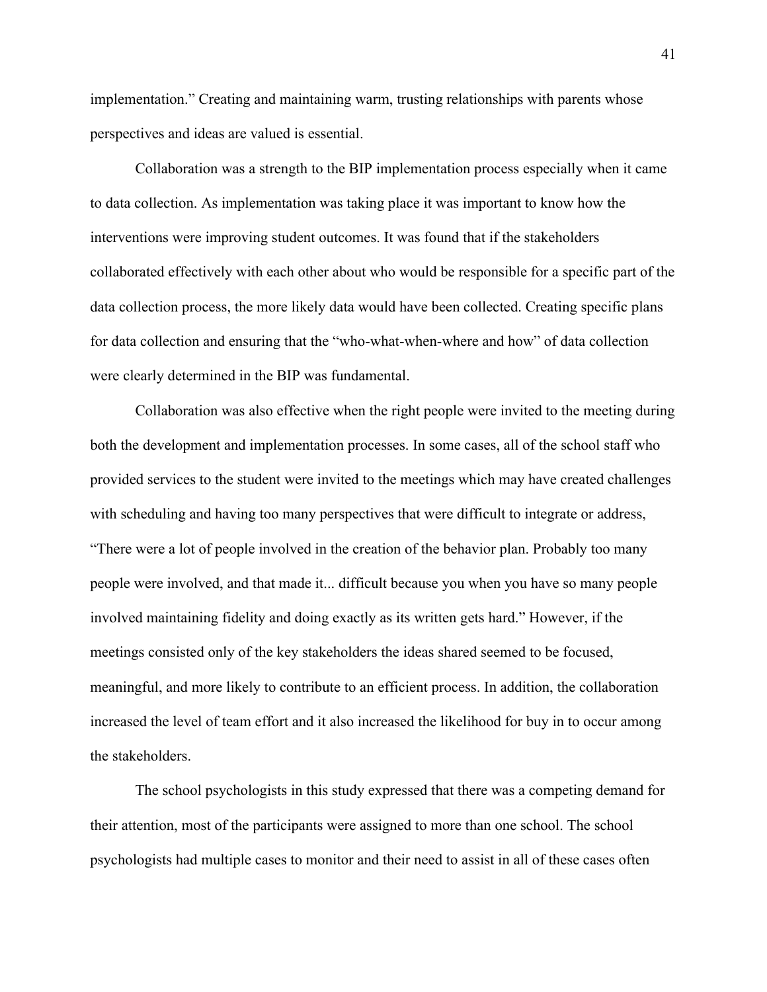implementation." Creating and maintaining warm, trusting relationships with parents whose perspectives and ideas are valued is essential.

Collaboration was a strength to the BIP implementation process especially when it came to data collection. As implementation was taking place it was important to know how the interventions were improving student outcomes. It was found that if the stakeholders collaborated effectively with each other about who would be responsible for a specific part of the data collection process, the more likely data would have been collected. Creating specific plans for data collection and ensuring that the "who-what-when-where and how" of data collection were clearly determined in the BIP was fundamental.

Collaboration was also effective when the right people were invited to the meeting during both the development and implementation processes. In some cases, all of the school staff who provided services to the student were invited to the meetings which may have created challenges with scheduling and having too many perspectives that were difficult to integrate or address, "There were a lot of people involved in the creation of the behavior plan. Probably too many people were involved, and that made it... difficult because you when you have so many people involved maintaining fidelity and doing exactly as its written gets hard." However, if the meetings consisted only of the key stakeholders the ideas shared seemed to be focused, meaningful, and more likely to contribute to an efficient process. In addition, the collaboration increased the level of team effort and it also increased the likelihood for buy in to occur among the stakeholders.

The school psychologists in this study expressed that there was a competing demand for their attention, most of the participants were assigned to more than one school. The school psychologists had multiple cases to monitor and their need to assist in all of these cases often

41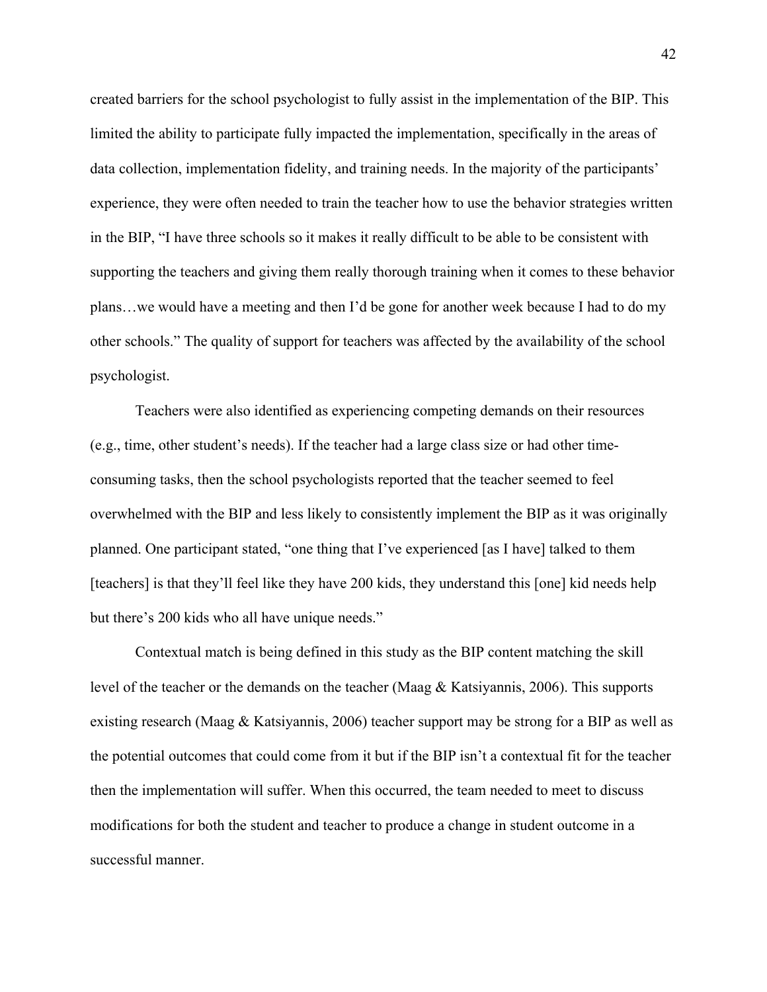created barriers for the school psychologist to fully assist in the implementation of the BIP. This limited the ability to participate fully impacted the implementation, specifically in the areas of data collection, implementation fidelity, and training needs. In the majority of the participants' experience, they were often needed to train the teacher how to use the behavior strategies written in the BIP, "I have three schools so it makes it really difficult to be able to be consistent with supporting the teachers and giving them really thorough training when it comes to these behavior plans…we would have a meeting and then I'd be gone for another week because I had to do my other schools." The quality of support for teachers was affected by the availability of the school psychologist.

Teachers were also identified as experiencing competing demands on their resources (e.g., time, other student's needs). If the teacher had a large class size or had other timeconsuming tasks, then the school psychologists reported that the teacher seemed to feel overwhelmed with the BIP and less likely to consistently implement the BIP as it was originally planned. One participant stated, "one thing that I've experienced [as I have] talked to them [teachers] is that they'll feel like they have 200 kids, they understand this [one] kid needs help but there's 200 kids who all have unique needs."

Contextual match is being defined in this study as the BIP content matching the skill level of the teacher or the demands on the teacher (Maag & Katsiyannis, 2006). This supports existing research (Maag & Katsiyannis, 2006) teacher support may be strong for a BIP as well as the potential outcomes that could come from it but if the BIP isn't a contextual fit for the teacher then the implementation will suffer. When this occurred, the team needed to meet to discuss modifications for both the student and teacher to produce a change in student outcome in a successful manner.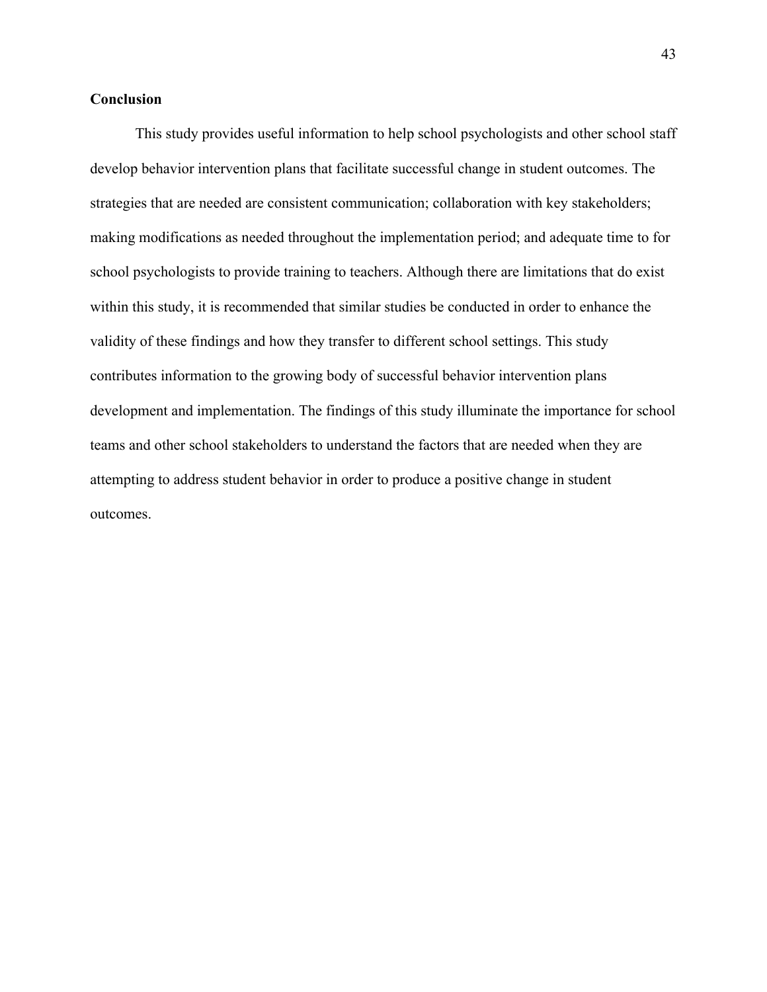### <span id="page-49-0"></span>**Conclusion**

This study provides useful information to help school psychologists and other school staff develop behavior intervention plans that facilitate successful change in student outcomes. The strategies that are needed are consistent communication; collaboration with key stakeholders; making modifications as needed throughout the implementation period; and adequate time to for school psychologists to provide training to teachers. Although there are limitations that do exist within this study, it is recommended that similar studies be conducted in order to enhance the validity of these findings and how they transfer to different school settings. This study contributes information to the growing body of successful behavior intervention plans development and implementation. The findings of this study illuminate the importance for school teams and other school stakeholders to understand the factors that are needed when they are attempting to address student behavior in order to produce a positive change in student outcomes.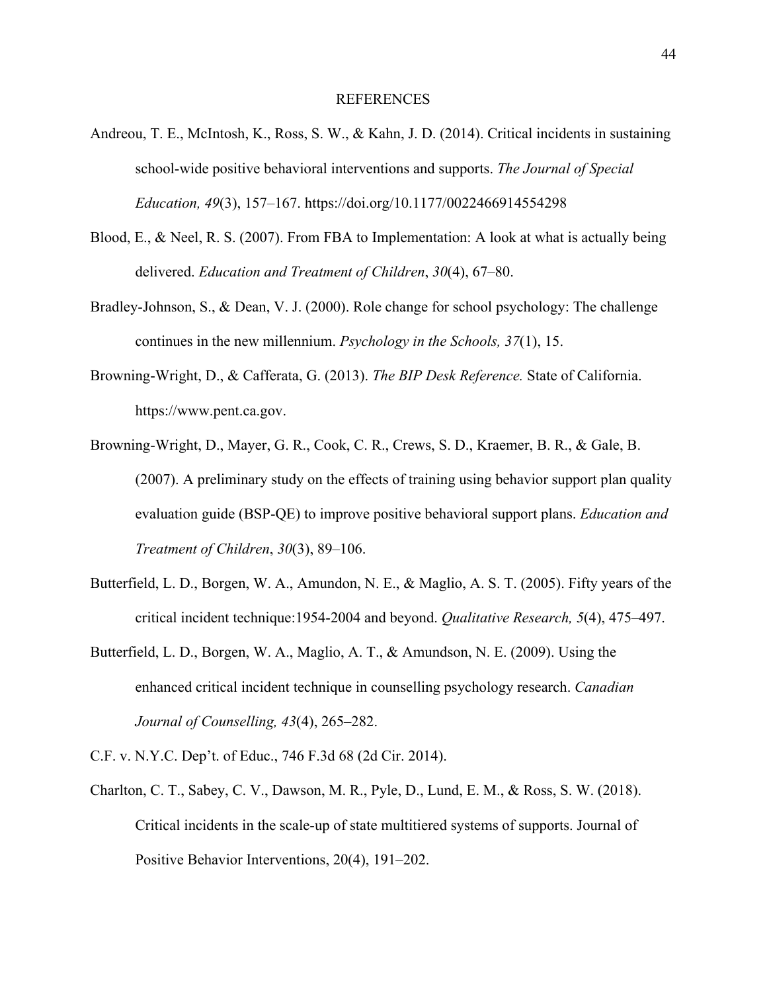#### REFERENCES

- <span id="page-50-0"></span>Andreou, T. E., McIntosh, K., Ross, S. W., & Kahn, J. D. (2014). Critical incidents in sustaining school-wide positive behavioral interventions and supports. *The Journal of Special Education, 49*(3), 157–167. https://doi.org/10.1177/0022466914554298
- Blood, E., & Neel, R. S. (2007). From FBA to Implementation: A look at what is actually being delivered. *Education and Treatment of Children*, *30*(4), 67–80.
- Bradley-Johnson, S., & Dean, V. J. (2000). Role change for school psychology: The challenge continues in the new millennium. *Psychology in the Schools, 37*(1), 15.
- Browning-Wright, D., & Cafferata, G. (2013). *The BIP Desk Reference.* State of California. https://www.pent.ca.gov.
- Browning-Wright, D., Mayer, G. R., Cook, C. R., Crews, S. D., Kraemer, B. R., & Gale, B. (2007). A preliminary study on the effects of training using behavior support plan quality evaluation guide (BSP-QE) to improve positive behavioral support plans. *Education and Treatment of Children*, *30*(3), 89–106.
- Butterfield, L. D., Borgen, W. A., Amundon, N. E., & Maglio, A. S. T. (2005). Fifty years of the critical incident technique:1954-2004 and beyond. *Qualitative Research, 5*(4), 475–497.
- Butterfield, L. D., Borgen, W. A., Maglio, A. T., & Amundson, N. E. (2009). Using the enhanced critical incident technique in counselling psychology research. *Canadian Journal of Counselling, 43*(4), 265–282.
- C.F. v. N.Y.C. Dep't. of Educ., 746 F.3d 68 (2d Cir. 2014).
- Charlton, C. T., Sabey, C. V., Dawson, M. R., Pyle, D., Lund, E. M., & Ross, S. W. (2018). Critical incidents in the scale-up of state multitiered systems of supports. Journal of Positive Behavior Interventions, 20(4), 191–202.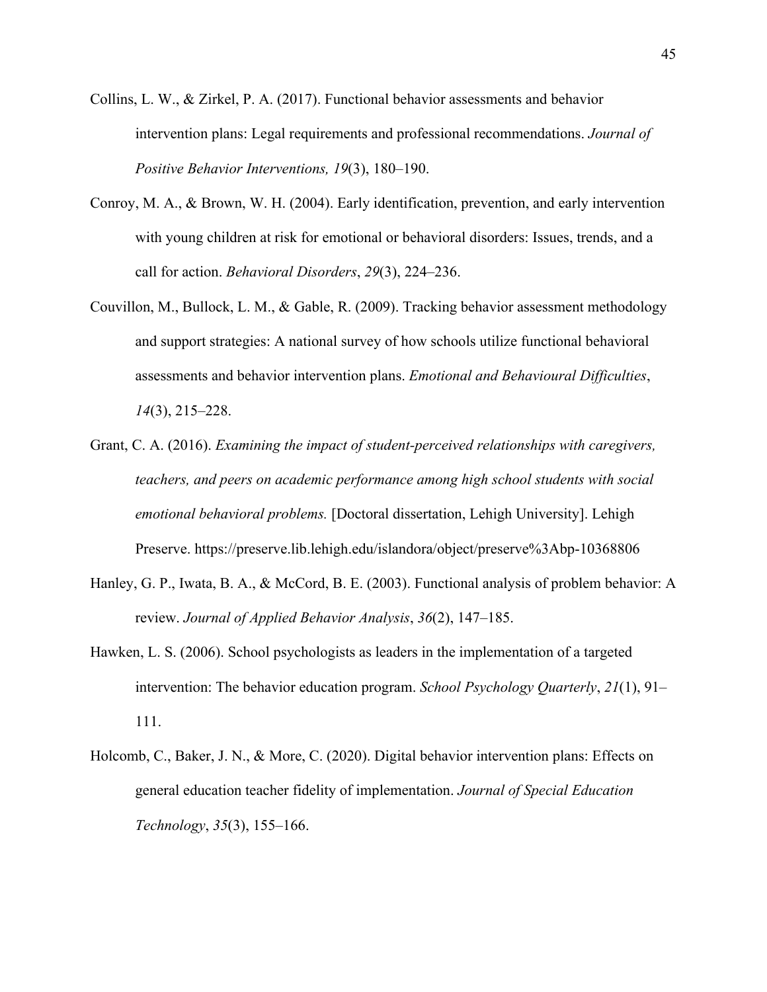- Collins, L. W., & Zirkel, P. A. (2017). Functional behavior assessments and behavior intervention plans: Legal requirements and professional recommendations. *Journal of Positive Behavior Interventions, 19*(3), 180–190.
- Conroy, M. A., & Brown, W. H. (2004). Early identification, prevention, and early intervention with young children at risk for emotional or behavioral disorders: Issues, trends, and a call for action. *Behavioral Disorders*, *29*(3), 224–236.
- Couvillon, M., Bullock, L. M., & Gable, R. (2009). Tracking behavior assessment methodology and support strategies: A national survey of how schools utilize functional behavioral assessments and behavior intervention plans. *Emotional and Behavioural Difficulties*, *14*(3), 215–228.
- Grant, C. A. (2016). *Examining the impact of student-perceived relationships with caregivers, teachers, and peers on academic performance among high school students with social emotional behavioral problems.* [Doctoral dissertation, Lehigh University]. Lehigh Preserve. https://preserve.lib.lehigh.edu/islandora/object/preserve%3Abp-10368806
- Hanley, G. P., Iwata, B. A., & McCord, B. E. (2003). Functional analysis of problem behavior: A review. *Journal of Applied Behavior Analysis*, *36*(2), 147–185.
- Hawken, L. S. (2006). School psychologists as leaders in the implementation of a targeted intervention: The behavior education program. *School Psychology Quarterly*, *21*(1), 91– 111.
- Holcomb, C., Baker, J. N., & More, C. (2020). Digital behavior intervention plans: Effects on general education teacher fidelity of implementation. *Journal of Special Education Technology*, *35*(3), 155–166.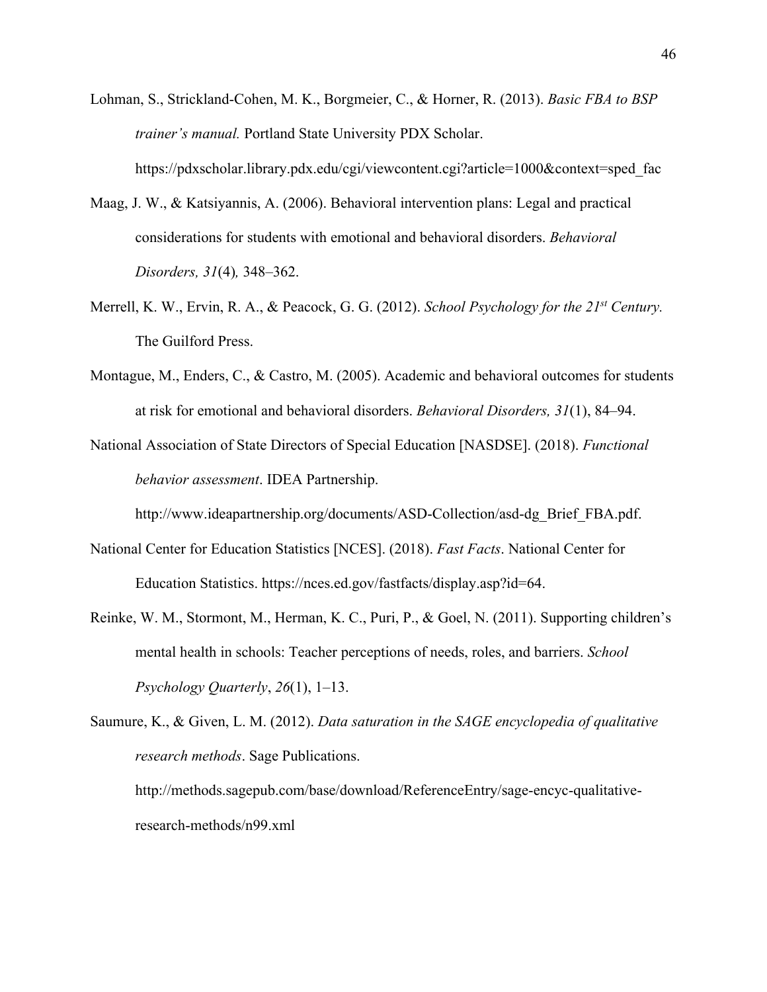- Lohman, S., Strickland-Cohen, M. K., Borgmeier, C., & Horner, R. (2013). *Basic FBA to BSP trainer's manual.* Portland State University PDX Scholar. https://pdxscholar.library.pdx.edu/cgi/viewcontent.cgi?article=1000&context=sped\_fac
- Maag, J. W., & Katsiyannis, A. (2006). Behavioral intervention plans: Legal and practical considerations for students with emotional and behavioral disorders. *Behavioral Disorders, 31*(4)*,* 348–362.
- Merrell, K. W., Ervin, R. A., & Peacock, G. G. (2012). *School Psychology for the 21st Century.*  The Guilford Press.
- Montague, M., Enders, C., & Castro, M. (2005). Academic and behavioral outcomes for students at risk for emotional and behavioral disorders. *Behavioral Disorders, 31*(1), 84–94.
- National Association of State Directors of Special Education [NASDSE]. (2018). *Functional behavior assessment*. IDEA Partnership.

http://www.ideapartnership.org/documents/ASD-Collection/asd-dg\_Brief\_FBA.pdf.

- National Center for Education Statistics [NCES]. (2018). *Fast Facts*. National Center for Education Statistics. https://nces.ed.gov/fastfacts/display.asp?id=64.
- Reinke, W. M., Stormont, M., Herman, K. C., Puri, P., & Goel, N. (2011). Supporting children's mental health in schools: Teacher perceptions of needs, roles, and barriers. *School Psychology Quarterly*, *26*(1), 1–13.

```
Saumure, K., & Given, L. M. (2012). Data saturation in the SAGE encyclopedia of qualitative 
       research methods. Sage Publications.
       http://methods.sagepub.com/base/download/ReferenceEntry/sage-encyc-qualitative-
```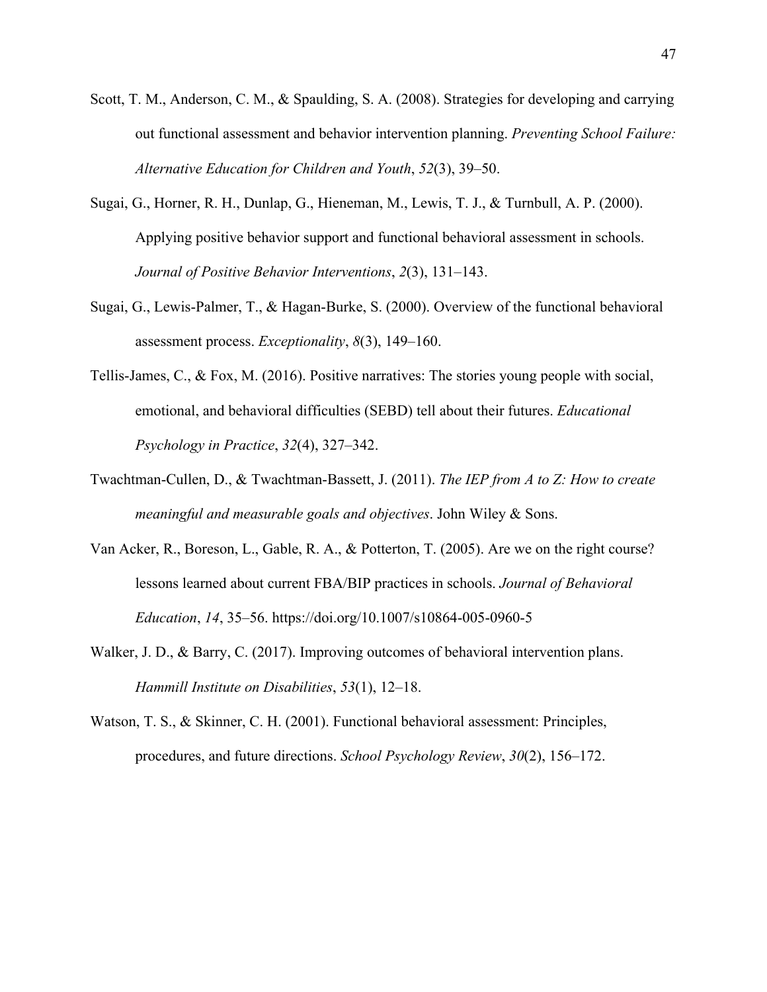- Scott, T. M., Anderson, C. M., & Spaulding, S. A. (2008). Strategies for developing and carrying out functional assessment and behavior intervention planning. *Preventing School Failure: Alternative Education for Children and Youth*, *52*(3), 39–50.
- Sugai, G., Horner, R. H., Dunlap, G., Hieneman, M., Lewis, T. J., & Turnbull, A. P. (2000). Applying positive behavior support and functional behavioral assessment in schools. *Journal of Positive Behavior Interventions*, *2*(3), 131–143.
- Sugai, G., Lewis-Palmer, T., & Hagan-Burke, S. (2000). Overview of the functional behavioral assessment process. *Exceptionality*, *8*(3), 149–160.
- Tellis-James, C., & Fox, M. (2016). Positive narratives: The stories young people with social, emotional, and behavioral difficulties (SEBD) tell about their futures. *Educational Psychology in Practice*, *32*(4), 327–342.
- Twachtman-Cullen, D., & Twachtman-Bassett, J. (2011). *The IEP from A to Z: How to create meaningful and measurable goals and objectives*. John Wiley & Sons.
- Van Acker, R., Boreson, L., Gable, R. A., & Potterton, T. (2005). Are we on the right course? lessons learned about current FBA/BIP practices in schools. *Journal of Behavioral Education*, *14*, 35–56. https://doi.org/10.1007/s10864-005-0960-5
- Walker, J. D., & Barry, C. (2017). Improving outcomes of behavioral intervention plans. *Hammill Institute on Disabilities*, *53*(1), 12–18.
- Watson, T. S., & Skinner, C. H. (2001). Functional behavioral assessment: Principles, procedures, and future directions. *School Psychology Review*, *30*(2), 156–172.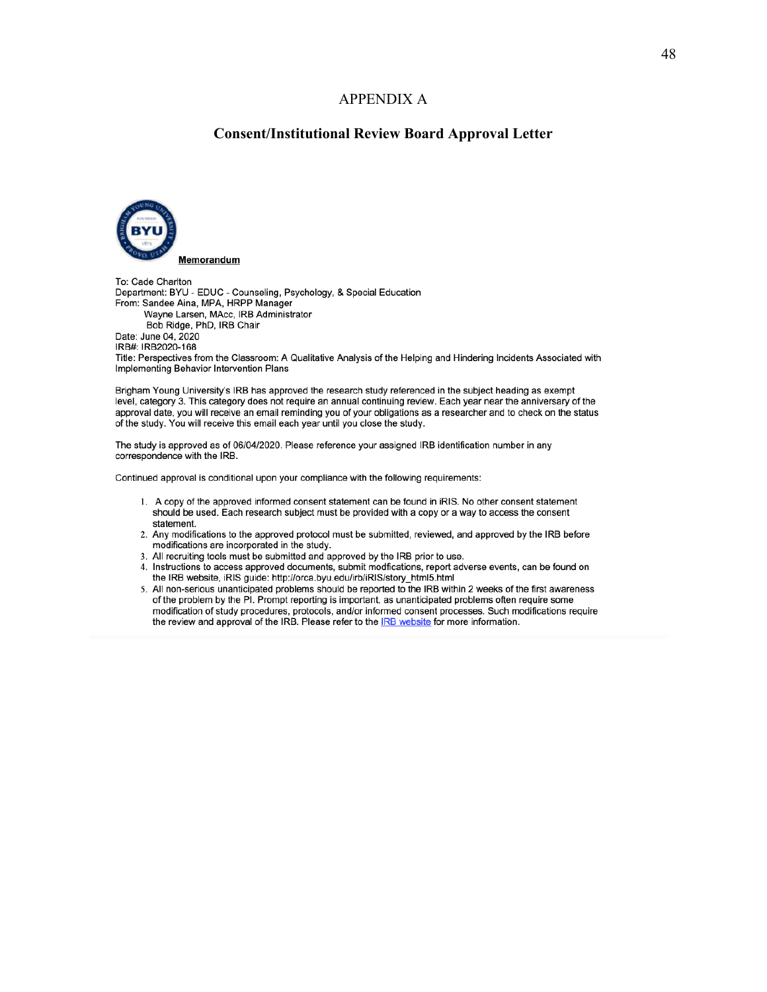#### APPENDIX A

### **Consent/Institutional Review Board Approval Letter**

<span id="page-54-0"></span>

To: Cade Charlton Department: BYU - EDUC - Counseling, Psychology, & Special Education From: Sandee Aina, MPA, HRPP Manager Wayne Larsen, MAcc, IRB Administrator Bob Ridge, PhD, IRB Chair Date: June 04, 2020 IRB#: IRB2020-168 Title: Perspectives from the Classroom: A Qualitative Analysis of the Helping and Hindering Incidents Associated with Implementing Behavior Intervention Plans

Brigham Young University's IRB has approved the research study referenced in the subject heading as exempt level, category 3. This category does not require an annual continuing review. Each year near the anniversary of the approval date, you will receive an email reminding you of your obligations as a researcher and to check on the status of the study. You will receive this email each year until you close the study.

The study is approved as of 06/04/2020. Please reference your assigned IRB identification number in any correspondence with the IRB.

Continued approval is conditional upon your compliance with the following requirements:

- 1. A copy of the approved informed consent statement can be found in iRIS. No other consent statement should be used. Each research subject must be provided with a copy or a way to access the consent statement.
- 2. Any modifications to the approved protocol must be submitted, reviewed, and approved by the IRB before modifications are incorporated in the study.
- 3. All recruiting tools must be submitted and approved by the IRB prior to use.
- 4. Instructions to access approved documents, submit modfications, report adverse events, can be found on the IRB website, iRIS guide: http://orca.byu.edu/irb/iRIS/story\_html5.html
- 5. All non-serious unanticipated problems should be reported to the IRB within 2 weeks of the first awareness of the problem by the PI. Prompt reporting is important, as unanticipated problems often require some modification of study procedures, protocols, and/or informed consent processes. Such modifications require the review and approval of the IRB. Please refer to the **IRB** website for more information.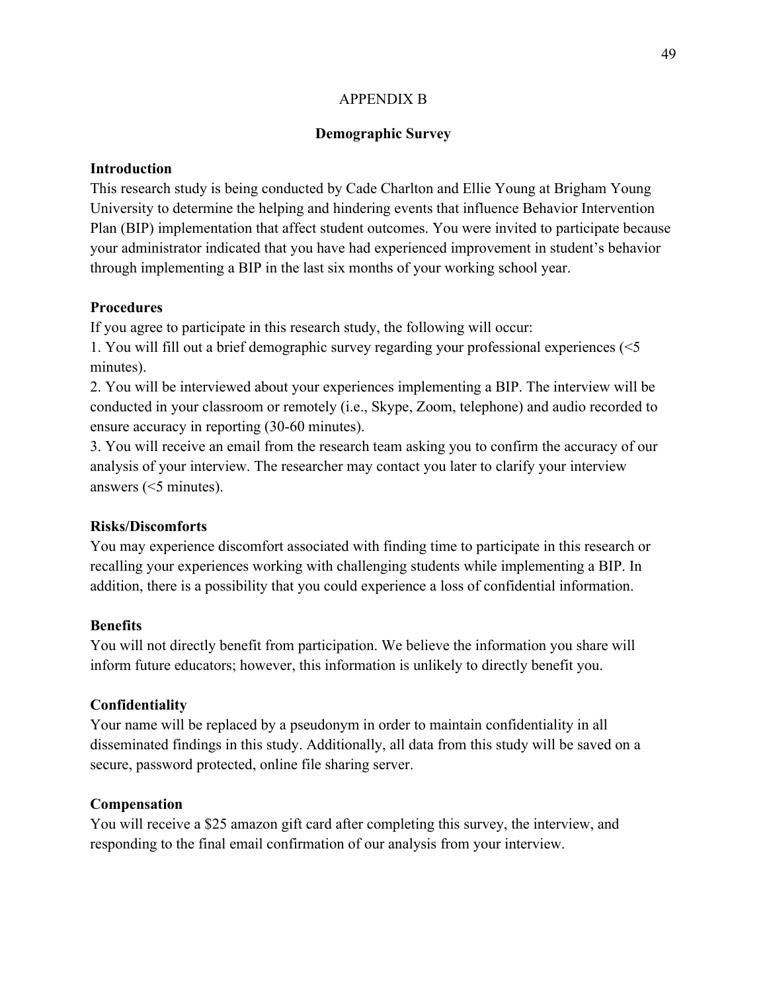### APPENDIX B

### **Demographic Survey**

### <span id="page-55-0"></span>**Introduction**

This research study is being conducted by Cade Charlton and Ellie Young at Brigham Young University to determine the helping and hindering events that influence Behavior Intervention Plan (BIP) implementation that affect student outcomes. You were invited to participate because your administrator indicated that you have had experienced improvement in student's behavior through implementing a BIP in the last six months of your working school year.

### **Procedures**

If you agree to participate in this research study, the following will occur:

1. You will fill out a brief demographic survey regarding your professional experiences (<5 minutes).

2. You will be interviewed about your experiences implementing a BIP. The interview will be conducted in your classroom or remotely (i.e., Skype, Zoom, telephone) and audio recorded to ensure accuracy in reporting (30-60 minutes).

3. You will receive an email from the research team asking you to confirm the accuracy of our analysis of your interview. The researcher may contact you later to clarify your interview answers (<5 minutes).

### **Risks/Discomforts**

You may experience discomfort associated with finding time to participate in this research or recalling your experiences working with challenging students while implementing a BIP. In addition, there is a possibility that you could experience a loss of confidential information.

### **Benefits**

You will not directly benefit from participation. We believe the information you share will inform future educators; however, this information is unlikely to directly benefit you.

### **Confidentiality**

Your name will be replaced by a pseudonym in order to maintain confidentiality in all disseminated findings in this study. Additionally, all data from this study will be saved on a secure, password protected, online file sharing server.

### **Compensation**

You will receive a \$25 amazon gift card after completing this survey, the interview, and responding to the final email confirmation of our analysis from your interview.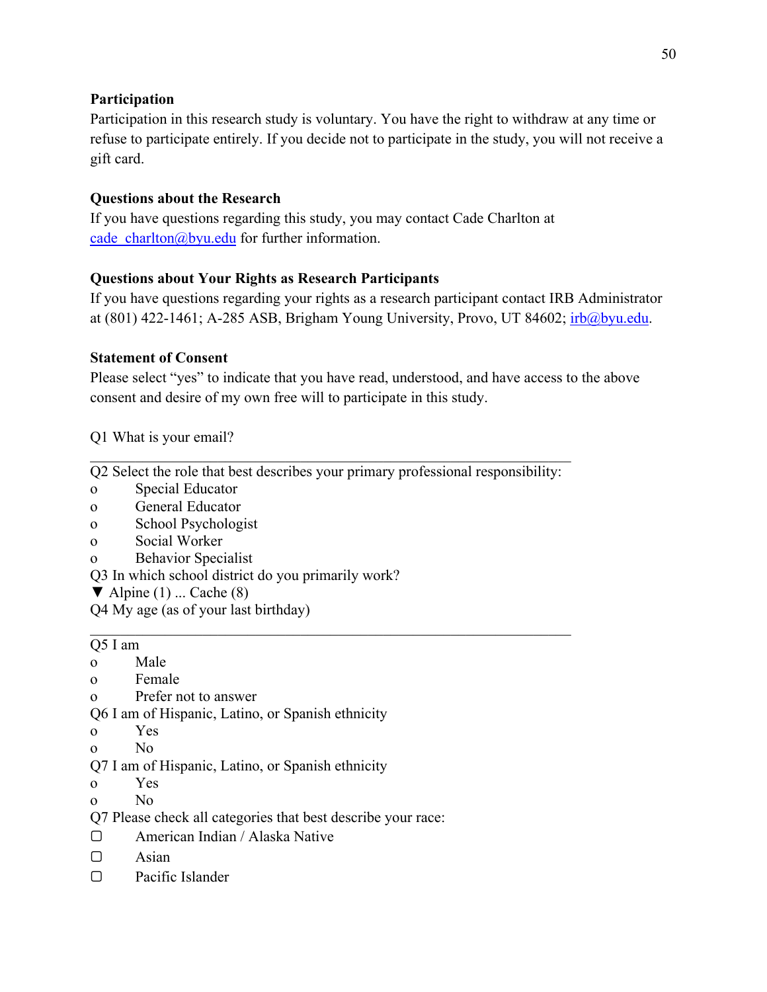# **Participation**

Participation in this research study is voluntary. You have the right to withdraw at any time or refuse to participate entirely. If you decide not to participate in the study, you will not receive a gift card.

# **Questions about the Research**

If you have questions regarding this study, you may contact Cade Charlton at cade charlton@byu.edu for further information.

# **Questions about Your Rights as Research Participants**

If you have questions regarding your rights as a research participant contact IRB Administrator at  $(801)$  422-1461; A-285 ASB, Brigham Young University, Provo, UT 84602;  $irb@byu.edu$ .

# **Statement of Consent**

Please select "yes" to indicate that you have read, understood, and have access to the above consent and desire of my own free will to participate in this study.

Q1 What is your email?

\_\_\_\_\_\_\_\_\_\_\_\_\_\_\_\_\_\_\_\_\_\_\_\_\_\_\_\_\_\_\_\_\_\_\_\_\_\_\_\_\_\_\_\_\_\_\_\_\_\_\_\_\_\_\_\_\_\_\_\_\_\_\_\_ Q2 Select the role that best describes your primary professional responsibility:

\_\_\_\_\_\_\_\_\_\_\_\_\_\_\_\_\_\_\_\_\_\_\_\_\_\_\_\_\_\_\_\_\_\_\_\_\_\_\_\_\_\_\_\_\_\_\_\_\_\_\_\_\_\_\_\_\_\_\_\_\_\_\_\_

- o Special Educator
- o General Educator
- o School Psychologist
- o Social Worker
- o Behavior Specialist
- Q3 In which school district do you primarily work?
- $\blacktriangledown$  Alpine (1) ... Cache (8)
- Q4 My age (as of your last birthday)

# Q5 I am

- o Male
- o Female
- o Prefer not to answer

Q6 I am of Hispanic, Latino, or Spanish ethnicity

- o Yes
- o No
- Q7 I am of Hispanic, Latino, or Spanish ethnicity
- o Yes
- o No
- Q7 Please check all categories that best describe your race:
- ▢ American Indian / Alaska Native
- ▢ Asian
- ▢ Pacific Islander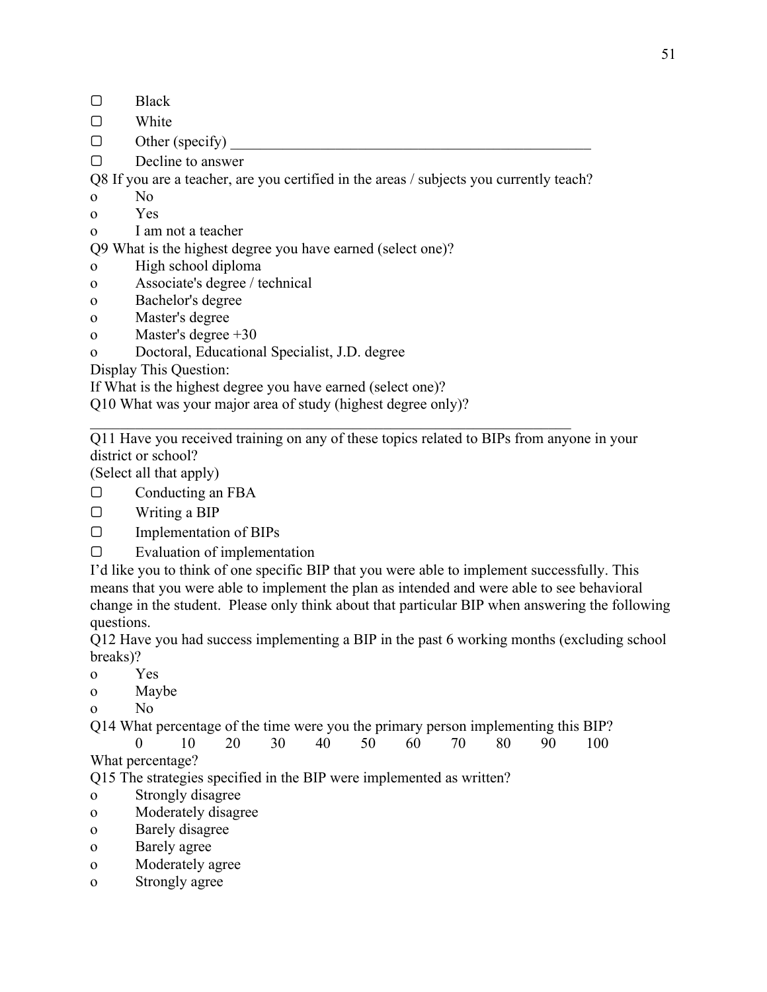- ▢ Black
- ▢ White
- $\Box$  Other (specify)
- ▢ Decline to answer

Q8 If you are a teacher, are you certified in the areas / subjects you currently teach?

- o No
- o Yes
- o I am not a teacher

Q9 What is the highest degree you have earned (select one)?

- o High school diploma
- o Associate's degree / technical
- o Bachelor's degree
- o Master's degree
- o Master's degree +30
- o Doctoral, Educational Specialist, J.D. degree

Display This Question:

If What is the highest degree you have earned (select one)?

Q10 What was your major area of study (highest degree only)?

Q11 Have you received training on any of these topics related to BIPs from anyone in your district or school?

(Select all that apply)

- ▢ Conducting an FBA
- ▢ Writing a BIP
- ▢ Implementation of BIPs
- ▢ Evaluation of implementation

I'd like you to think of one specific BIP that you were able to implement successfully. This means that you were able to implement the plan as intended and were able to see behavioral change in the student. Please only think about that particular BIP when answering the following questions.

Q12 Have you had success implementing a BIP in the past 6 working months (excluding school breaks)?

- o Yes
- o Maybe
- o No

Q14 What percentage of the time were you the primary person implementing this BIP?

0 10 20 30 40 50 60 70 80 90 100 What percentage?

Q15 The strategies specified in the BIP were implemented as written?

- o Strongly disagree
- o Moderately disagree
- o Barely disagree
- o Barely agree
- o Moderately agree
- o Strongly agree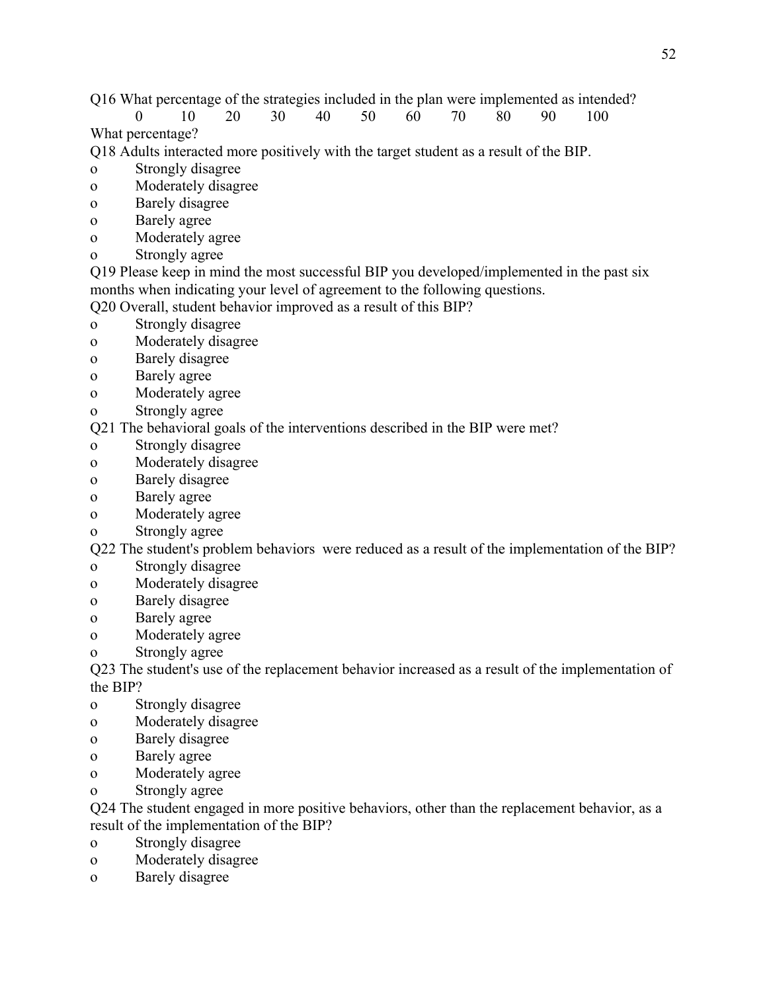Q16 What percentage of the strategies included in the plan were implemented as intended?

0 10 20 30 40 50 60 70 80 90 100 What percentage?

Q18 Adults interacted more positively with the target student as a result of the BIP.

- o Strongly disagree
- o Moderately disagree
- o Barely disagree
- o Barely agree
- o Moderately agree
- o Strongly agree

Q19 Please keep in mind the most successful BIP you developed/implemented in the past six months when indicating your level of agreement to the following questions.

Q20 Overall, student behavior improved as a result of this BIP?

- o Strongly disagree
- o Moderately disagree
- o Barely disagree
- o Barely agree
- o Moderately agree
- o Strongly agree

Q21 The behavioral goals of the interventions described in the BIP were met?

- o Strongly disagree
- o Moderately disagree
- o Barely disagree
- o Barely agree
- o Moderately agree
- o Strongly agree

Q22 The student's problem behaviors were reduced as a result of the implementation of the BIP?

- o Strongly disagree
- o Moderately disagree
- o Barely disagree
- o Barely agree
- o Moderately agree
- o Strongly agree

Q23 The student's use of the replacement behavior increased as a result of the implementation of the BIP?

- o Strongly disagree
- o Moderately disagree
- o Barely disagree
- o Barely agree
- o Moderately agree
- o Strongly agree

Q24 The student engaged in more positive behaviors, other than the replacement behavior, as a result of the implementation of the BIP?

- o Strongly disagree
- o Moderately disagree
- o Barely disagree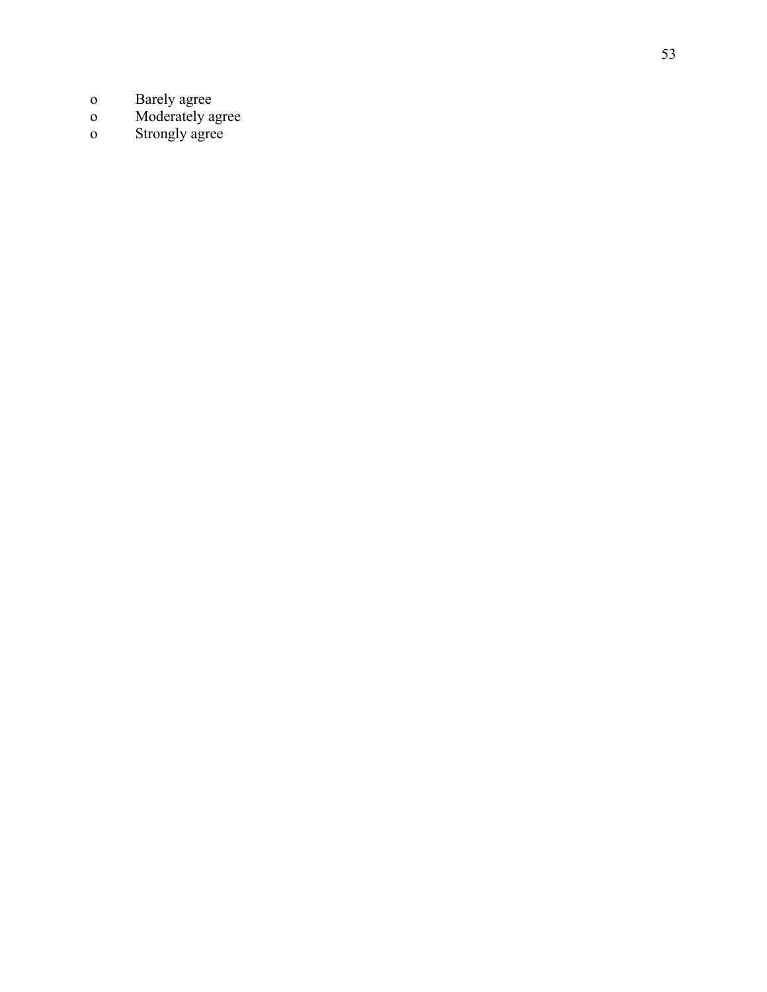- 
- o Barely agree<br>
o Moderately agree<br>
o Strongly agree
-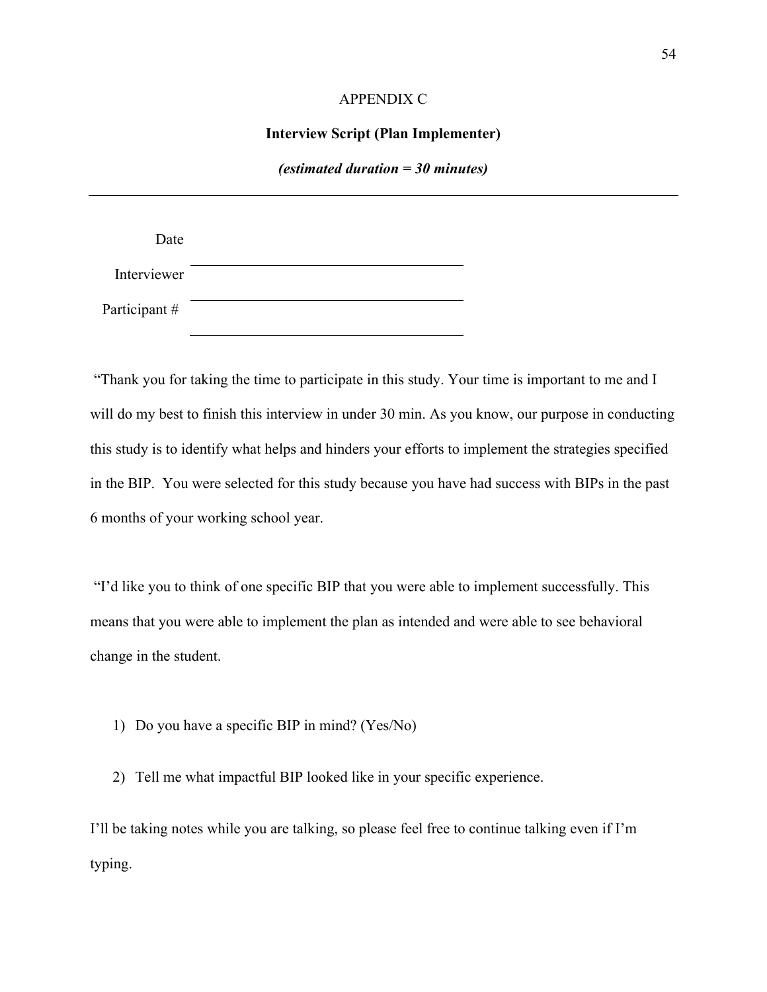### APPENDIX C

### **Interview Script (Plan Implementer)**

#### *(estimated duration = 30 minutes)*

<span id="page-60-0"></span>

| Date         |  |
|--------------|--|
| Interviewer  |  |
| Participant# |  |

"Thank you for taking the time to participate in this study. Your time is important to me and I will do my best to finish this interview in under 30 min. As you know, our purpose in conducting this study is to identify what helps and hinders your efforts to implement the strategies specified in the BIP. You were selected for this study because you have had success with BIPs in the past 6 months of your working school year.

"I'd like you to think of one specific BIP that you were able to implement successfully. This means that you were able to implement the plan as intended and were able to see behavioral change in the student.

1) Do you have a specific BIP in mind? (Yes/No)

2) Tell me what impactful BIP looked like in your specific experience.

I'll be taking notes while you are talking, so please feel free to continue talking even if I'm typing.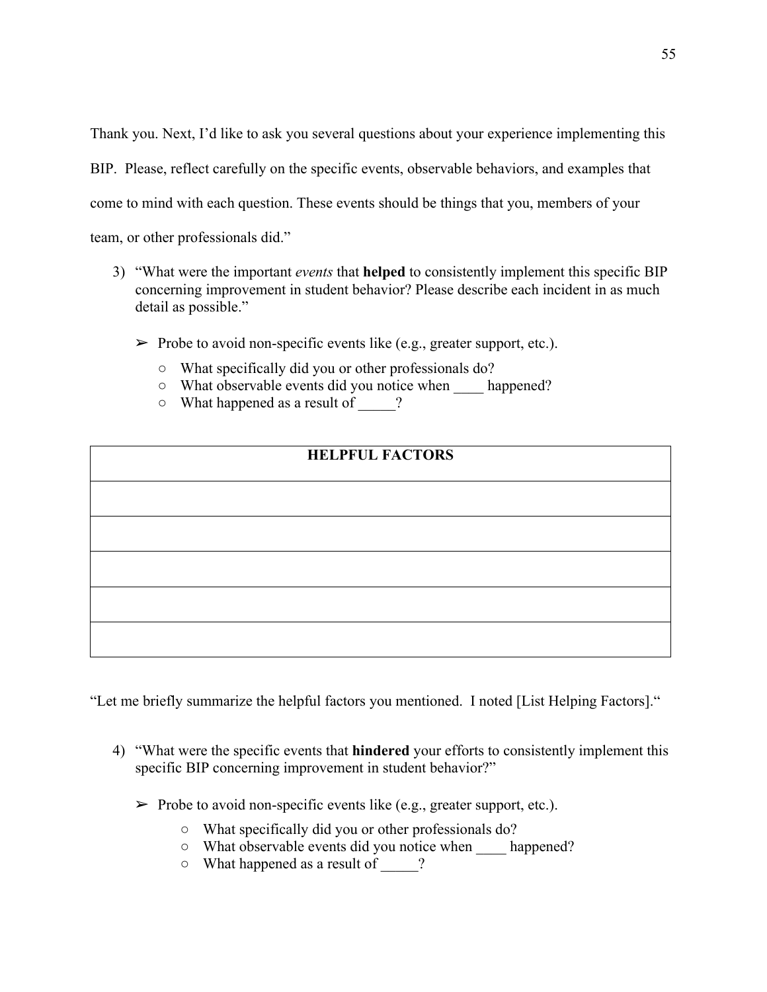Thank you. Next, I'd like to ask you several questions about your experience implementing this BIP. Please, reflect carefully on the specific events, observable behaviors, and examples that come to mind with each question. These events should be things that you, members of your team, or other professionals did."

- 3) "What were the important *events* that **helped** to consistently implement this specific BIP concerning improvement in student behavior? Please describe each incident in as much detail as possible."
	- $\triangleright$  Probe to avoid non-specific events like (e.g., greater support, etc.).
		- What specifically did you or other professionals do?
		- What observable events did you notice when \_\_\_\_ happened?
		- What happened as a result of \_\_\_\_\_?

# **HELPFUL FACTORS**

"Let me briefly summarize the helpful factors you mentioned. I noted [List Helping Factors]."

- 4) "What were the specific events that **hindered** your efforts to consistently implement this specific BIP concerning improvement in student behavior?"
	- $\triangleright$  Probe to avoid non-specific events like (e.g., greater support, etc.).
		- What specifically did you or other professionals do?
		- What observable events did you notice when \_\_\_\_ happened?
		- What happened as a result of \_\_\_\_\_?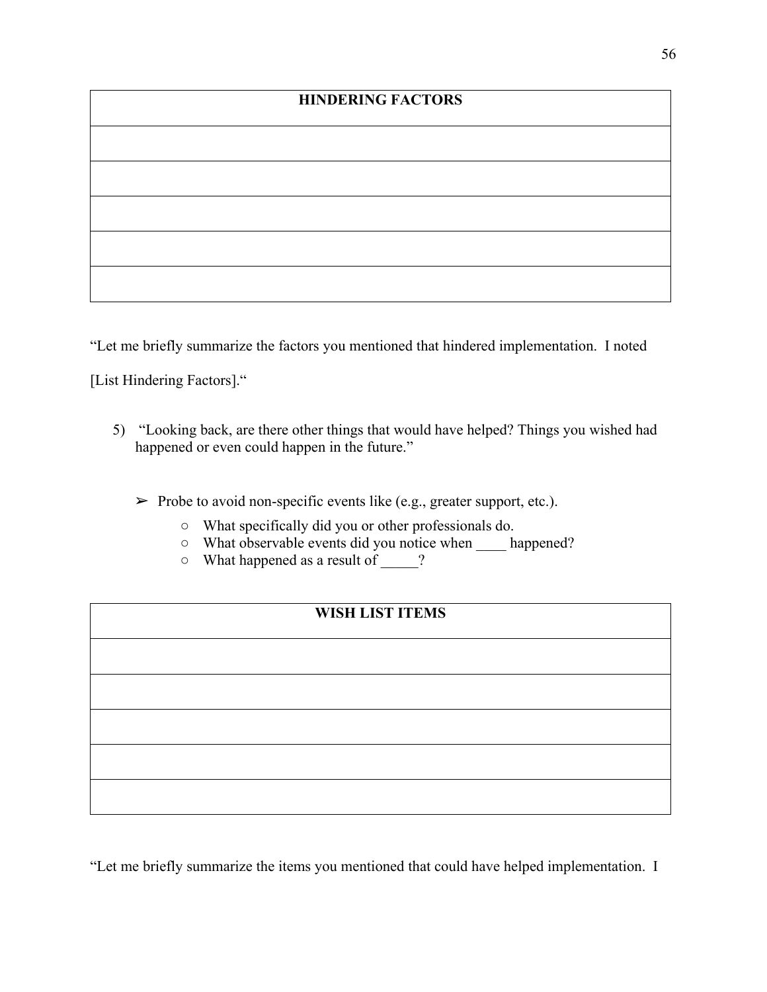# **HINDERING FACTORS**

"Let me briefly summarize the factors you mentioned that hindered implementation. I noted

[List Hindering Factors]."

- 5) "Looking back, are there other things that would have helped? Things you wished had happened or even could happen in the future."
	- $\triangleright$  Probe to avoid non-specific events like (e.g., greater support, etc.).
		- What specifically did you or other professionals do.
		- What observable events did you notice when \_\_\_\_ happened?
		- What happened as a result of \_\_\_\_\_?

# **WISH LIST ITEMS**

"Let me briefly summarize the items you mentioned that could have helped implementation. I